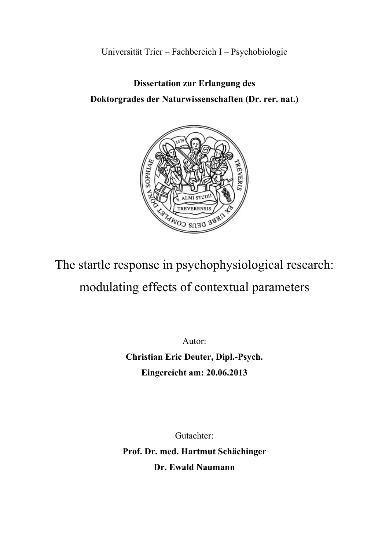Universität Trier – Fachbereich I – Psychobiologie

# **Dissertation zur Erlangung des Doktorgrades der Naturwissenschaften (Dr. rer. nat.)**



The startle response in psychophysiological research: modulating effects of contextual parameters

Autor:

**Christian Eric Deuter, Dipl.-Psych. Eingereicht am: 20.06.2013** 

Gutachter: **Prof. Dr. med. Hartmut Schächinger Dr. Ewald Naumann**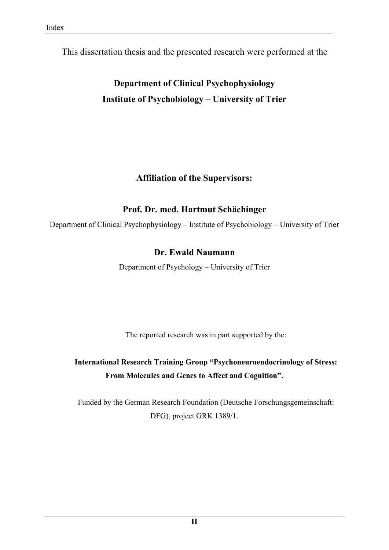This dissertation thesis and the presented research were performed at the

**Department of Clinical Psychophysiology Institute of Psychobiology – University of Trier** 

## **Affiliation of the Supervisors:**

# **Prof. Dr. med. Hartmut Schächinger**

Department of Clinical Psychophysiology – Institute of Psychobiology – University of Trier

# **Dr. Ewald Naumann**

Department of Psychology – University of Trier

The reported research was in part supported by the:

**International Research Training Group "Psychoneuroendocrinology of Stress: From Molecules and Genes to Affect and Cognition".** 

Funded by the German Research Foundation (Deutsche Forschungsgemeinschaft: DFG), project GRK 1389/1.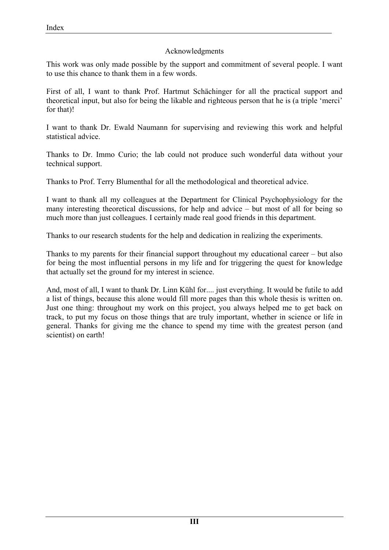#### Acknowledgments

This work was only made possible by the support and commitment of several people. I want to use this chance to thank them in a few words.

First of all, I want to thank Prof. Hartmut Schächinger for all the practical support and theoretical input, but also for being the likable and righteous person that he is (a triple 'merci' for that)!

I want to thank Dr. Ewald Naumann for supervising and reviewing this work and helpful statistical advice.

Thanks to Dr. Immo Curio; the lab could not produce such wonderful data without your technical support.

Thanks to Prof. Terry Blumenthal for all the methodological and theoretical advice.

I want to thank all my colleagues at the Department for Clinical Psychophysiology for the many interesting theoretical discussions, for help and advice – but most of all for being so much more than just colleagues. I certainly made real good friends in this department.

Thanks to our research students for the help and dedication in realizing the experiments.

Thanks to my parents for their financial support throughout my educational career – but also for being the most influential persons in my life and for triggering the quest for knowledge that actually set the ground for my interest in science.

And, most of all, I want to thank Dr. Linn Kühl for.... just everything. It would be futile to add a list of things, because this alone would fill more pages than this whole thesis is written on. Just one thing: throughout my work on this project, you always helped me to get back on track, to put my focus on those things that are truly important, whether in science or life in general. Thanks for giving me the chance to spend my time with the greatest person (and scientist) on earth!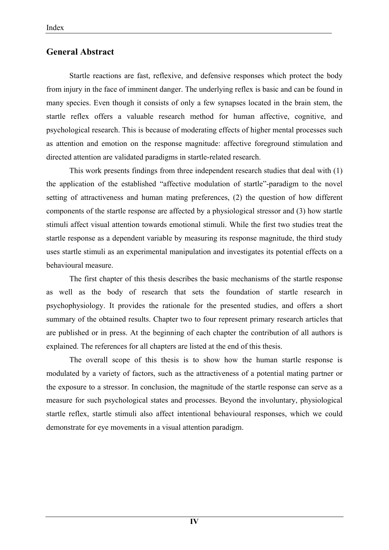## **General Abstract**

Startle reactions are fast, reflexive, and defensive responses which protect the body from injury in the face of imminent danger. The underlying reflex is basic and can be found in many species. Even though it consists of only a few synapses located in the brain stem, the startle reflex offers a valuable research method for human affective, cognitive, and psychological research. This is because of moderating effects of higher mental processes such as attention and emotion on the response magnitude: affective foreground stimulation and directed attention are validated paradigms in startle-related research.

This work presents findings from three independent research studies that deal with (1) the application of the established "affective modulation of startle"-paradigm to the novel setting of attractiveness and human mating preferences, (2) the question of how different components of the startle response are affected by a physiological stressor and (3) how startle stimuli affect visual attention towards emotional stimuli. While the first two studies treat the startle response as a dependent variable by measuring its response magnitude, the third study uses startle stimuli as an experimental manipulation and investigates its potential effects on a behavioural measure.

The first chapter of this thesis describes the basic mechanisms of the startle response as well as the body of research that sets the foundation of startle research in psychophysiology. It provides the rationale for the presented studies, and offers a short summary of the obtained results. Chapter two to four represent primary research articles that are published or in press. At the beginning of each chapter the contribution of all authors is explained. The references for all chapters are listed at the end of this thesis.

The overall scope of this thesis is to show how the human startle response is modulated by a variety of factors, such as the attractiveness of a potential mating partner or the exposure to a stressor. In conclusion, the magnitude of the startle response can serve as a measure for such psychological states and processes. Beyond the involuntary, physiological startle reflex, startle stimuli also affect intentional behavioural responses, which we could demonstrate for eye movements in a visual attention paradigm.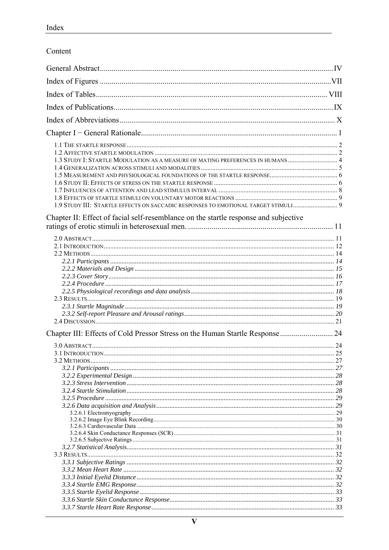| Content |
|---------|
|         |

| 1.3 STUDY I: STARTLE MODULATION AS A MEASURE OF MATING PREFERENCES IN HUMANS 4<br>1.9 STUDY III: STARTLE EFFECTS ON SACCADIC RESPONSES TO EMOTIONAL TARGET STIMULI 9 |  |
|----------------------------------------------------------------------------------------------------------------------------------------------------------------------|--|
| Chapter II: Effect of facial self-resemblance on the startle response and subjective                                                                                 |  |
|                                                                                                                                                                      |  |
| Chapter III: Effects of Cold Pressor Stress on the Human Startle Response  24                                                                                        |  |
|                                                                                                                                                                      |  |
|                                                                                                                                                                      |  |
|                                                                                                                                                                      |  |
|                                                                                                                                                                      |  |
|                                                                                                                                                                      |  |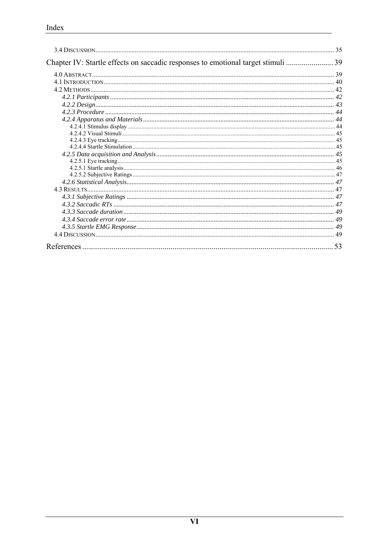|                                                                               | 35   |
|-------------------------------------------------------------------------------|------|
| Chapter IV: Startle effects on saccadic responses to emotional target stimuli | . 39 |
|                                                                               |      |
|                                                                               |      |
|                                                                               |      |
|                                                                               |      |
|                                                                               |      |
|                                                                               |      |
|                                                                               |      |
|                                                                               |      |
|                                                                               |      |
|                                                                               |      |
|                                                                               |      |
|                                                                               |      |
|                                                                               |      |
|                                                                               |      |
|                                                                               |      |
|                                                                               |      |
|                                                                               |      |
|                                                                               |      |
|                                                                               |      |
|                                                                               |      |
|                                                                               |      |
|                                                                               |      |
|                                                                               |      |
|                                                                               | 53   |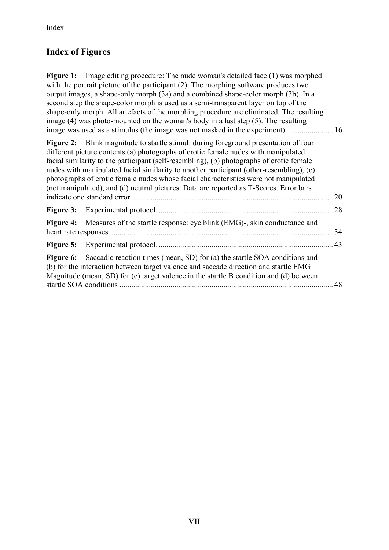# **Index of Figures**

**Figure 1:** Image editing procedure: The nude woman's detailed face (1) was morphed with the portrait picture of the participant (2). The morphing software produces two output images, a shape-only morph (3a) and a combined shape-color morph (3b). In a second step the shape-color morph is used as a semi-transparent layer on top of the shape-only morph. All artefacts of the morphing procedure are eliminated. The resulting image (4) was photo-mounted on the woman's body in a last step (5). The resulting image was used as a stimulus (the image was not masked in the experiment). ....................... 16

**Figure 2:** Blink magnitude to startle stimuli during foreground presentation of four different picture contents (a) photographs of erotic female nudes with manipulated facial similarity to the participant (self-resembling), (b) photographs of erotic female nudes with manipulated facial similarity to another participant (other-resembling), (c) photographs of erotic female nudes whose facial characteristics were not manipulated (not manipulated), and (d) neutral pictures. Data are reported as T-Scores. Error bars indicate one standard error. ...................................................................................................... 20 **Figure 3:** Experimental protocol. ......................................................................................... 28 **Figure 4:** Measures of the startle response: eye blink (EMG)-, skin conductance and heart rate responses. ................................................................................................................. 34 **Figure 5:** Experimental protocol. ......................................................................................... 43 **Figure 6:** Saccadic reaction times (mean, SD) for (a) the startle SOA conditions and (b) for the interaction between target valence and saccade direction and startle EMG Magnitude (mean, SD) for (c) target valence in the startle B condition and (d) between startle SOA conditions ............................................................................................................. 48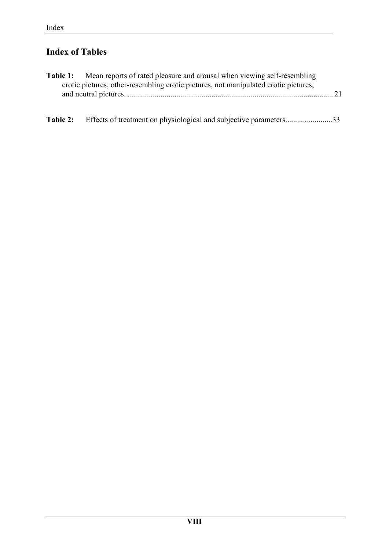# **Index of Tables**

|          | <b>Table 1:</b> Mean reports of rated pleasure and arousal when viewing self-resembling |  |
|----------|-----------------------------------------------------------------------------------------|--|
|          | erotic pictures, other-resembling erotic pictures, not manipulated erotic pictures,     |  |
|          |                                                                                         |  |
| Table 2: | Effects of treatment on physiological and subjective parameters33                       |  |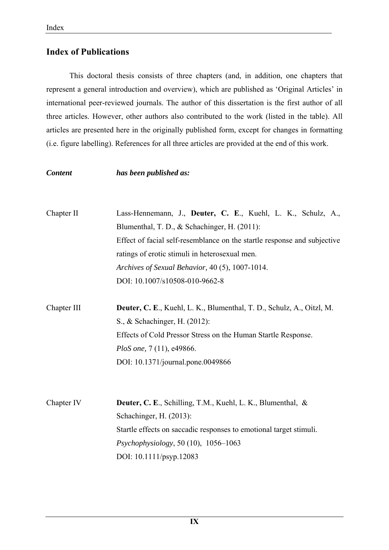## **Index of Publications**

This doctoral thesis consists of three chapters (and, in addition, one chapters that represent a general introduction and overview), which are published as 'Original Articles' in international peer-reviewed journals. The author of this dissertation is the first author of all three articles. However, other authors also contributed to the work (listed in the table). All articles are presented here in the originally published form, except for changes in formatting (i.e. figure labelling). References for all three articles are provided at the end of this work.

*Content has been published as:* 

- Chapter II Lass-Hennemann, J., **Deuter, C. E**., Kuehl, L. K., Schulz, A., Blumenthal, T. D., & Schachinger, H. (2011): Effect of facial self-resemblance on the startle response and subjective ratings of erotic stimuli in heterosexual men. *Archives of Sexual Behavior,* 40 (5), 1007-1014. DOI: 10.1007/s10508-010-9662-8
- Chapter III **Deuter, C. E**., Kuehl, L. K., Blumenthal, T. D., Schulz, A., Oitzl, M. S., & Schachinger, H. (2012): Effects of Cold Pressor Stress on the Human Startle Response. *PloS one,* 7 (11), e49866. DOI: 10.1371/journal.pone.0049866
- Chapter IV **Deuter, C. E**., Schilling, T.M., Kuehl, L. K., Blumenthal, & Schachinger, H. (2013): Startle effects on saccadic responses to emotional target stimuli. *Psychophysiology*, 50 (10), 1056–1063 DOI: 10.1111/psyp.12083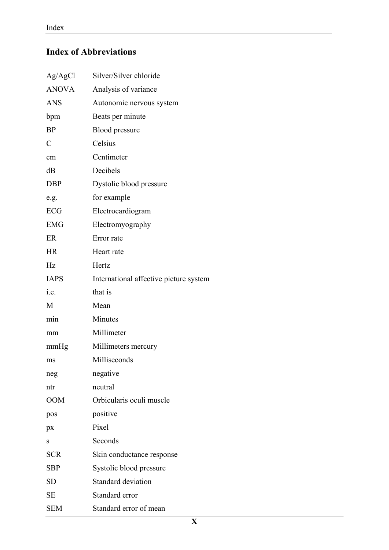# **Index of Abbreviations**

| Ag/AgCl        | Silver/Silver chloride                 |  |  |  |  |
|----------------|----------------------------------------|--|--|--|--|
| <b>ANOVA</b>   | Analysis of variance                   |  |  |  |  |
| <b>ANS</b>     | Autonomic nervous system               |  |  |  |  |
| bpm            | Beats per minute                       |  |  |  |  |
| <b>BP</b>      | Blood pressure                         |  |  |  |  |
| $\overline{C}$ | Celsius                                |  |  |  |  |
| cm             | Centimeter                             |  |  |  |  |
| dB             | Decibels                               |  |  |  |  |
| <b>DBP</b>     | Dystolic blood pressure                |  |  |  |  |
| e.g.           | for example                            |  |  |  |  |
| ECG            | Electrocardiogram                      |  |  |  |  |
| <b>EMG</b>     | Electromyography                       |  |  |  |  |
| ER             | Error rate                             |  |  |  |  |
| <b>HR</b>      | Heart rate                             |  |  |  |  |
| Hz             | Hertz                                  |  |  |  |  |
| <b>IAPS</b>    | International affective picture system |  |  |  |  |
| i.e.           | that is                                |  |  |  |  |
| M              | Mean                                   |  |  |  |  |
| min            | Minutes                                |  |  |  |  |
| mm             | Millimeter                             |  |  |  |  |
| mmHg           | Millimeters mercury                    |  |  |  |  |
| ms             | Milliseconds                           |  |  |  |  |
| neg            | negative                               |  |  |  |  |
| ntr            | neutral                                |  |  |  |  |
| <b>OOM</b>     | Orbicularis oculi muscle               |  |  |  |  |
| pos            | positive                               |  |  |  |  |
| px             | Pixel                                  |  |  |  |  |
| S              | Seconds                                |  |  |  |  |
| <b>SCR</b>     | Skin conductance response              |  |  |  |  |
| <b>SBP</b>     | Systolic blood pressure                |  |  |  |  |
| <b>SD</b>      | <b>Standard deviation</b>              |  |  |  |  |
| SЕ             | Standard error                         |  |  |  |  |
| <b>SEM</b>     | Standard error of mean                 |  |  |  |  |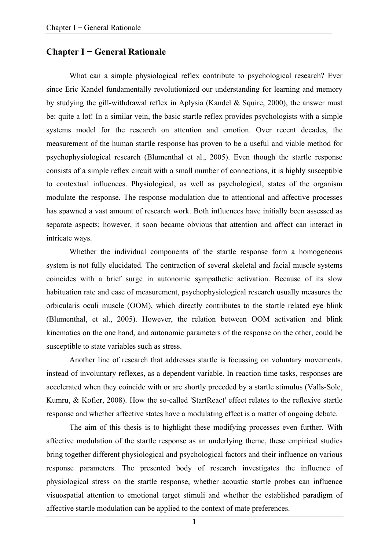#### **Chapter I − General Rationale**

What can a simple physiological reflex contribute to psychological research? Ever since Eric Kandel fundamentally revolutionized our understanding for learning and memory by studying the gill-withdrawal reflex in Aplysia (Kandel & Squire, 2000), the answer must be: quite a lot! In a similar vein, the basic startle reflex provides psychologists with a simple systems model for the research on attention and emotion. Over recent decades, the measurement of the human startle response has proven to be a useful and viable method for psychophysiological research (Blumenthal et al., 2005). Even though the startle response consists of a simple reflex circuit with a small number of connections, it is highly susceptible to contextual influences. Physiological, as well as psychological, states of the organism modulate the response. The response modulation due to attentional and affective processes has spawned a vast amount of research work. Both influences have initially been assessed as separate aspects; however, it soon became obvious that attention and affect can interact in intricate ways.

Whether the individual components of the startle response form a homogeneous system is not fully elucidated. The contraction of several skeletal and facial muscle systems coincides with a brief surge in autonomic sympathetic activation. Because of its slow habituation rate and ease of measurement, psychophysiological research usually measures the orbicularis oculi muscle (OOM), which directly contributes to the startle related eye blink (Blumenthal, et al., 2005). However, the relation between OOM activation and blink kinematics on the one hand, and autonomic parameters of the response on the other, could be susceptible to state variables such as stress.

Another line of research that addresses startle is focussing on voluntary movements, instead of involuntary reflexes, as a dependent variable. In reaction time tasks, responses are accelerated when they coincide with or are shortly preceded by a startle stimulus (Valls-Sole, Kumru, & Kofler, 2008). How the so-called 'StartReact' effect relates to the reflexive startle response and whether affective states have a modulating effect is a matter of ongoing debate.

The aim of this thesis is to highlight these modifying processes even further. With affective modulation of the startle response as an underlying theme, these empirical studies bring together different physiological and psychological factors and their influence on various response parameters. The presented body of research investigates the influence of physiological stress on the startle response, whether acoustic startle probes can influence visuospatial attention to emotional target stimuli and whether the established paradigm of affective startle modulation can be applied to the context of mate preferences.

**1**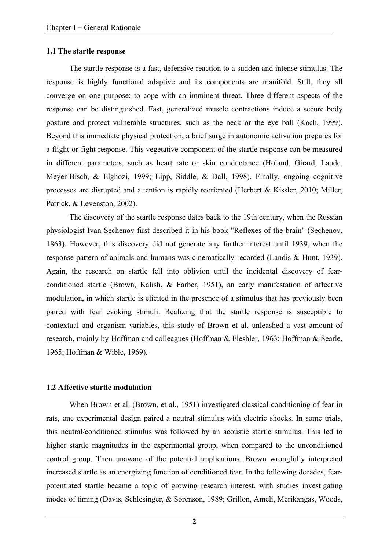#### **1.1 The startle response**

The startle response is a fast, defensive reaction to a sudden and intense stimulus. The response is highly functional adaptive and its components are manifold. Still, they all converge on one purpose: to cope with an imminent threat. Three different aspects of the response can be distinguished. Fast, generalized muscle contractions induce a secure body posture and protect vulnerable structures, such as the neck or the eye ball (Koch, 1999). Beyond this immediate physical protection, a brief surge in autonomic activation prepares for a flight-or-fight response. This vegetative component of the startle response can be measured in different parameters, such as heart rate or skin conductance (Holand, Girard, Laude, Meyer-Bisch, & Elghozi, 1999; Lipp, Siddle, & Dall, 1998). Finally, ongoing cognitive processes are disrupted and attention is rapidly reoriented (Herbert & Kissler, 2010; Miller, Patrick, & Levenston, 2002).

The discovery of the startle response dates back to the 19th century, when the Russian physiologist Ivan Sechenov first described it in his book "Reflexes of the brain" (Sechenov, 1863). However, this discovery did not generate any further interest until 1939, when the response pattern of animals and humans was cinematically recorded (Landis & Hunt, 1939). Again, the research on startle fell into oblivion until the incidental discovery of fearconditioned startle (Brown, Kalish, & Farber, 1951), an early manifestation of affective modulation, in which startle is elicited in the presence of a stimulus that has previously been paired with fear evoking stimuli. Realizing that the startle response is susceptible to contextual and organism variables, this study of Brown et al. unleashed a vast amount of research, mainly by Hoffman and colleagues (Hoffman & Fleshler, 1963; Hoffman & Searle, 1965; Hoffman & Wible, 1969).

#### **1.2 Affective startle modulation**

When Brown et al. (Brown, et al., 1951) investigated classical conditioning of fear in rats, one experimental design paired a neutral stimulus with electric shocks. In some trials, this neutral/conditioned stimulus was followed by an acoustic startle stimulus. This led to higher startle magnitudes in the experimental group, when compared to the unconditioned control group. Then unaware of the potential implications, Brown wrongfully interpreted increased startle as an energizing function of conditioned fear. In the following decades, fearpotentiated startle became a topic of growing research interest, with studies investigating modes of timing (Davis, Schlesinger, & Sorenson, 1989; Grillon, Ameli, Merikangas, Woods,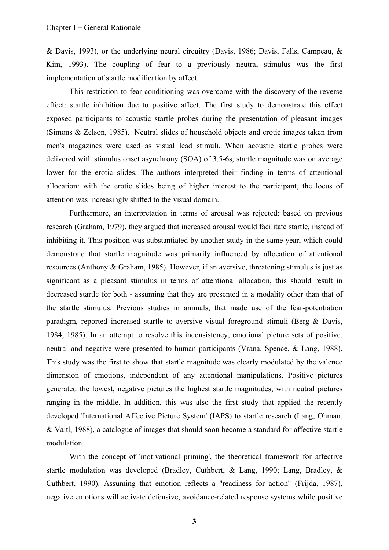& Davis, 1993), or the underlying neural circuitry (Davis, 1986; Davis, Falls, Campeau, & Kim, 1993). The coupling of fear to a previously neutral stimulus was the first implementation of startle modification by affect.

This restriction to fear-conditioning was overcome with the discovery of the reverse effect: startle inhibition due to positive affect. The first study to demonstrate this effect exposed participants to acoustic startle probes during the presentation of pleasant images (Simons & Zelson, 1985). Neutral slides of household objects and erotic images taken from men's magazines were used as visual lead stimuli. When acoustic startle probes were delivered with stimulus onset asynchrony (SOA) of 3.5-6s, startle magnitude was on average lower for the erotic slides. The authors interpreted their finding in terms of attentional allocation: with the erotic slides being of higher interest to the participant, the locus of attention was increasingly shifted to the visual domain.

Furthermore, an interpretation in terms of arousal was rejected: based on previous research (Graham, 1979), they argued that increased arousal would facilitate startle, instead of inhibiting it. This position was substantiated by another study in the same year, which could demonstrate that startle magnitude was primarily influenced by allocation of attentional resources (Anthony & Graham, 1985). However, if an aversive, threatening stimulus is just as significant as a pleasant stimulus in terms of attentional allocation, this should result in decreased startle for both - assuming that they are presented in a modality other than that of the startle stimulus. Previous studies in animals, that made use of the fear-potentiation paradigm, reported increased startle to aversive visual foreground stimuli (Berg & Davis, 1984, 1985). In an attempt to resolve this inconsistency, emotional picture sets of positive, neutral and negative were presented to human participants (Vrana, Spence, & Lang, 1988). This study was the first to show that startle magnitude was clearly modulated by the valence dimension of emotions, independent of any attentional manipulations. Positive pictures generated the lowest, negative pictures the highest startle magnitudes, with neutral pictures ranging in the middle. In addition, this was also the first study that applied the recently developed 'International Affective Picture System' (IAPS) to startle research (Lang, Ohman, & Vaitl, 1988), a catalogue of images that should soon become a standard for affective startle modulation.

With the concept of 'motivational priming', the theoretical framework for affective startle modulation was developed (Bradley, Cuthbert, & Lang, 1990; Lang, Bradley, & Cuthbert, 1990). Assuming that emotion reflects a "readiness for action" (Frijda, 1987), negative emotions will activate defensive, avoidance-related response systems while positive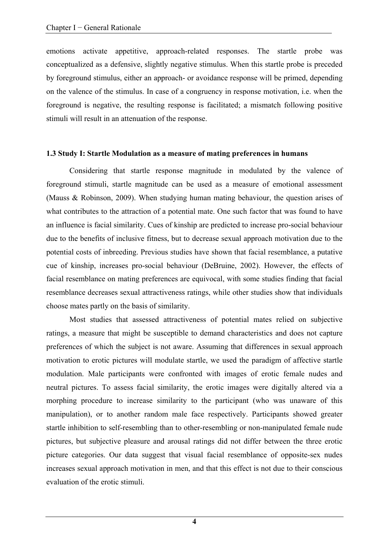emotions activate appetitive, approach-related responses. The startle probe was conceptualized as a defensive, slightly negative stimulus. When this startle probe is preceded by foreground stimulus, either an approach- or avoidance response will be primed, depending on the valence of the stimulus. In case of a congruency in response motivation, i.e. when the foreground is negative, the resulting response is facilitated; a mismatch following positive stimuli will result in an attenuation of the response.

#### **1.3 Study I: Startle Modulation as a measure of mating preferences in humans**

Considering that startle response magnitude in modulated by the valence of foreground stimuli, startle magnitude can be used as a measure of emotional assessment (Mauss & Robinson, 2009). When studying human mating behaviour, the question arises of what contributes to the attraction of a potential mate. One such factor that was found to have an influence is facial similarity. Cues of kinship are predicted to increase pro-social behaviour due to the benefits of inclusive fitness, but to decrease sexual approach motivation due to the potential costs of inbreeding. Previous studies have shown that facial resemblance, a putative cue of kinship, increases pro-social behaviour (DeBruine, 2002). However, the effects of facial resemblance on mating preferences are equivocal, with some studies finding that facial resemblance decreases sexual attractiveness ratings, while other studies show that individuals choose mates partly on the basis of similarity.

Most studies that assessed attractiveness of potential mates relied on subjective ratings, a measure that might be susceptible to demand characteristics and does not capture preferences of which the subject is not aware. Assuming that differences in sexual approach motivation to erotic pictures will modulate startle, we used the paradigm of affective startle modulation. Male participants were confronted with images of erotic female nudes and neutral pictures. To assess facial similarity, the erotic images were digitally altered via a morphing procedure to increase similarity to the participant (who was unaware of this manipulation), or to another random male face respectively. Participants showed greater startle inhibition to self-resembling than to other-resembling or non-manipulated female nude pictures, but subjective pleasure and arousal ratings did not differ between the three erotic picture categories. Our data suggest that visual facial resemblance of opposite-sex nudes increases sexual approach motivation in men, and that this effect is not due to their conscious evaluation of the erotic stimuli.

**4**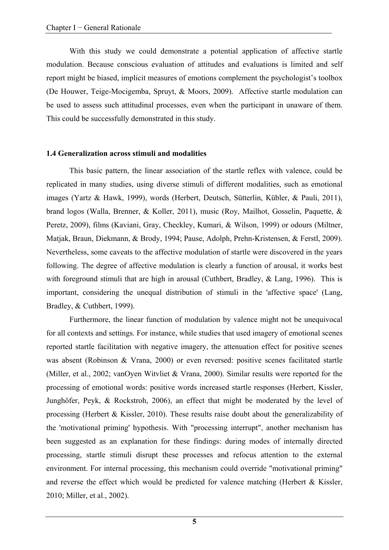With this study we could demonstrate a potential application of affective startle modulation. Because conscious evaluation of attitudes and evaluations is limited and self report might be biased, implicit measures of emotions complement the psychologist's toolbox (De Houwer, Teige-Mocigemba, Spruyt, & Moors, 2009). Affective startle modulation can be used to assess such attitudinal processes, even when the participant in unaware of them. This could be successfully demonstrated in this study.

#### **1.4 Generalization across stimuli and modalities**

This basic pattern, the linear association of the startle reflex with valence, could be replicated in many studies, using diverse stimuli of different modalities, such as emotional images (Yartz & Hawk, 1999), words (Herbert, Deutsch, Sütterlin, Kübler, & Pauli, 2011), brand logos (Walla, Brenner, & Koller, 2011), music (Roy, Mailhot, Gosselin, Paquette, & Peretz, 2009), films (Kaviani, Gray, Checkley, Kumari, & Wilson, 1999) or odours (Miltner, Matjak, Braun, Diekmann, & Brody, 1994; Pause, Adolph, Prehn-Kristensen, & Ferstl, 2009). Nevertheless, some caveats to the affective modulation of startle were discovered in the years following. The degree of affective modulation is clearly a function of arousal, it works best with foreground stimuli that are high in arousal (Cuthbert, Bradley, & Lang, 1996). This is important, considering the unequal distribution of stimuli in the 'affective space' (Lang, Bradley, & Cuthbert, 1999).

Furthermore, the linear function of modulation by valence might not be unequivocal for all contexts and settings. For instance, while studies that used imagery of emotional scenes reported startle facilitation with negative imagery, the attenuation effect for positive scenes was absent (Robinson & Vrana, 2000) or even reversed: positive scenes facilitated startle (Miller, et al., 2002; vanOyen Witvliet & Vrana, 2000). Similar results were reported for the processing of emotional words: positive words increased startle responses (Herbert, Kissler, Junghöfer, Peyk, & Rockstroh, 2006), an effect that might be moderated by the level of processing (Herbert & Kissler, 2010). These results raise doubt about the generalizability of the 'motivational priming' hypothesis. With "processing interrupt", another mechanism has been suggested as an explanation for these findings: during modes of internally directed processing, startle stimuli disrupt these processes and refocus attention to the external environment. For internal processing, this mechanism could override "motivational priming" and reverse the effect which would be predicted for valence matching (Herbert & Kissler, 2010; Miller, et al., 2002).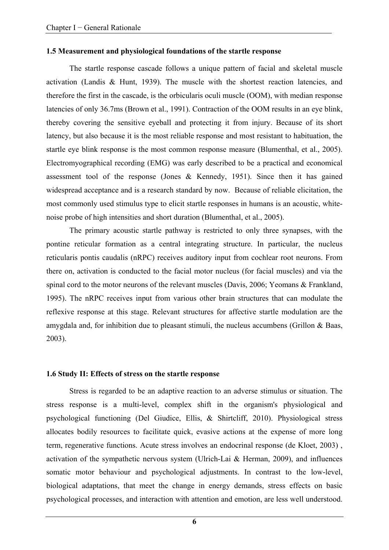#### **1.5 Measurement and physiological foundations of the startle response**

The startle response cascade follows a unique pattern of facial and skeletal muscle activation (Landis & Hunt, 1939). The muscle with the shortest reaction latencies, and therefore the first in the cascade, is the orbicularis oculi muscle (OOM), with median response latencies of only 36.7ms (Brown et al., 1991). Contraction of the OOM results in an eye blink, thereby covering the sensitive eyeball and protecting it from injury. Because of its short latency, but also because it is the most reliable response and most resistant to habituation, the startle eye blink response is the most common response measure (Blumenthal, et al., 2005). Electromyographical recording (EMG) was early described to be a practical and economical assessment tool of the response (Jones & Kennedy, 1951). Since then it has gained widespread acceptance and is a research standard by now. Because of reliable elicitation, the most commonly used stimulus type to elicit startle responses in humans is an acoustic, whitenoise probe of high intensities and short duration (Blumenthal, et al., 2005).

The primary acoustic startle pathway is restricted to only three synapses, with the pontine reticular formation as a central integrating structure. In particular, the nucleus reticularis pontis caudalis (nRPC) receives auditory input from cochlear root neurons. From there on, activation is conducted to the facial motor nucleus (for facial muscles) and via the spinal cord to the motor neurons of the relevant muscles (Davis, 2006; Yeomans & Frankland, 1995). The nRPC receives input from various other brain structures that can modulate the reflexive response at this stage. Relevant structures for affective startle modulation are the amygdala and, for inhibition due to pleasant stimuli, the nucleus accumbens (Grillon & Baas, 2003).

#### **1.6 Study II: Effects of stress on the startle response**

Stress is regarded to be an adaptive reaction to an adverse stimulus or situation. The stress response is a multi-level, complex shift in the organism's physiological and psychological functioning (Del Giudice, Ellis, & Shirtcliff, 2010). Physiological stress allocates bodily resources to facilitate quick, evasive actions at the expense of more long term, regenerative functions. Acute stress involves an endocrinal response (de Kloet, 2003) , activation of the sympathetic nervous system (Ulrich-Lai & Herman, 2009), and influences somatic motor behaviour and psychological adjustments. In contrast to the low-level, biological adaptations, that meet the change in energy demands, stress effects on basic psychological processes, and interaction with attention and emotion, are less well understood.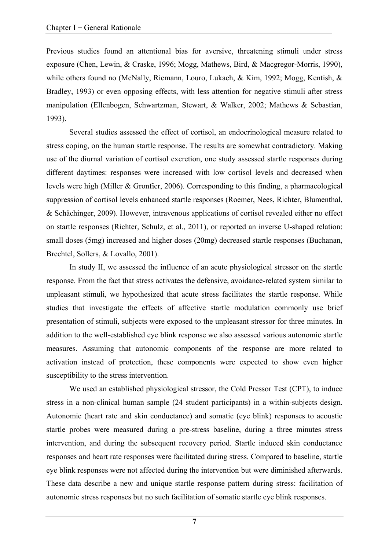Previous studies found an attentional bias for aversive, threatening stimuli under stress exposure (Chen, Lewin, & Craske, 1996; Mogg, Mathews, Bird, & Macgregor-Morris, 1990), while others found no (McNally, Riemann, Louro, Lukach, & Kim, 1992; Mogg, Kentish, & Bradley, 1993) or even opposing effects, with less attention for negative stimuli after stress manipulation (Ellenbogen, Schwartzman, Stewart, & Walker, 2002; Mathews & Sebastian, 1993).

Several studies assessed the effect of cortisol, an endocrinological measure related to stress coping, on the human startle response. The results are somewhat contradictory. Making use of the diurnal variation of cortisol excretion, one study assessed startle responses during different daytimes: responses were increased with low cortisol levels and decreased when levels were high (Miller & Gronfier, 2006). Corresponding to this finding, a pharmacological suppression of cortisol levels enhanced startle responses (Roemer, Nees, Richter, Blumenthal, & Schächinger, 2009). However, intravenous applications of cortisol revealed either no effect on startle responses (Richter, Schulz, et al., 2011), or reported an inverse U-shaped relation: small doses (5mg) increased and higher doses (20mg) decreased startle responses (Buchanan, Brechtel, Sollers, & Lovallo, 2001).

In study II, we assessed the influence of an acute physiological stressor on the startle response. From the fact that stress activates the defensive, avoidance-related system similar to unpleasant stimuli, we hypothesized that acute stress facilitates the startle response. While studies that investigate the effects of affective startle modulation commonly use brief presentation of stimuli, subjects were exposed to the unpleasant stressor for three minutes. In addition to the well-established eye blink response we also assessed various autonomic startle measures. Assuming that autonomic components of the response are more related to activation instead of protection, these components were expected to show even higher susceptibility to the stress intervention.

We used an established physiological stressor, the Cold Pressor Test (CPT), to induce stress in a non-clinical human sample (24 student participants) in a within-subjects design. Autonomic (heart rate and skin conductance) and somatic (eye blink) responses to acoustic startle probes were measured during a pre-stress baseline, during a three minutes stress intervention, and during the subsequent recovery period. Startle induced skin conductance responses and heart rate responses were facilitated during stress. Compared to baseline, startle eye blink responses were not affected during the intervention but were diminished afterwards. These data describe a new and unique startle response pattern during stress: facilitation of autonomic stress responses but no such facilitation of somatic startle eye blink responses.

**7**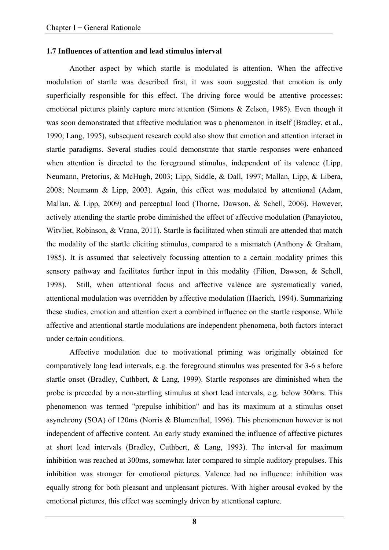#### **1.7 Influences of attention and lead stimulus interval**

Another aspect by which startle is modulated is attention. When the affective modulation of startle was described first, it was soon suggested that emotion is only superficially responsible for this effect. The driving force would be attentive processes: emotional pictures plainly capture more attention (Simons & Zelson, 1985). Even though it was soon demonstrated that affective modulation was a phenomenon in itself (Bradley, et al., 1990; Lang, 1995), subsequent research could also show that emotion and attention interact in startle paradigms. Several studies could demonstrate that startle responses were enhanced when attention is directed to the foreground stimulus, independent of its valence (Lipp, Neumann, Pretorius, & McHugh, 2003; Lipp, Siddle, & Dall, 1997; Mallan, Lipp, & Libera, 2008; Neumann & Lipp, 2003). Again, this effect was modulated by attentional (Adam, Mallan, & Lipp, 2009) and perceptual load (Thorne, Dawson, & Schell, 2006). However, actively attending the startle probe diminished the effect of affective modulation (Panayiotou, Witvliet, Robinson, & Vrana, 2011). Startle is facilitated when stimuli are attended that match the modality of the startle eliciting stimulus, compared to a mismatch (Anthony & Graham, 1985). It is assumed that selectively focussing attention to a certain modality primes this sensory pathway and facilitates further input in this modality (Filion, Dawson, & Schell, 1998). Still, when attentional focus and affective valence are systematically varied, attentional modulation was overridden by affective modulation (Haerich, 1994). Summarizing these studies, emotion and attention exert a combined influence on the startle response. While affective and attentional startle modulations are independent phenomena, both factors interact under certain conditions.

Affective modulation due to motivational priming was originally obtained for comparatively long lead intervals, e.g. the foreground stimulus was presented for 3-6 s before startle onset (Bradley, Cuthbert, & Lang, 1999). Startle responses are diminished when the probe is preceded by a non-startling stimulus at short lead intervals, e.g. below 300ms. This phenomenon was termed "prepulse inhibition" and has its maximum at a stimulus onset asynchrony (SOA) of 120ms (Norris & Blumenthal, 1996). This phenomenon however is not independent of affective content. An early study examined the influence of affective pictures at short lead intervals (Bradley, Cuthbert, & Lang, 1993). The interval for maximum inhibition was reached at 300ms, somewhat later compared to simple auditory prepulses. This inhibition was stronger for emotional pictures. Valence had no influence: inhibition was equally strong for both pleasant and unpleasant pictures. With higher arousal evoked by the emotional pictures, this effect was seemingly driven by attentional capture.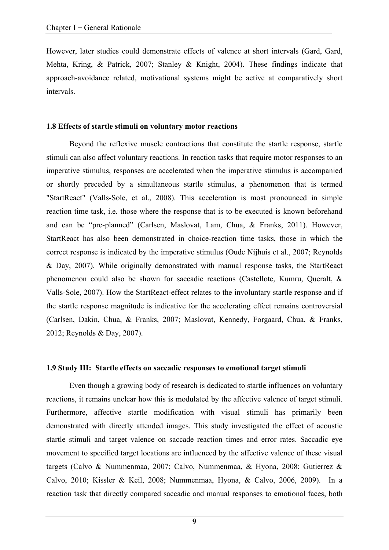However, later studies could demonstrate effects of valence at short intervals (Gard, Gard, Mehta, Kring, & Patrick, 2007; Stanley & Knight, 2004). These findings indicate that approach-avoidance related, motivational systems might be active at comparatively short intervals.

#### **1.8 Effects of startle stimuli on voluntary motor reactions**

Beyond the reflexive muscle contractions that constitute the startle response, startle stimuli can also affect voluntary reactions. In reaction tasks that require motor responses to an imperative stimulus, responses are accelerated when the imperative stimulus is accompanied or shortly preceded by a simultaneous startle stimulus, a phenomenon that is termed "StartReact" (Valls-Sole, et al., 2008). This acceleration is most pronounced in simple reaction time task, i.e. those where the response that is to be executed is known beforehand and can be "pre-planned" (Carlsen, Maslovat, Lam, Chua, & Franks, 2011). However, StartReact has also been demonstrated in choice-reaction time tasks, those in which the correct response is indicated by the imperative stimulus (Oude Nijhuis et al., 2007; Reynolds & Day, 2007). While originally demonstrated with manual response tasks, the StartReact phenomenon could also be shown for saccadic reactions (Castellote, Kumru, Queralt, & Valls-Sole, 2007). How the StartReact-effect relates to the involuntary startle response and if the startle response magnitude is indicative for the accelerating effect remains controversial (Carlsen, Dakin, Chua, & Franks, 2007; Maslovat, Kennedy, Forgaard, Chua, & Franks, 2012; Reynolds & Day, 2007).

#### **1.9 Study III: Startle effects on saccadic responses to emotional target stimuli**

Even though a growing body of research is dedicated to startle influences on voluntary reactions, it remains unclear how this is modulated by the affective valence of target stimuli. Furthermore, affective startle modification with visual stimuli has primarily been demonstrated with directly attended images. This study investigated the effect of acoustic startle stimuli and target valence on saccade reaction times and error rates. Saccadic eye movement to specified target locations are influenced by the affective valence of these visual targets (Calvo & Nummenmaa, 2007; Calvo, Nummenmaa, & Hyona, 2008; Gutierrez & Calvo, 2010; Kissler & Keil, 2008; Nummenmaa, Hyona, & Calvo, 2006, 2009). In a reaction task that directly compared saccadic and manual responses to emotional faces, both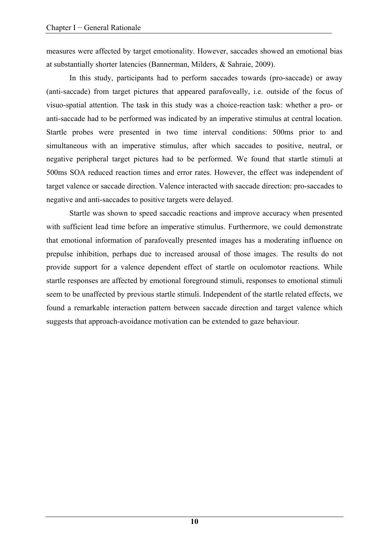measures were affected by target emotionality. However, saccades showed an emotional bias at substantially shorter latencies (Bannerman, Milders, & Sahraie, 2009).

In this study, participants had to perform saccades towards (pro-saccade) or away (anti-saccade) from target pictures that appeared parafoveally, i.e. outside of the focus of visuo-spatial attention. The task in this study was a choice-reaction task: whether a pro- or anti-saccade had to be performed was indicated by an imperative stimulus at central location. Startle probes were presented in two time interval conditions: 500ms prior to and simultaneous with an imperative stimulus, after which saccades to positive, neutral, or negative peripheral target pictures had to be performed. We found that startle stimuli at 500ms SOA reduced reaction times and error rates. However, the effect was independent of target valence or saccade direction. Valence interacted with saccade direction: pro-saccades to negative and anti-saccades to positive targets were delayed.

Startle was shown to speed saccadic reactions and improve accuracy when presented with sufficient lead time before an imperative stimulus. Furthermore, we could demonstrate that emotional information of parafoveally presented images has a moderating influence on prepulse inhibition, perhaps due to increased arousal of those images. The results do not provide support for a valence dependent effect of startle on oculomotor reactions. While startle responses are affected by emotional foreground stimuli, responses to emotional stimuli seem to be unaffected by previous startle stimuli. Independent of the startle related effects, we found a remarkable interaction pattern between saccade direction and target valence which suggests that approach-avoidance motivation can be extended to gaze behaviour.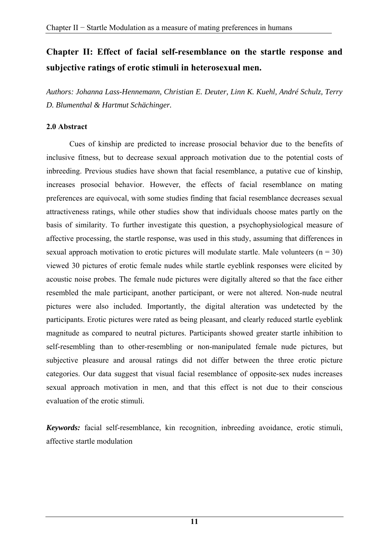# **Chapter II: Effect of facial self-resemblance on the startle response and subjective ratings of erotic stimuli in heterosexual men.**

*Authors: Johanna Lass-Hennemann, Christian E. Deuter, Linn K. Kuehl, André Schulz, Terry D. Blumenthal & Hartmut Schächinger.* 

## **2.0 Abstract**

Cues of kinship are predicted to increase prosocial behavior due to the benefits of inclusive fitness, but to decrease sexual approach motivation due to the potential costs of inbreeding. Previous studies have shown that facial resemblance, a putative cue of kinship, increases prosocial behavior. However, the effects of facial resemblance on mating preferences are equivocal, with some studies finding that facial resemblance decreases sexual attractiveness ratings, while other studies show that individuals choose mates partly on the basis of similarity. To further investigate this question, a psychophysiological measure of affective processing, the startle response, was used in this study, assuming that differences in sexual approach motivation to erotic pictures will modulate startle. Male volunteers  $(n = 30)$ viewed 30 pictures of erotic female nudes while startle eyeblink responses were elicited by acoustic noise probes. The female nude pictures were digitally altered so that the face either resembled the male participant, another participant, or were not altered. Non-nude neutral pictures were also included. Importantly, the digital alteration was undetected by the participants. Erotic pictures were rated as being pleasant, and clearly reduced startle eyeblink magnitude as compared to neutral pictures. Participants showed greater startle inhibition to self-resembling than to other-resembling or non-manipulated female nude pictures, but subjective pleasure and arousal ratings did not differ between the three erotic picture categories. Our data suggest that visual facial resemblance of opposite-sex nudes increases sexual approach motivation in men, and that this effect is not due to their conscious evaluation of the erotic stimuli.

*Keywords:* facial self-resemblance, kin recognition, inbreeding avoidance, erotic stimuli, affective startle modulation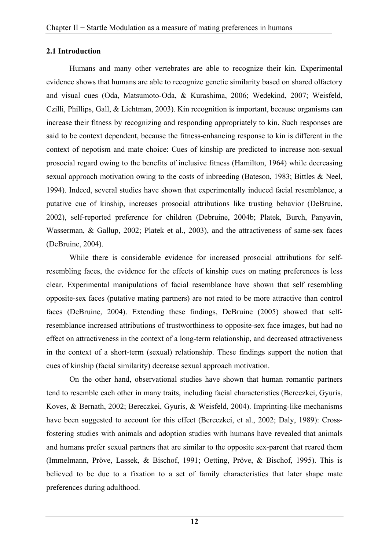#### **2.1 Introduction**

Humans and many other vertebrates are able to recognize their kin. Experimental evidence shows that humans are able to recognize genetic similarity based on shared olfactory and visual cues (Oda, Matsumoto-Oda, & Kurashima, 2006; Wedekind, 2007; Weisfeld, Czilli, Phillips, Gall, & Lichtman, 2003). Kin recognition is important, because organisms can increase their fitness by recognizing and responding appropriately to kin. Such responses are said to be context dependent, because the fitness-enhancing response to kin is different in the context of nepotism and mate choice: Cues of kinship are predicted to increase non-sexual prosocial regard owing to the benefits of inclusive fitness (Hamilton, 1964) while decreasing sexual approach motivation owing to the costs of inbreeding (Bateson, 1983; Bittles & Neel, 1994). Indeed, several studies have shown that experimentally induced facial resemblance, a putative cue of kinship, increases prosocial attributions like trusting behavior (DeBruine, 2002), self-reported preference for children (Debruine, 2004b; Platek, Burch, Panyavin, Wasserman, & Gallup, 2002; Platek et al., 2003), and the attractiveness of same-sex faces (DeBruine, 2004).

While there is considerable evidence for increased prosocial attributions for selfresembling faces, the evidence for the effects of kinship cues on mating preferences is less clear. Experimental manipulations of facial resemblance have shown that self resembling opposite-sex faces (putative mating partners) are not rated to be more attractive than control faces (DeBruine, 2004). Extending these findings, DeBruine (2005) showed that selfresemblance increased attributions of trustworthiness to opposite-sex face images, but had no effect on attractiveness in the context of a long-term relationship, and decreased attractiveness in the context of a short-term (sexual) relationship. These findings support the notion that cues of kinship (facial similarity) decrease sexual approach motivation.

On the other hand, observational studies have shown that human romantic partners tend to resemble each other in many traits, including facial characteristics (Bereczkei, Gyuris, Koves, & Bernath, 2002; Bereczkei, Gyuris, & Weisfeld, 2004). Imprinting-like mechanisms have been suggested to account for this effect (Bereczkei, et al., 2002; Daly, 1989): Crossfostering studies with animals and adoption studies with humans have revealed that animals and humans prefer sexual partners that are similar to the opposite sex-parent that reared them (Immelmann, Pröve, Lassek, & Bischof, 1991; Oetting, Pröve, & Bischof, 1995). This is believed to be due to a fixation to a set of family characteristics that later shape mate preferences during adulthood.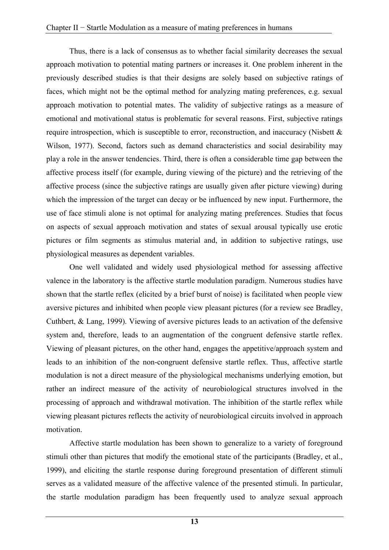Thus, there is a lack of consensus as to whether facial similarity decreases the sexual approach motivation to potential mating partners or increases it. One problem inherent in the previously described studies is that their designs are solely based on subjective ratings of faces, which might not be the optimal method for analyzing mating preferences, e.g. sexual approach motivation to potential mates. The validity of subjective ratings as a measure of emotional and motivational status is problematic for several reasons. First, subjective ratings require introspection, which is susceptible to error, reconstruction, and inaccuracy (Nisbett & Wilson, 1977). Second, factors such as demand characteristics and social desirability may play a role in the answer tendencies. Third, there is often a considerable time gap between the affective process itself (for example, during viewing of the picture) and the retrieving of the affective process (since the subjective ratings are usually given after picture viewing) during which the impression of the target can decay or be influenced by new input. Furthermore, the use of face stimuli alone is not optimal for analyzing mating preferences. Studies that focus on aspects of sexual approach motivation and states of sexual arousal typically use erotic pictures or film segments as stimulus material and, in addition to subjective ratings, use physiological measures as dependent variables.

One well validated and widely used physiological method for assessing affective valence in the laboratory is the affective startle modulation paradigm. Numerous studies have shown that the startle reflex (elicited by a brief burst of noise) is facilitated when people view aversive pictures and inhibited when people view pleasant pictures (for a review see Bradley, Cuthbert, & Lang, 1999). Viewing of aversive pictures leads to an activation of the defensive system and, therefore, leads to an augmentation of the congruent defensive startle reflex. Viewing of pleasant pictures, on the other hand, engages the appetitive/approach system and leads to an inhibition of the non-congruent defensive startle reflex. Thus, affective startle modulation is not a direct measure of the physiological mechanisms underlying emotion, but rather an indirect measure of the activity of neurobiological structures involved in the processing of approach and withdrawal motivation. The inhibition of the startle reflex while viewing pleasant pictures reflects the activity of neurobiological circuits involved in approach motivation.

Affective startle modulation has been shown to generalize to a variety of foreground stimuli other than pictures that modify the emotional state of the participants (Bradley, et al., 1999), and eliciting the startle response during foreground presentation of different stimuli serves as a validated measure of the affective valence of the presented stimuli. In particular, the startle modulation paradigm has been frequently used to analyze sexual approach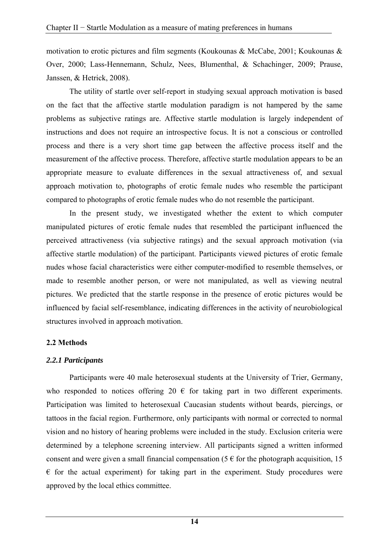motivation to erotic pictures and film segments (Koukounas & McCabe, 2001; Koukounas & Over, 2000; Lass-Hennemann, Schulz, Nees, Blumenthal, & Schachinger, 2009; Prause, Janssen, & Hetrick, 2008).

The utility of startle over self-report in studying sexual approach motivation is based on the fact that the affective startle modulation paradigm is not hampered by the same problems as subjective ratings are. Affective startle modulation is largely independent of instructions and does not require an introspective focus. It is not a conscious or controlled process and there is a very short time gap between the affective process itself and the measurement of the affective process. Therefore, affective startle modulation appears to be an appropriate measure to evaluate differences in the sexual attractiveness of, and sexual approach motivation to, photographs of erotic female nudes who resemble the participant compared to photographs of erotic female nudes who do not resemble the participant.

In the present study, we investigated whether the extent to which computer manipulated pictures of erotic female nudes that resembled the participant influenced the perceived attractiveness (via subjective ratings) and the sexual approach motivation (via affective startle modulation) of the participant. Participants viewed pictures of erotic female nudes whose facial characteristics were either computer-modified to resemble themselves, or made to resemble another person, or were not manipulated, as well as viewing neutral pictures. We predicted that the startle response in the presence of erotic pictures would be influenced by facial self-resemblance, indicating differences in the activity of neurobiological structures involved in approach motivation.

#### **2.2 Methods**

#### *2.2.1 Participants*

Participants were 40 male heterosexual students at the University of Trier, Germany, who responded to notices offering 20  $\epsilon$  for taking part in two different experiments. Participation was limited to heterosexual Caucasian students without beards, piercings, or tattoos in the facial region. Furthermore, only participants with normal or corrected to normal vision and no history of hearing problems were included in the study. Exclusion criteria were determined by a telephone screening interview. All participants signed a written informed consent and were given a small financial compensation (5  $\epsilon$  for the photograph acquisition, 15  $\epsilon$  for the actual experiment) for taking part in the experiment. Study procedures were approved by the local ethics committee.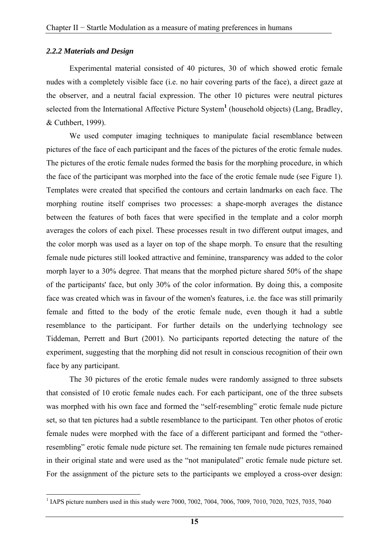#### *2.2.2 Materials and Design*

Experimental material consisted of 40 pictures, 30 of which showed erotic female nudes with a completely visible face (i.e. no hair covering parts of the face), a direct gaze at the observer, and a neutral facial expression. The other 10 pictures were neutral pictures selected from the International Affective Picture System<sup>1</sup> (household objects) (Lang, Bradley, & Cuthbert, 1999).

We used computer imaging techniques to manipulate facial resemblance between pictures of the face of each participant and the faces of the pictures of the erotic female nudes. The pictures of the erotic female nudes formed the basis for the morphing procedure, in which the face of the participant was morphed into the face of the erotic female nude (see Figure 1). Templates were created that specified the contours and certain landmarks on each face. The morphing routine itself comprises two processes: a shape-morph averages the distance between the features of both faces that were specified in the template and a color morph averages the colors of each pixel. These processes result in two different output images, and the color morph was used as a layer on top of the shape morph. To ensure that the resulting female nude pictures still looked attractive and feminine, transparency was added to the color morph layer to a 30% degree. That means that the morphed picture shared 50% of the shape of the participants' face, but only 30% of the color information. By doing this, a composite face was created which was in favour of the women's features, i.e. the face was still primarily female and fitted to the body of the erotic female nude, even though it had a subtle resemblance to the participant. For further details on the underlying technology see Tiddeman, Perrett and Burt (2001). No participants reported detecting the nature of the experiment, suggesting that the morphing did not result in conscious recognition of their own face by any participant.

The 30 pictures of the erotic female nudes were randomly assigned to three subsets that consisted of 10 erotic female nudes each. For each participant, one of the three subsets was morphed with his own face and formed the "self-resembling" erotic female nude picture set, so that ten pictures had a subtle resemblance to the participant. Ten other photos of erotic female nudes were morphed with the face of a different participant and formed the "otherresembling" erotic female nude picture set. The remaining ten female nude pictures remained in their original state and were used as the "not manipulated" erotic female nude picture set. For the assignment of the picture sets to the participants we employed a cross-over design:

<sup>&</sup>lt;sup>1</sup> IAPS picture numbers used in this study were 7000, 7002, 7004, 7006, 7009, 7010, 7020, 7025, 7035, 7040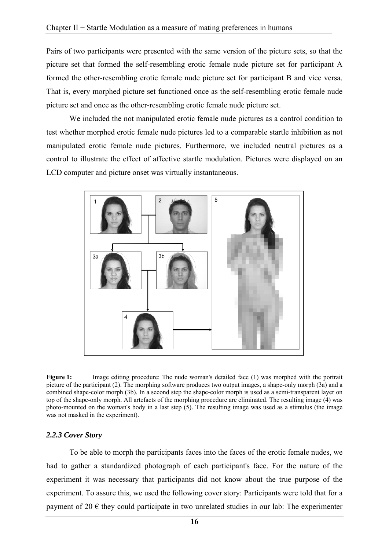Pairs of two participants were presented with the same version of the picture sets, so that the picture set that formed the self-resembling erotic female nude picture set for participant A formed the other-resembling erotic female nude picture set for participant B and vice versa. That is, every morphed picture set functioned once as the self-resembling erotic female nude picture set and once as the other-resembling erotic female nude picture set.

We included the not manipulated erotic female nude pictures as a control condition to test whether morphed erotic female nude pictures led to a comparable startle inhibition as not manipulated erotic female nude pictures. Furthermore, we included neutral pictures as a control to illustrate the effect of affective startle modulation. Pictures were displayed on an LCD computer and picture onset was virtually instantaneous.



**Figure 1:** Image editing procedure: The nude woman's detailed face (1) was morphed with the portrait picture of the participant (2). The morphing software produces two output images, a shape-only morph (3a) and a combined shape-color morph (3b). In a second step the shape-color morph is used as a semi-transparent layer on top of the shape-only morph. All artefacts of the morphing procedure are eliminated. The resulting image (4) was photo-mounted on the woman's body in a last step (5). The resulting image was used as a stimulus (the image was not masked in the experiment).

#### *2.2.3 Cover Story*

To be able to morph the participants faces into the faces of the erotic female nudes, we had to gather a standardized photograph of each participant's face. For the nature of the experiment it was necessary that participants did not know about the true purpose of the experiment. To assure this, we used the following cover story: Participants were told that for a payment of 20  $\epsilon$  they could participate in two unrelated studies in our lab: The experimenter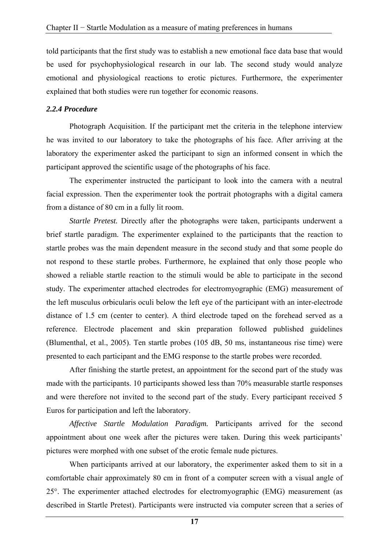told participants that the first study was to establish a new emotional face data base that would be used for psychophysiological research in our lab. The second study would analyze emotional and physiological reactions to erotic pictures. Furthermore, the experimenter explained that both studies were run together for economic reasons.

#### *2.2.4 Procedure*

Photograph Acquisition. If the participant met the criteria in the telephone interview he was invited to our laboratory to take the photographs of his face. After arriving at the laboratory the experimenter asked the participant to sign an informed consent in which the participant approved the scientific usage of the photographs of his face.

The experimenter instructed the participant to look into the camera with a neutral facial expression. Then the experimenter took the portrait photographs with a digital camera from a distance of 80 cm in a fully lit room.

*Startle Pretest.* Directly after the photographs were taken, participants underwent a brief startle paradigm. The experimenter explained to the participants that the reaction to startle probes was the main dependent measure in the second study and that some people do not respond to these startle probes. Furthermore, he explained that only those people who showed a reliable startle reaction to the stimuli would be able to participate in the second study. The experimenter attached electrodes for electromyographic (EMG) measurement of the left musculus orbicularis oculi below the left eye of the participant with an inter-electrode distance of 1.5 cm (center to center). A third electrode taped on the forehead served as a reference. Electrode placement and skin preparation followed published guidelines (Blumenthal, et al., 2005). Ten startle probes (105 dB, 50 ms, instantaneous rise time) were presented to each participant and the EMG response to the startle probes were recorded.

After finishing the startle pretest, an appointment for the second part of the study was made with the participants. 10 participants showed less than 70% measurable startle responses and were therefore not invited to the second part of the study. Every participant received 5 Euros for participation and left the laboratory.

*Affective Startle Modulation Paradigm.* Participants arrived for the second appointment about one week after the pictures were taken. During this week participants' pictures were morphed with one subset of the erotic female nude pictures.

When participants arrived at our laboratory, the experimenter asked them to sit in a comfortable chair approximately 80 cm in front of a computer screen with a visual angle of 25°. The experimenter attached electrodes for electromyographic (EMG) measurement (as described in Startle Pretest). Participants were instructed via computer screen that a series of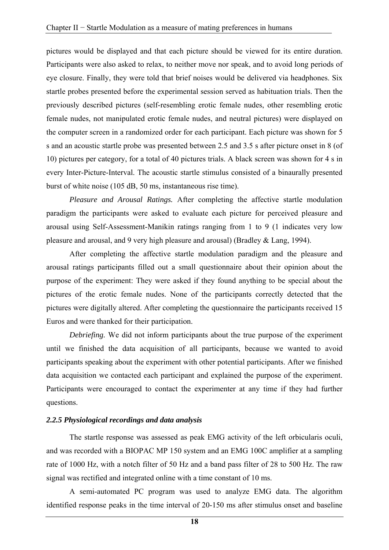pictures would be displayed and that each picture should be viewed for its entire duration. Participants were also asked to relax, to neither move nor speak, and to avoid long periods of eye closure. Finally, they were told that brief noises would be delivered via headphones. Six startle probes presented before the experimental session served as habituation trials. Then the previously described pictures (self-resembling erotic female nudes, other resembling erotic female nudes, not manipulated erotic female nudes, and neutral pictures) were displayed on the computer screen in a randomized order for each participant. Each picture was shown for 5 s and an acoustic startle probe was presented between 2.5 and 3.5 s after picture onset in 8 (of 10) pictures per category, for a total of 40 pictures trials. A black screen was shown for 4 s in every Inter-Picture-Interval. The acoustic startle stimulus consisted of a binaurally presented burst of white noise (105 dB, 50 ms, instantaneous rise time).

*Pleasure and Arousal Ratings.* After completing the affective startle modulation paradigm the participants were asked to evaluate each picture for perceived pleasure and arousal using Self-Assessment-Manikin ratings ranging from 1 to 9 (1 indicates very low pleasure and arousal, and 9 very high pleasure and arousal) (Bradley & Lang, 1994).

After completing the affective startle modulation paradigm and the pleasure and arousal ratings participants filled out a small questionnaire about their opinion about the purpose of the experiment: They were asked if they found anything to be special about the pictures of the erotic female nudes. None of the participants correctly detected that the pictures were digitally altered. After completing the questionnaire the participants received 15 Euros and were thanked for their participation.

*Debriefing.* We did not inform participants about the true purpose of the experiment until we finished the data acquisition of all participants, because we wanted to avoid participants speaking about the experiment with other potential participants. After we finished data acquisition we contacted each participant and explained the purpose of the experiment. Participants were encouraged to contact the experimenter at any time if they had further questions.

#### *2.2.5 Physiological recordings and data analysis*

The startle response was assessed as peak EMG activity of the left orbicularis oculi, and was recorded with a BIOPAC MP 150 system and an EMG 100C amplifier at a sampling rate of 1000 Hz, with a notch filter of 50 Hz and a band pass filter of 28 to 500 Hz. The raw signal was rectified and integrated online with a time constant of 10 ms.

A semi-automated PC program was used to analyze EMG data. The algorithm identified response peaks in the time interval of 20-150 ms after stimulus onset and baseline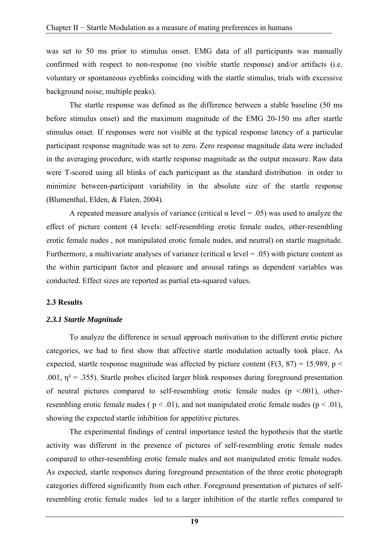was set to 50 ms prior to stimulus onset. EMG data of all participants was manually confirmed with respect to non-response (no visible startle response) and/or artifacts (i.e. voluntary or spontaneous eyeblinks coinciding with the startle stimulus, trials with excessive background noise, multiple peaks).

The startle response was defined as the difference between a stable baseline (50 ms before stimulus onset) and the maximum magnitude of the EMG 20-150 ms after startle stimulus onset. If responses were not visible at the typical response latency of a particular participant response magnitude was set to zero. Zero response magnitude data were included in the averaging procedure, with startle response magnitude as the output measure. Raw data were T-scored using all blinks of each participant as the standard distribution in order to minimize between-participant variability in the absolute size of the startle response (Blumenthal, Elden, & Flaten, 2004).

A repeated measure analysis of variance (critical  $\alpha$  level = .05) was used to analyze the effect of picture content (4 levels: self-resembling erotic female nudes, other-resembling erotic female nudes , not manipulated erotic female nudes, and neutral) on startle magnitude. Furthermore, a multivariate analyses of variance (critical  $\alpha$  level = .05) with picture content as the within participant factor and pleasure and arousal ratings as dependent variables was conducted. Effect sizes are reported as partial eta-squared values.

#### **2.3 Results**

#### *2.3.1 Startle Magnitude*

To analyze the difference in sexual approach motivation to the different erotic picture categories, we had to first show that affective startle modulation actually took place. As expected, startle response magnitude was affected by picture content (F(3, 87) = 15.989, p < .001,  $\eta^2$  = .355). Startle probes elicited larger blink responses during foreground presentation of neutral pictures compared to self-resembling erotic female nudes ( $p \leq 0.001$ ), otherresembling erotic female nudes ( $p < .01$ ), and not manipulated erotic female nudes ( $p < .01$ ), showing the expected startle inhibition for appetitive pictures.

The experimental findings of central importance tested the hypothesis that the startle activity was different in the presence of pictures of self-resembling erotic female nudes compared to other-resembling erotic female nudes and not manipulated erotic female nudes. As expected, startle responses during foreground presentation of the three erotic photograph categories differed significantly from each other. Foreground presentation of pictures of selfresembling erotic female nudes led to a larger inhibition of the startle reflex compared to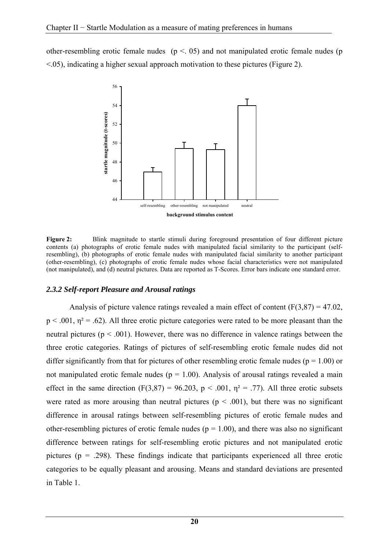other-resembling erotic female nudes ( $p < 0.05$ ) and not manipulated erotic female nudes (p  $\leq$ .05), indicating a higher sexual approach motivation to these pictures (Figure 2).



**Figure 2:** Blink magnitude to startle stimuli during foreground presentation of four different picture contents (a) photographs of erotic female nudes with manipulated facial similarity to the participant (selfresembling), (b) photographs of erotic female nudes with manipulated facial similarity to another participant (other-resembling), (c) photographs of erotic female nudes whose facial characteristics were not manipulated (not manipulated), and (d) neutral pictures. Data are reported as T-Scores. Error bars indicate one standard error.

#### *2.3.2 Self-report Pleasure and Arousal ratings*

Analysis of picture valence ratings revealed a main effect of content  $(F(3,87) = 47.02$ ,  $p < .001$ ,  $\eta^2 = .62$ ). All three erotic picture categories were rated to be more pleasant than the neutral pictures ( $p < .001$ ). However, there was no difference in valence ratings between the three erotic categories. Ratings of pictures of self-resembling erotic female nudes did not differ significantly from that for pictures of other resembling erotic female nudes ( $p = 1.00$ ) or not manipulated erotic female nudes ( $p = 1.00$ ). Analysis of arousal ratings revealed a main effect in the same direction (F(3,87) = 96.203, p < .001,  $\eta^2$  = .77). All three erotic subsets were rated as more arousing than neutral pictures ( $p < .001$ ), but there was no significant difference in arousal ratings between self-resembling pictures of erotic female nudes and other-resembling pictures of erotic female nudes ( $p = 1.00$ ), and there was also no significant difference between ratings for self-resembling erotic pictures and not manipulated erotic pictures ( $p = .298$ ). These findings indicate that participants experienced all three erotic categories to be equally pleasant and arousing. Means and standard deviations are presented in Table 1.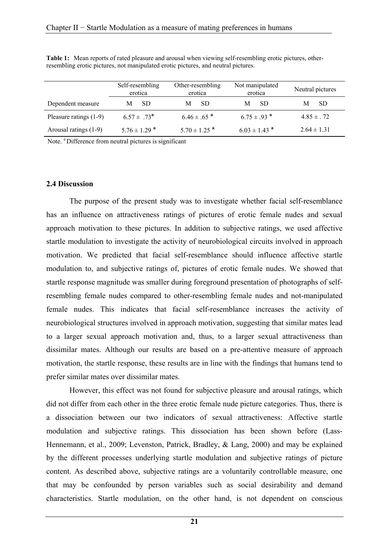|                          | Self-resembling<br>erotica   | Other-resembling<br>erotica  | Not manipulated<br>erotica   | Neutral pictures |
|--------------------------|------------------------------|------------------------------|------------------------------|------------------|
| Dependent measure        | -SD                          | SD.<br>М                     | -SD<br>M                     | -SD              |
| Pleasure ratings $(1-9)$ | $6.57 \pm .73^{\mathrm{a}}$  | $6.46 \pm .65^{a}$           | $6.75 \pm .93$ <sup>a</sup>  | $4.85 \pm .72$   |
| Arousal ratings (1-9)    | $5.76 \pm 1.29$ <sup>a</sup> | $5.70 \pm 1.25$ <sup>a</sup> | $6.03 \pm 1.43$ <sup>a</sup> | $2.64 \pm 1.31$  |

**Table 1:** Mean reports of rated pleasure and arousal when viewing self-resembling erotic pictures, otherresembling erotic pictures, not manipulated erotic pictures, and neutral pictures.

Note. <sup>a</sup> Difference from neutral pictures is significant

#### **2.4 Discussion**

The purpose of the present study was to investigate whether facial self-resemblance has an influence on attractiveness ratings of pictures of erotic female nudes and sexual approach motivation to these pictures. In addition to subjective ratings, we used affective startle modulation to investigate the activity of neurobiological circuits involved in approach motivation. We predicted that facial self-resemblance should influence affective startle modulation to, and subjective ratings of, pictures of erotic female nudes. We showed that startle response magnitude was smaller during foreground presentation of photographs of selfresembling female nudes compared to other-resembling female nudes and not-manipulated female nudes. This indicates that facial self-resemblance increases the activity of neurobiological structures involved in approach motivation, suggesting that similar mates lead to a larger sexual approach motivation and, thus, to a larger sexual attractiveness than dissimilar mates. Although our results are based on a pre-attentive measure of approach motivation, the startle response, these results are in line with the findings that humans tend to prefer similar mates over dissimilar mates.

However, this effect was not found for subjective pleasure and arousal ratings, which did not differ from each other in the three erotic female nude picture categories. Thus, there is a dissociation between our two indicators of sexual attractiveness: Affective startle modulation and subjective ratings. This dissociation has been shown before (Lass-Hennemann, et al., 2009; Levenston, Patrick, Bradley, & Lang, 2000) and may be explained by the different processes underlying startle modulation and subjective ratings of picture content. As described above, subjective ratings are a voluntarily controllable measure, one that may be confounded by person variables such as social desirability and demand characteristics. Startle modulation, on the other hand, is not dependent on conscious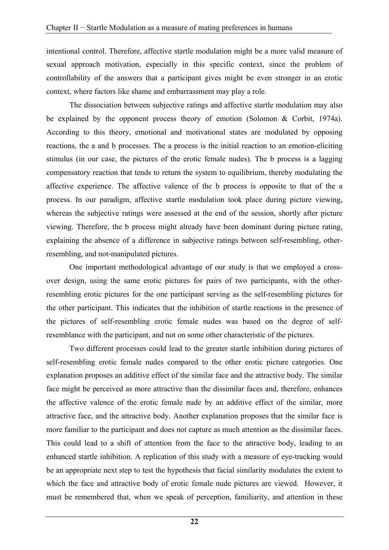intentional control. Therefore, affective startle modulation might be a more valid measure of sexual approach motivation, especially in this specific context, since the problem of controllability of the answers that a participant gives might be even stronger in an erotic context, where factors like shame and embarrassment may play a role.

The dissociation between subjective ratings and affective startle modulation may also be explained by the opponent process theory of emotion (Solomon & Corbit, 1974a). According to this theory, emotional and motivational states are modulated by opposing reactions, the a and b processes. The a process is the initial reaction to an emotion-eliciting stimulus (in our case, the pictures of the erotic female nudes). The b process is a lagging compensatory reaction that tends to return the system to equilibrium, thereby modulating the affective experience. The affective valence of the b process is opposite to that of the a process. In our paradigm, affective startle modulation took place during picture viewing, whereas the subjective ratings were assessed at the end of the session, shortly after picture viewing. Therefore, the b process might already have been dominant during picture rating, explaining the absence of a difference in subjective ratings between self-resembling, otherresembling, and not-manipulated pictures.

One important methodological advantage of our study is that we employed a crossover design, using the same erotic pictures for pairs of two participants, with the otherresembling erotic pictures for the one participant serving as the self-resembling pictures for the other participant. This indicates that the inhibition of startle reactions in the presence of the pictures of self-resembling erotic female nudes was based on the degree of selfresemblance with the participant, and not on some other characteristic of the pictures.

Two different processes could lead to the greater startle inhibition during pictures of self-resembling erotic female nudes compared to the other erotic picture categories. One explanation proposes an additive effect of the similar face and the attractive body. The similar face might be perceived as more attractive than the dissimilar faces and, therefore, enhances the affective valence of the erotic female nude by an additive effect of the similar, more attractive face, and the attractive body. Another explanation proposes that the similar face is more familiar to the participant and does not capture as much attention as the dissimilar faces. This could lead to a shift of attention from the face to the attractive body, leading to an enhanced startle inhibition. A replication of this study with a measure of eye-tracking would be an appropriate next step to test the hypothesis that facial similarity modulates the extent to which the face and attractive body of erotic female nude pictures are viewed. However, it must be remembered that, when we speak of perception, familiarity, and attention in these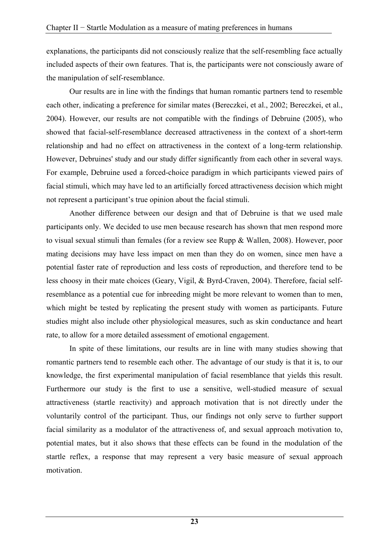explanations, the participants did not consciously realize that the self-resembling face actually included aspects of their own features. That is, the participants were not consciously aware of the manipulation of self-resemblance.

Our results are in line with the findings that human romantic partners tend to resemble each other, indicating a preference for similar mates (Bereczkei, et al., 2002; Bereczkei, et al., 2004). However, our results are not compatible with the findings of Debruine (2005), who showed that facial-self-resemblance decreased attractiveness in the context of a short-term relationship and had no effect on attractiveness in the context of a long-term relationship. However, Debruines' study and our study differ significantly from each other in several ways. For example, Debruine used a forced-choice paradigm in which participants viewed pairs of facial stimuli, which may have led to an artificially forced attractiveness decision which might not represent a participant's true opinion about the facial stimuli.

Another difference between our design and that of Debruine is that we used male participants only. We decided to use men because research has shown that men respond more to visual sexual stimuli than females (for a review see Rupp & Wallen, 2008). However, poor mating decisions may have less impact on men than they do on women, since men have a potential faster rate of reproduction and less costs of reproduction, and therefore tend to be less choosy in their mate choices (Geary, Vigil, & Byrd-Craven, 2004). Therefore, facial selfresemblance as a potential cue for inbreeding might be more relevant to women than to men, which might be tested by replicating the present study with women as participants. Future studies might also include other physiological measures, such as skin conductance and heart rate, to allow for a more detailed assessment of emotional engagement.

In spite of these limitations, our results are in line with many studies showing that romantic partners tend to resemble each other. The advantage of our study is that it is, to our knowledge, the first experimental manipulation of facial resemblance that yields this result. Furthermore our study is the first to use a sensitive, well-studied measure of sexual attractiveness (startle reactivity) and approach motivation that is not directly under the voluntarily control of the participant. Thus, our findings not only serve to further support facial similarity as a modulator of the attractiveness of, and sexual approach motivation to, potential mates, but it also shows that these effects can be found in the modulation of the startle reflex, a response that may represent a very basic measure of sexual approach motivation.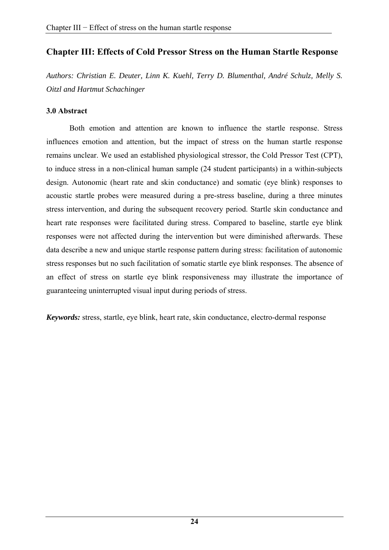# **Chapter III: Effects of Cold Pressor Stress on the Human Startle Response**

*Authors: Christian E. Deuter, Linn K. Kuehl, Terry D. Blumenthal, André Schulz, Melly S. Oitzl and Hartmut Schachinger* 

### **3.0 Abstract**

Both emotion and attention are known to influence the startle response. Stress influences emotion and attention, but the impact of stress on the human startle response remains unclear. We used an established physiological stressor, the Cold Pressor Test (CPT), to induce stress in a non-clinical human sample (24 student participants) in a within-subjects design. Autonomic (heart rate and skin conductance) and somatic (eye blink) responses to acoustic startle probes were measured during a pre-stress baseline, during a three minutes stress intervention, and during the subsequent recovery period. Startle skin conductance and heart rate responses were facilitated during stress. Compared to baseline, startle eye blink responses were not affected during the intervention but were diminished afterwards. These data describe a new and unique startle response pattern during stress: facilitation of autonomic stress responses but no such facilitation of somatic startle eye blink responses. The absence of an effect of stress on startle eye blink responsiveness may illustrate the importance of guaranteeing uninterrupted visual input during periods of stress.

*Keywords:* stress, startle, eye blink, heart rate, skin conductance, electro-dermal response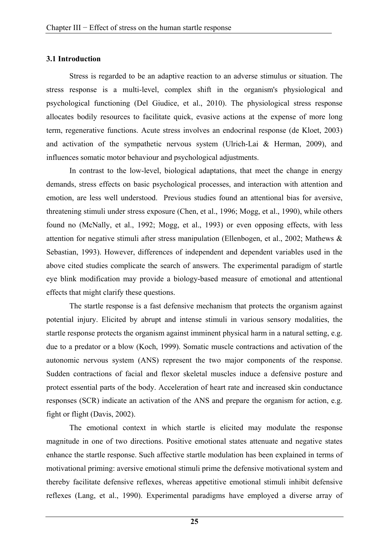#### **3.1 Introduction**

Stress is regarded to be an adaptive reaction to an adverse stimulus or situation. The stress response is a multi-level, complex shift in the organism's physiological and psychological functioning (Del Giudice, et al., 2010). The physiological stress response allocates bodily resources to facilitate quick, evasive actions at the expense of more long term, regenerative functions. Acute stress involves an endocrinal response (de Kloet, 2003) and activation of the sympathetic nervous system (Ulrich-Lai & Herman, 2009), and influences somatic motor behaviour and psychological adjustments.

In contrast to the low-level, biological adaptations, that meet the change in energy demands, stress effects on basic psychological processes, and interaction with attention and emotion, are less well understood. Previous studies found an attentional bias for aversive, threatening stimuli under stress exposure (Chen, et al., 1996; Mogg, et al., 1990), while others found no (McNally, et al., 1992; Mogg, et al., 1993) or even opposing effects, with less attention for negative stimuli after stress manipulation (Ellenbogen, et al., 2002; Mathews & Sebastian, 1993). However, differences of independent and dependent variables used in the above cited studies complicate the search of answers. The experimental paradigm of startle eye blink modification may provide a biology-based measure of emotional and attentional effects that might clarify these questions.

The startle response is a fast defensive mechanism that protects the organism against potential injury. Elicited by abrupt and intense stimuli in various sensory modalities, the startle response protects the organism against imminent physical harm in a natural setting, e.g. due to a predator or a blow (Koch, 1999). Somatic muscle contractions and activation of the autonomic nervous system (ANS) represent the two major components of the response. Sudden contractions of facial and flexor skeletal muscles induce a defensive posture and protect essential parts of the body. Acceleration of heart rate and increased skin conductance responses (SCR) indicate an activation of the ANS and prepare the organism for action, e.g. fight or flight (Davis, 2002).

The emotional context in which startle is elicited may modulate the response magnitude in one of two directions. Positive emotional states attenuate and negative states enhance the startle response. Such affective startle modulation has been explained in terms of motivational priming: aversive emotional stimuli prime the defensive motivational system and thereby facilitate defensive reflexes, whereas appetitive emotional stimuli inhibit defensive reflexes (Lang, et al., 1990). Experimental paradigms have employed a diverse array of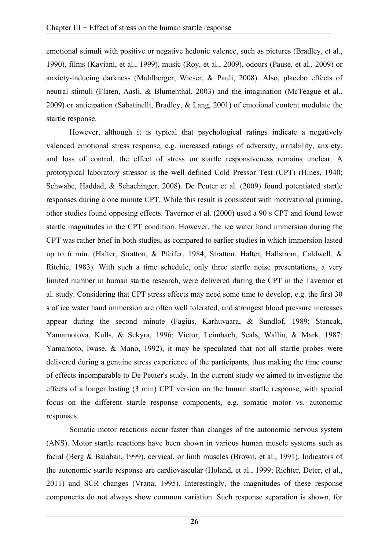emotional stimuli with positive or negative hedonic valence, such as pictures (Bradley, et al., 1990), films (Kaviani, et al., 1999), music (Roy, et al., 2009), odours (Pause, et al., 2009) or anxiety-inducing darkness (Muhlberger, Wieser, & Pauli, 2008). Also, placebo effects of neutral stimuli (Flaten, Aasli, & Blumenthal, 2003) and the imagination (McTeague et al., 2009) or anticipation (Sabatinelli, Bradley, & Lang, 2001) of emotional content modulate the startle response.

However, although it is typical that psychological ratings indicate a negatively valenced emotional stress response, e.g. increased ratings of adversity, irritability, anxiety, and loss of control, the effect of stress on startle responsiveness remains unclear. A prototypical laboratory stressor is the well defined Cold Pressor Test (CPT) (Hines, 1940; Schwabe, Haddad, & Schachinger, 2008). De Peuter et al. (2009) found potentiated startle responses during a one minute CPT. While this result is consistent with motivational priming, other studies found opposing effects. Tavernor et al. (2000) used a 90 s CPT and found lower startle magnitudes in the CPT condition. However, the ice water hand immersion during the CPT was rather brief in both studies, as compared to earlier studies in which immersion lasted up to 6 min. (Halter, Stratton, & Pfeifer, 1984; Stratton, Halter, Hallstrom, Caldwell, & Ritchie, 1983). With such a time schedule, only three startle noise presentations, a very limited number in human startle research, were delivered during the CPT in the Tavernor et al. study. Considering that CPT stress effects may need some time to develop, e.g. the first 30 s of ice water hand immersion are often well tolerated, and strongest blood pressure increases appear during the second minute (Fagius, Karhuvaara, & Sundlof, 1989; Stancak, Yamamotova, Kulls, & Sekyra, 1996; Victor, Leimbach, Seals, Wallin, & Mark, 1987; Yamamoto, Iwase, & Mano, 1992), it may be speculated that not all startle probes were delivered during a genuine stress experience of the participants, thus making the time course of effects incomparable to De Peuter's study. In the current study we aimed to investigate the effects of a longer lasting (3 min) CPT version on the human startle response, with special focus on the different startle response components, e.g. somatic motor vs. autonomic responses.

Somatic motor reactions occur faster than changes of the autonomic nervous system (ANS). Motor startle reactions have been shown in various human muscle systems such as facial (Berg & Balaban, 1999), cervical, or limb muscles (Brown, et al., 1991). Indicators of the autonomic startle response are cardiovascular (Holand, et al., 1999; Richter, Deter, et al., 2011) and SCR changes (Vrana, 1995). Interestingly, the magnitudes of these response components do not always show common variation. Such response separation is shown, for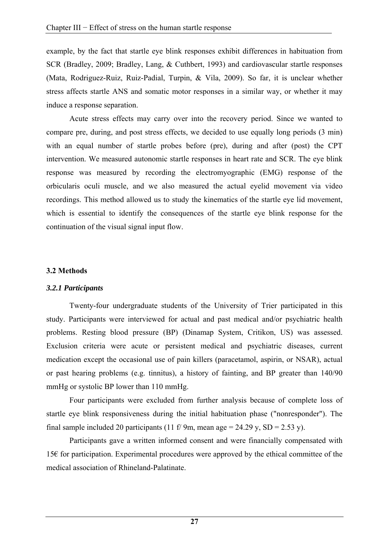example, by the fact that startle eye blink responses exhibit differences in habituation from SCR (Bradley, 2009; Bradley, Lang, & Cuthbert, 1993) and cardiovascular startle responses (Mata, Rodriguez-Ruiz, Ruiz-Padial, Turpin, & Vila, 2009). So far, it is unclear whether stress affects startle ANS and somatic motor responses in a similar way, or whether it may induce a response separation.

Acute stress effects may carry over into the recovery period. Since we wanted to compare pre, during, and post stress effects, we decided to use equally long periods (3 min) with an equal number of startle probes before (pre), during and after (post) the CPT intervention. We measured autonomic startle responses in heart rate and SCR. The eye blink response was measured by recording the electromyographic (EMG) response of the orbicularis oculi muscle, and we also measured the actual eyelid movement via video recordings. This method allowed us to study the kinematics of the startle eye lid movement, which is essential to identify the consequences of the startle eye blink response for the continuation of the visual signal input flow.

### **3.2 Methods**

### *3.2.1 Participants*

Twenty-four undergraduate students of the University of Trier participated in this study. Participants were interviewed for actual and past medical and/or psychiatric health problems. Resting blood pressure (BP) (Dinamap System, Critikon, US) was assessed. Exclusion criteria were acute or persistent medical and psychiatric diseases, current medication except the occasional use of pain killers (paracetamol, aspirin, or NSAR), actual or past hearing problems (e.g. tinnitus), a history of fainting, and BP greater than 140/90 mmHg or systolic BP lower than 110 mmHg.

Four participants were excluded from further analysis because of complete loss of startle eye blink responsiveness during the initial habituation phase ("nonresponder"). The final sample included 20 participants (11 f/ 9m, mean age = 24.29 y, SD = 2.53 y).

Participants gave a written informed consent and were financially compensated with 15€ for participation. Experimental procedures were approved by the ethical committee of the medical association of Rhineland-Palatinate.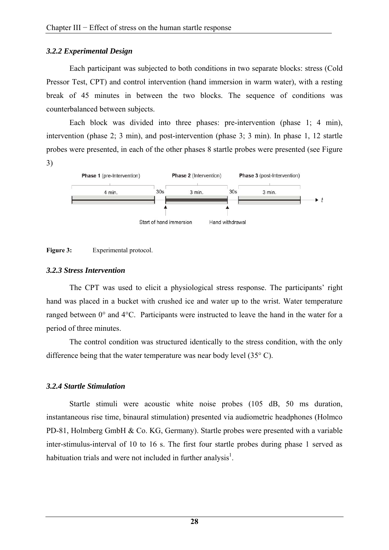### *3.2.2 Experimental Design*

Each participant was subjected to both conditions in two separate blocks: stress (Cold Pressor Test, CPT) and control intervention (hand immersion in warm water), with a resting break of 45 minutes in between the two blocks. The sequence of conditions was counterbalanced between subjects.

Each block was divided into three phases: pre-intervention (phase 1: 4 min), intervention (phase 2; 3 min), and post-intervention (phase 3; 3 min). In phase 1, 12 startle probes were presented, in each of the other phases 8 startle probes were presented (see Figure 3)





### *3.2.3 Stress Intervention*

The CPT was used to elicit a physiological stress response. The participants' right hand was placed in a bucket with crushed ice and water up to the wrist. Water temperature ranged between 0° and 4°C. Participants were instructed to leave the hand in the water for a period of three minutes.

The control condition was structured identically to the stress condition, with the only difference being that the water temperature was near body level (35° C).

### *3.2.4 Startle Stimulation*

Startle stimuli were acoustic white noise probes (105 dB, 50 ms duration, instantaneous rise time, binaural stimulation) presented via audiometric headphones (Holmco PD-81, Holmberg GmbH & Co. KG, Germany). Startle probes were presented with a variable inter-stimulus-interval of 10 to 16 s. The first four startle probes during phase 1 served as habituation trials and were not included in further analysis<sup>1</sup>.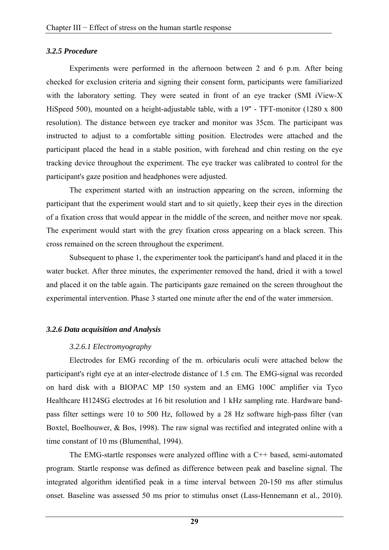### *3.2.5 Procedure*

Experiments were performed in the afternoon between 2 and 6 p.m. After being checked for exclusion criteria and signing their consent form, participants were familiarized with the laboratory setting. They were seated in front of an eye tracker (SMI iView-X HiSpeed 500), mounted on a height-adjustable table, with a 19" - TFT-monitor (1280 x 800) resolution). The distance between eye tracker and monitor was 35cm. The participant was instructed to adjust to a comfortable sitting position. Electrodes were attached and the participant placed the head in a stable position, with forehead and chin resting on the eye tracking device throughout the experiment. The eye tracker was calibrated to control for the participant's gaze position and headphones were adjusted.

The experiment started with an instruction appearing on the screen, informing the participant that the experiment would start and to sit quietly, keep their eyes in the direction of a fixation cross that would appear in the middle of the screen, and neither move nor speak. The experiment would start with the grey fixation cross appearing on a black screen. This cross remained on the screen throughout the experiment.

Subsequent to phase 1, the experimenter took the participant's hand and placed it in the water bucket. After three minutes, the experimenter removed the hand, dried it with a towel and placed it on the table again. The participants gaze remained on the screen throughout the experimental intervention. Phase 3 started one minute after the end of the water immersion.

### *3.2.6 Data acquisition and Analysis*

### *3.2.6.1 Electromyography*

Electrodes for EMG recording of the m. orbicularis oculi were attached below the participant's right eye at an inter-electrode distance of 1.5 cm. The EMG-signal was recorded on hard disk with a BIOPAC MP 150 system and an EMG 100C amplifier via Tyco Healthcare H124SG electrodes at 16 bit resolution and 1 kHz sampling rate. Hardware bandpass filter settings were 10 to 500 Hz, followed by a 28 Hz software high-pass filter (van Boxtel, Boelhouwer, & Bos, 1998). The raw signal was rectified and integrated online with a time constant of 10 ms (Blumenthal, 1994).

The EMG-startle responses were analyzed offline with a C++ based, semi-automated program. Startle response was defined as difference between peak and baseline signal. The integrated algorithm identified peak in a time interval between 20-150 ms after stimulus onset. Baseline was assessed 50 ms prior to stimulus onset (Lass-Hennemann et al., 2010).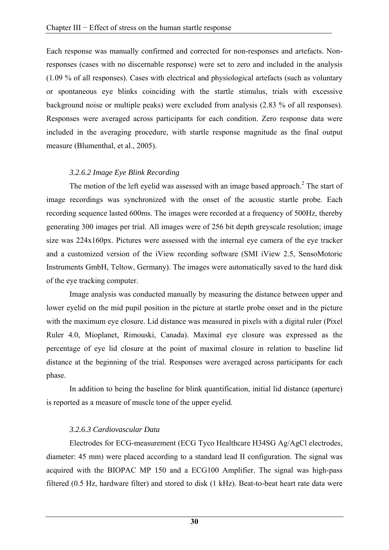Each response was manually confirmed and corrected for non-responses and artefacts. Nonresponses (cases with no discernable response) were set to zero and included in the analysis (1.09 % of all responses). Cases with electrical and physiological artefacts (such as voluntary or spontaneous eye blinks coinciding with the startle stimulus, trials with excessive background noise or multiple peaks) were excluded from analysis (2.83 % of all responses). Responses were averaged across participants for each condition. Zero response data were included in the averaging procedure, with startle response magnitude as the final output measure (Blumenthal, et al., 2005).

# *3.2.6.2 Image Eye Blink Recording*

The motion of the left eyelid was assessed with an image based approach. $<sup>2</sup>$  The start of</sup> image recordings was synchronized with the onset of the acoustic startle probe. Each recording sequence lasted 600ms. The images were recorded at a frequency of 500Hz, thereby generating 300 images per trial. All images were of 256 bit depth greyscale resolution; image size was 224x160px. Pictures were assessed with the internal eye camera of the eye tracker and a customized version of the iView recording software (SMI iView 2.5, SensoMotoric Instruments GmbH, Teltow, Germany). The images were automatically saved to the hard disk of the eye tracking computer.

Image analysis was conducted manually by measuring the distance between upper and lower eyelid on the mid pupil position in the picture at startle probe onset and in the picture with the maximum eye closure. Lid distance was measured in pixels with a digital ruler (Pixel Ruler 4.0, Mioplanet, Rimouski, Canada). Maximal eye closure was expressed as the percentage of eye lid closure at the point of maximal closure in relation to baseline lid distance at the beginning of the trial. Responses were averaged across participants for each phase.

In addition to being the baseline for blink quantification, initial lid distance (aperture) is reported as a measure of muscle tone of the upper eyelid.

# *3.2.6.3 Cardiovascular Data*

Electrodes for ECG-measurement (ECG Tyco Healthcare H34SG Ag/AgCl electrodes, diameter: 45 mm) were placed according to a standard lead II configuration. The signal was acquired with the BIOPAC MP 150 and a ECG100 Amplifier. The signal was high-pass filtered (0.5 Hz, hardware filter) and stored to disk (1 kHz). Beat-to-beat heart rate data were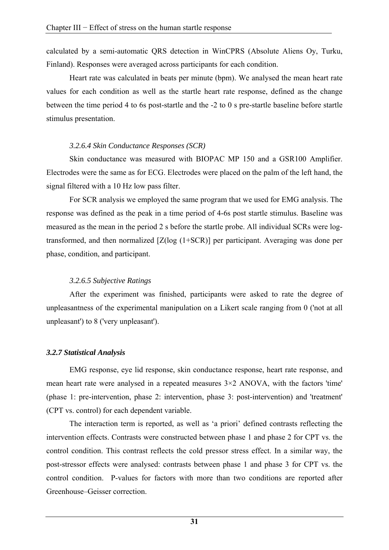calculated by a semi-automatic QRS detection in WinCPRS (Absolute Aliens Oy, Turku, Finland). Responses were averaged across participants for each condition.

Heart rate was calculated in beats per minute (bpm). We analysed the mean heart rate values for each condition as well as the startle heart rate response, defined as the change between the time period 4 to 6s post-startle and the -2 to 0 s pre-startle baseline before startle stimulus presentation.

### *3.2.6.4 Skin Conductance Responses (SCR)*

Skin conductance was measured with BIOPAC MP 150 and a GSR100 Amplifier. Electrodes were the same as for ECG. Electrodes were placed on the palm of the left hand, the signal filtered with a 10 Hz low pass filter.

For SCR analysis we employed the same program that we used for EMG analysis. The response was defined as the peak in a time period of 4-6s post startle stimulus. Baseline was measured as the mean in the period 2 s before the startle probe. All individual SCRs were logtransformed, and then normalized [Z(log (1+SCR)] per participant. Averaging was done per phase, condition, and participant.

# *3.2.6.5 Subjective Ratings*

After the experiment was finished, participants were asked to rate the degree of unpleasantness of the experimental manipulation on a Likert scale ranging from 0 ('not at all unpleasant') to 8 ('very unpleasant').

# *3.2.7 Statistical Analysis*

EMG response, eye lid response, skin conductance response, heart rate response, and mean heart rate were analysed in a repeated measures 3×2 ANOVA, with the factors 'time' (phase 1: pre-intervention, phase 2: intervention, phase 3: post-intervention) and 'treatment' (CPT vs. control) for each dependent variable.

The interaction term is reported, as well as 'a priori' defined contrasts reflecting the intervention effects. Contrasts were constructed between phase 1 and phase 2 for CPT vs. the control condition. This contrast reflects the cold pressor stress effect. In a similar way, the post-stressor effects were analysed: contrasts between phase 1 and phase 3 for CPT vs. the control condition. P-values for factors with more than two conditions are reported after Greenhouse–Geisser correction.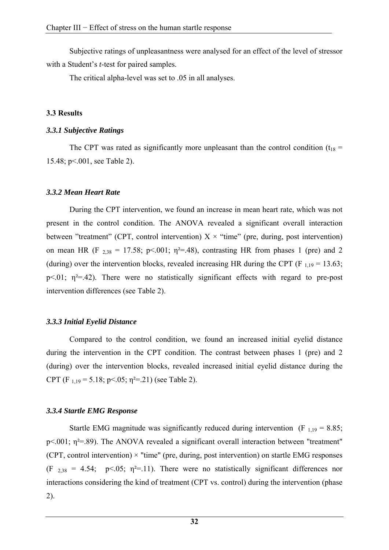Subjective ratings of unpleasantness were analysed for an effect of the level of stressor with a Student's *t*-test for paired samples.

The critical alpha-level was set to .05 in all analyses.

# **3.3 Results**

## *3.3.1 Subjective Ratings*

The CPT was rated as significantly more unpleasant than the control condition ( $t_{18}$  = 15.48; p<.001, see Table 2).

# *3.3.2 Mean Heart Rate*

During the CPT intervention, we found an increase in mean heart rate, which was not present in the control condition. The ANOVA revealed a significant overall interaction between "treatment" (CPT, control intervention)  $X \times$  "time" (pre, during, post intervention) on mean HR (F  $_{2,38}$  = 17.58; p<.001;  $\eta$ <sup>2</sup>=.48), contrasting HR from phases 1 (pre) and 2 (during) over the intervention blocks, revealed increasing HR during the CPT (F  $_{1,19}$  = 13.63; p $\leq$ .01;  $\eta^2$ =.42). There were no statistically significant effects with regard to pre-post intervention differences (see Table 2).

# *3.3.3 Initial Eyelid Distance*

Compared to the control condition, we found an increased initial eyelid distance during the intervention in the CPT condition. The contrast between phases 1 (pre) and 2 (during) over the intervention blocks, revealed increased initial eyelid distance during the CPT (F  $_{1,19}$  = 5.18; p < 05;  $\eta$ <sup>2</sup> = 21) (see Table 2).

# *3.3.4 Startle EMG Response*

Startle EMG magnitude was significantly reduced during intervention (F  $_{1,19}$  = 8.85; p<.001;  $\eta^2$ =.89). The ANOVA revealed a significant overall interaction between "treatment" (CPT, control intervention)  $\times$  "time" (pre, during, post intervention) on startle EMG responses (F  $_{2,38}$  = 4.54; p<.05;  $\eta^2$ =.11). There were no statistically significant differences nor interactions considering the kind of treatment (CPT vs. control) during the intervention (phase 2).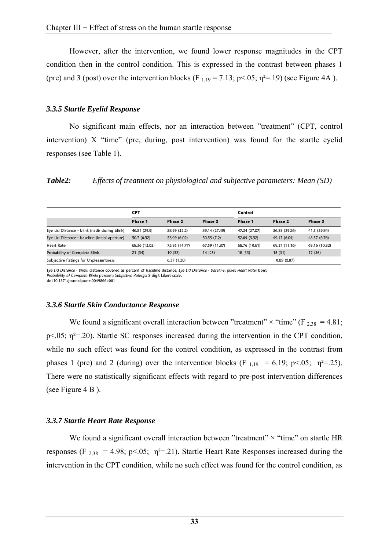However, after the intervention, we found lower response magnitudes in the CPT condition then in the control condition. This is expressed in the contrast between phases 1 (pre) and 3 (post) over the intervention blocks (F  $_{1,19}$  = 7.13; p<.05;  $\eta$ <sup>2</sup>=.19) (see Figure 4A ).

### *3.3.5 Startle Eyelid Response*

No significant main effects, nor an interaction between "treatment" (CPT, control intervention) X "time" (pre, during, post intervention) was found for the startle eyelid responses (see Table 1).

*Table2: Effects of treatment on physiological and subjective parameters: Mean (SD)* 

|                                                | <b>CPT</b>    |               |               | Control       |               |               |
|------------------------------------------------|---------------|---------------|---------------|---------------|---------------|---------------|
|                                                | Phase 1       | Phase 2       | Phase 3       | Phase 1       | Phase 2       | Phase 3       |
| Eye Lid Distance - blink (nadir during blink)  | 46.81 (29.9)  | 38.99 (32.2)  | 39.14 (27.49) | 47.24 (27.07) | 36.88 (29.26) | 41.3 (29.84)  |
| Eye Lid Distance - baseline (initial aperture) | 50.7 (6.92)   | 53.09 (6.02)  | 50.55(7.2)    | 52.09 (5.32)  | 49.17 (6.04)  | 48.57 (6.76)  |
| <b>Heart Rate</b>                              | 68.36 (12.02) | 75.95 (14.77) | 67.59 (11.87) | 68.76 (10.61) | 69.27 (11.16) | 69.16 (10.32) |
| Probability of Complete Blink                  | 21(34)        | 19 (33)       | 14(25)        | 18(33)        | 15(31)        | 17(36)        |
| Subjective Ratings for Unpleasantness          |               | 6.37(1.30)    |               |               | 0.89(0.87)    |               |

Eve Lid Distance - blink: distance covered as percent of baseline distance: Eve Lid Distance - baseline: pixel: Heart Rate: bpm; Probability of Complete Blink: percent; Subjective Ratings: 8-digit Likert scale. doi:10.1371/journal.pone.0049866.t001

### *3.3.6 Startle Skin Conductance Response*

We found a significant overall interaction between "treatment"  $\times$  "time" (F <sub>2,38</sub> = 4.81; p $\leq$ .05;  $\eta$ <sup>2=</sup>.20). Startle SC responses increased during the intervention in the CPT condition, while no such effect was found for the control condition, as expressed in the contrast from phases 1 (pre) and 2 (during) over the intervention blocks (F  $_{1,19}$  = 6.19; p<.05;  $\eta^2$ =.25). There were no statistically significant effects with regard to pre-post intervention differences (see Figure 4 B ).

### *3.3.7 Startle Heart Rate Response*

We found a significant overall interaction between "treatment"  $\times$  "time" on startle HR responses (F  $_{2,38}$  = 4.98; p<.05;  $\eta^2$ =.21). Startle Heart Rate Responses increased during the intervention in the CPT condition, while no such effect was found for the control condition, as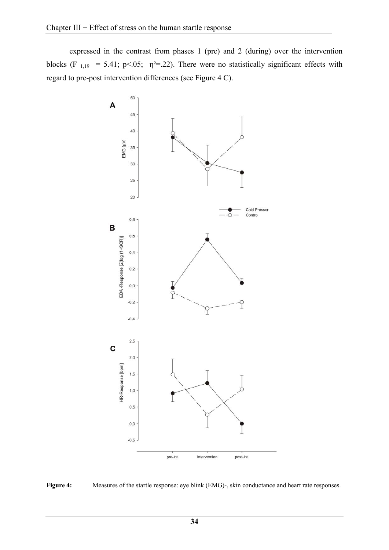expressed in the contrast from phases 1 (pre) and 2 (during) over the intervention blocks (F<sub>1,19</sub> = 5.41; p<.05;  $\eta^2$ =.22). There were no statistically significant effects with regard to pre-post intervention differences (see Figure 4 C).



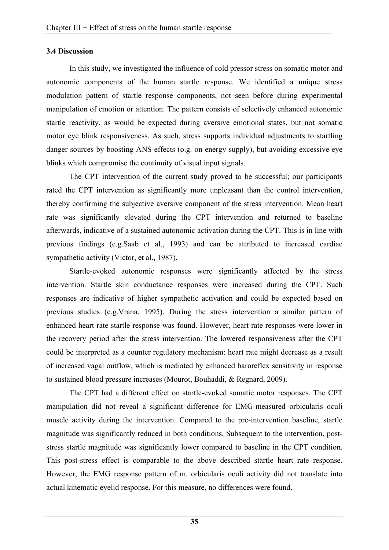### **3.4 Discussion**

In this study, we investigated the influence of cold pressor stress on somatic motor and autonomic components of the human startle response. We identified a unique stress modulation pattern of startle response components, not seen before during experimental manipulation of emotion or attention. The pattern consists of selectively enhanced autonomic startle reactivity, as would be expected during aversive emotional states, but not somatic motor eye blink responsiveness. As such, stress supports individual adjustments to startling danger sources by boosting ANS effects (o.g. on energy supply), but avoiding excessive eye blinks which compromise the continuity of visual input signals.

The CPT intervention of the current study proved to be successful; our participants rated the CPT intervention as significantly more unpleasant than the control intervention, thereby confirming the subjective aversive component of the stress intervention. Mean heart rate was significantly elevated during the CPT intervention and returned to baseline afterwards, indicative of a sustained autonomic activation during the CPT. This is in line with previous findings (e.g.Saab et al., 1993) and can be attributed to increased cardiac sympathetic activity (Victor, et al., 1987).

Startle-evoked autonomic responses were significantly affected by the stress intervention. Startle skin conductance responses were increased during the CPT. Such responses are indicative of higher sympathetic activation and could be expected based on previous studies (e.g.Vrana, 1995). During the stress intervention a similar pattern of enhanced heart rate startle response was found. However, heart rate responses were lower in the recovery period after the stress intervention. The lowered responsiveness after the CPT could be interpreted as a counter regulatory mechanism: heart rate might decrease as a result of increased vagal outflow, which is mediated by enhanced baroreflex sensitivity in response to sustained blood pressure increases (Mourot, Bouhaddi, & Regnard, 2009).

The CPT had a different effect on startle-evoked somatic motor responses. The CPT manipulation did not reveal a significant difference for EMG-measured orbicularis oculi muscle activity during the intervention. Compared to the pre-intervention baseline, startle magnitude was significantly reduced in both conditions. Subsequent to the intervention, poststress startle magnitude was significantly lower compared to baseline in the CPT condition. This post-stress effect is comparable to the above described startle heart rate response. However, the EMG response pattern of m. orbicularis oculi activity did not translate into actual kinematic eyelid response. For this measure, no differences were found.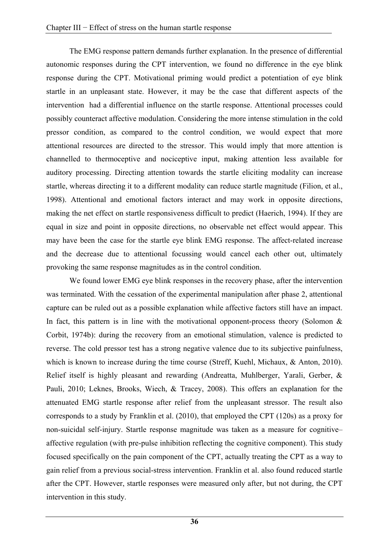The EMG response pattern demands further explanation. In the presence of differential autonomic responses during the CPT intervention, we found no difference in the eye blink response during the CPT. Motivational priming would predict a potentiation of eye blink startle in an unpleasant state. However, it may be the case that different aspects of the intervention had a differential influence on the startle response. Attentional processes could possibly counteract affective modulation. Considering the more intense stimulation in the cold pressor condition, as compared to the control condition, we would expect that more attentional resources are directed to the stressor. This would imply that more attention is channelled to thermoceptive and nociceptive input, making attention less available for auditory processing. Directing attention towards the startle eliciting modality can increase startle, whereas directing it to a different modality can reduce startle magnitude (Filion, et al., 1998). Attentional and emotional factors interact and may work in opposite directions, making the net effect on startle responsiveness difficult to predict (Haerich, 1994). If they are equal in size and point in opposite directions, no observable net effect would appear. This may have been the case for the startle eye blink EMG response. The affect-related increase and the decrease due to attentional focussing would cancel each other out, ultimately provoking the same response magnitudes as in the control condition.

We found lower EMG eye blink responses in the recovery phase, after the intervention was terminated. With the cessation of the experimental manipulation after phase 2, attentional capture can be ruled out as a possible explanation while affective factors still have an impact. In fact, this pattern is in line with the motivational opponent-process theory (Solomon  $\&$ Corbit, 1974b): during the recovery from an emotional stimulation, valence is predicted to reverse. The cold pressor test has a strong negative valence due to its subjective painfulness, which is known to increase during the time course (Streff, Kuehl, Michaux, & Anton, 2010). Relief itself is highly pleasant and rewarding (Andreatta, Muhlberger, Yarali, Gerber, & Pauli, 2010; Leknes, Brooks, Wiech, & Tracey, 2008). This offers an explanation for the attenuated EMG startle response after relief from the unpleasant stressor. The result also corresponds to a study by Franklin et al. (2010), that employed the CPT (120s) as a proxy for non-suicidal self-injury. Startle response magnitude was taken as a measure for cognitive– affective regulation (with pre-pulse inhibition reflecting the cognitive component). This study focused specifically on the pain component of the CPT, actually treating the CPT as a way to gain relief from a previous social-stress intervention. Franklin et al. also found reduced startle after the CPT. However, startle responses were measured only after, but not during, the CPT intervention in this study.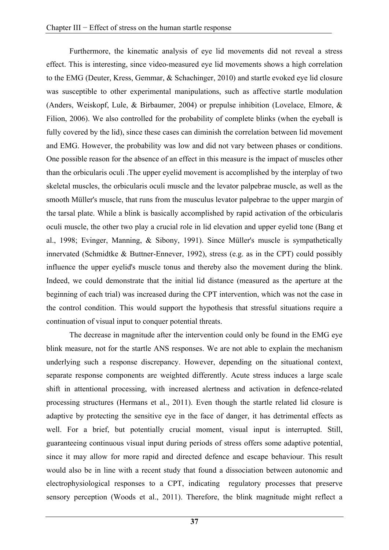Furthermore, the kinematic analysis of eye lid movements did not reveal a stress effect. This is interesting, since video-measured eye lid movements shows a high correlation to the EMG (Deuter, Kress, Gemmar, & Schachinger, 2010) and startle evoked eye lid closure was susceptible to other experimental manipulations, such as affective startle modulation (Anders, Weiskopf, Lule, & Birbaumer, 2004) or prepulse inhibition (Lovelace, Elmore, & Filion, 2006). We also controlled for the probability of complete blinks (when the eyeball is fully covered by the lid), since these cases can diminish the correlation between lid movement and EMG. However, the probability was low and did not vary between phases or conditions. One possible reason for the absence of an effect in this measure is the impact of muscles other than the orbicularis oculi .The upper eyelid movement is accomplished by the interplay of two skeletal muscles, the orbicularis oculi muscle and the levator palpebrae muscle, as well as the smooth Müller's muscle, that runs from the musculus levator palpebrae to the upper margin of the tarsal plate. While a blink is basically accomplished by rapid activation of the orbicularis oculi muscle, the other two play a crucial role in lid elevation and upper eyelid tone (Bang et al., 1998; Evinger, Manning, & Sibony, 1991). Since Müller's muscle is sympathetically innervated (Schmidtke & Buttner-Ennever, 1992), stress (e.g. as in the CPT) could possibly influence the upper eyelid's muscle tonus and thereby also the movement during the blink. Indeed, we could demonstrate that the initial lid distance (measured as the aperture at the beginning of each trial) was increased during the CPT intervention, which was not the case in the control condition. This would support the hypothesis that stressful situations require a continuation of visual input to conquer potential threats.

The decrease in magnitude after the intervention could only be found in the EMG eye blink measure, not for the startle ANS responses. We are not able to explain the mechanism underlying such a response discrepancy. However, depending on the situational context, separate response components are weighted differently. Acute stress induces a large scale shift in attentional processing, with increased alertness and activation in defence-related processing structures (Hermans et al., 2011). Even though the startle related lid closure is adaptive by protecting the sensitive eye in the face of danger, it has detrimental effects as well. For a brief, but potentially crucial moment, visual input is interrupted. Still, guaranteeing continuous visual input during periods of stress offers some adaptive potential, since it may allow for more rapid and directed defence and escape behaviour. This result would also be in line with a recent study that found a dissociation between autonomic and electrophysiological responses to a CPT, indicating regulatory processes that preserve sensory perception (Woods et al., 2011). Therefore, the blink magnitude might reflect a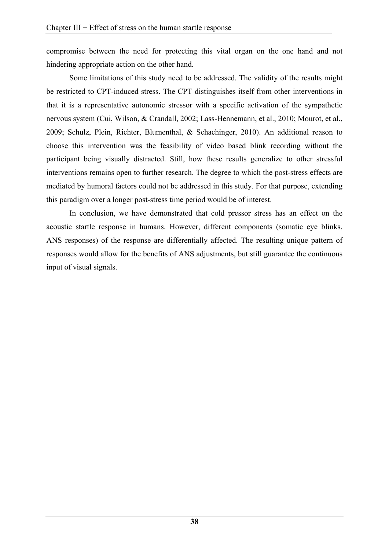compromise between the need for protecting this vital organ on the one hand and not hindering appropriate action on the other hand.

Some limitations of this study need to be addressed. The validity of the results might be restricted to CPT-induced stress. The CPT distinguishes itself from other interventions in that it is a representative autonomic stressor with a specific activation of the sympathetic nervous system (Cui, Wilson, & Crandall, 2002; Lass-Hennemann, et al., 2010; Mourot, et al., 2009; Schulz, Plein, Richter, Blumenthal, & Schachinger, 2010). An additional reason to choose this intervention was the feasibility of video based blink recording without the participant being visually distracted. Still, how these results generalize to other stressful interventions remains open to further research. The degree to which the post-stress effects are mediated by humoral factors could not be addressed in this study. For that purpose, extending this paradigm over a longer post-stress time period would be of interest.

In conclusion, we have demonstrated that cold pressor stress has an effect on the acoustic startle response in humans. However, different components (somatic eye blinks, ANS responses) of the response are differentially affected. The resulting unique pattern of responses would allow for the benefits of ANS adjustments, but still guarantee the continuous input of visual signals.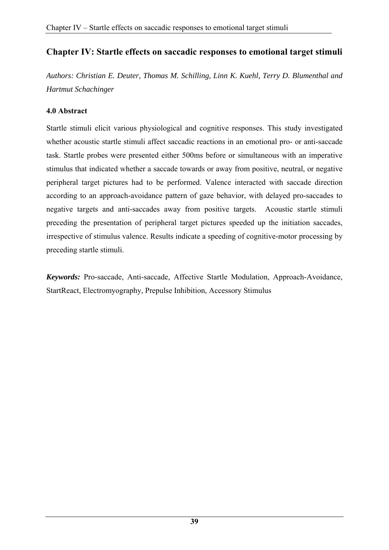# **Chapter IV: Startle effects on saccadic responses to emotional target stimuli**

*Authors: Christian E. Deuter, Thomas M. Schilling, Linn K. Kuehl, Terry D. Blumenthal and Hartmut Schachinger* 

### **4.0 Abstract**

Startle stimuli elicit various physiological and cognitive responses. This study investigated whether acoustic startle stimuli affect saccadic reactions in an emotional pro- or anti-saccade task. Startle probes were presented either 500ms before or simultaneous with an imperative stimulus that indicated whether a saccade towards or away from positive, neutral, or negative peripheral target pictures had to be performed. Valence interacted with saccade direction according to an approach-avoidance pattern of gaze behavior, with delayed pro-saccades to negative targets and anti-saccades away from positive targets. Acoustic startle stimuli preceding the presentation of peripheral target pictures speeded up the initiation saccades, irrespective of stimulus valence. Results indicate a speeding of cognitive-motor processing by preceding startle stimuli.

*Keywords:* Pro-saccade, Anti-saccade, Affective Startle Modulation, Approach-Avoidance, StartReact, Electromyography, Prepulse Inhibition, Accessory Stimulus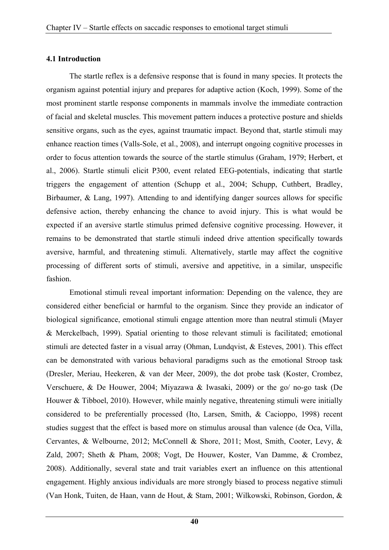### **4.1 Introduction**

The startle reflex is a defensive response that is found in many species. It protects the organism against potential injury and prepares for adaptive action (Koch, 1999). Some of the most prominent startle response components in mammals involve the immediate contraction of facial and skeletal muscles. This movement pattern induces a protective posture and shields sensitive organs, such as the eyes, against traumatic impact. Beyond that, startle stimuli may enhance reaction times (Valls-Sole, et al., 2008), and interrupt ongoing cognitive processes in order to focus attention towards the source of the startle stimulus (Graham, 1979; Herbert, et al., 2006). Startle stimuli elicit P300, event related EEG-potentials, indicating that startle triggers the engagement of attention (Schupp et al., 2004; Schupp, Cuthbert, Bradley, Birbaumer, & Lang, 1997). Attending to and identifying danger sources allows for specific defensive action, thereby enhancing the chance to avoid injury. This is what would be expected if an aversive startle stimulus primed defensive cognitive processing. However, it remains to be demonstrated that startle stimuli indeed drive attention specifically towards aversive, harmful, and threatening stimuli. Alternatively, startle may affect the cognitive processing of different sorts of stimuli, aversive and appetitive, in a similar, unspecific fashion.

Emotional stimuli reveal important information: Depending on the valence, they are considered either beneficial or harmful to the organism. Since they provide an indicator of biological significance, emotional stimuli engage attention more than neutral stimuli (Mayer & Merckelbach, 1999). Spatial orienting to those relevant stimuli is facilitated; emotional stimuli are detected faster in a visual array (Ohman, Lundqvist, & Esteves, 2001). This effect can be demonstrated with various behavioral paradigms such as the emotional Stroop task (Dresler, Meriau, Heekeren, & van der Meer, 2009), the dot probe task (Koster, Crombez, Verschuere, & De Houwer, 2004; Miyazawa & Iwasaki, 2009) or the go/ no-go task (De Houwer & Tibboel, 2010). However, while mainly negative, threatening stimuli were initially considered to be preferentially processed (Ito, Larsen, Smith, & Cacioppo, 1998) recent studies suggest that the effect is based more on stimulus arousal than valence (de Oca, Villa, Cervantes, & Welbourne, 2012; McConnell & Shore, 2011; Most, Smith, Cooter, Levy, & Zald, 2007; Sheth & Pham, 2008; Vogt, De Houwer, Koster, Van Damme, & Crombez, 2008). Additionally, several state and trait variables exert an influence on this attentional engagement. Highly anxious individuals are more strongly biased to process negative stimuli (Van Honk, Tuiten, de Haan, vann de Hout, & Stam, 2001; Wilkowski, Robinson, Gordon, &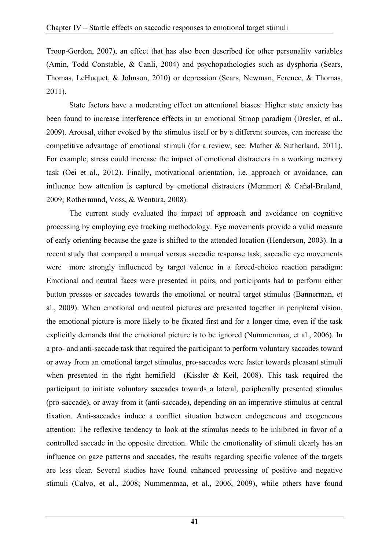Troop-Gordon, 2007), an effect that has also been described for other personality variables (Amin, Todd Constable, & Canli, 2004) and psychopathologies such as dysphoria (Sears, Thomas, LeHuquet, & Johnson, 2010) or depression (Sears, Newman, Ference, & Thomas, 2011).

State factors have a moderating effect on attentional biases: Higher state anxiety has been found to increase interference effects in an emotional Stroop paradigm (Dresler, et al., 2009). Arousal, either evoked by the stimulus itself or by a different sources, can increase the competitive advantage of emotional stimuli (for a review, see: Mather & Sutherland, 2011). For example, stress could increase the impact of emotional distracters in a working memory task (Oei et al., 2012). Finally, motivational orientation, i.e. approach or avoidance, can influence how attention is captured by emotional distracters (Memmert & Cañal-Bruland, 2009; Rothermund, Voss, & Wentura, 2008).

The current study evaluated the impact of approach and avoidance on cognitive processing by employing eye tracking methodology. Eye movements provide a valid measure of early orienting because the gaze is shifted to the attended location (Henderson, 2003). In a recent study that compared a manual versus saccadic response task, saccadic eye movements were more strongly influenced by target valence in a forced-choice reaction paradigm: Emotional and neutral faces were presented in pairs, and participants had to perform either button presses or saccades towards the emotional or neutral target stimulus (Bannerman, et al., 2009). When emotional and neutral pictures are presented together in peripheral vision, the emotional picture is more likely to be fixated first and for a longer time, even if the task explicitly demands that the emotional picture is to be ignored (Nummenmaa, et al., 2006). In a pro- and anti-saccade task that required the participant to perform voluntary saccades toward or away from an emotional target stimulus, pro-saccades were faster towards pleasant stimuli when presented in the right hemifield (Kissler & Keil, 2008). This task required the participant to initiate voluntary saccades towards a lateral, peripherally presented stimulus (pro-saccade), or away from it (anti-saccade), depending on an imperative stimulus at central fixation. Anti-saccades induce a conflict situation between endogeneous and exogeneous attention: The reflexive tendency to look at the stimulus needs to be inhibited in favor of a controlled saccade in the opposite direction. While the emotionality of stimuli clearly has an influence on gaze patterns and saccades, the results regarding specific valence of the targets are less clear. Several studies have found enhanced processing of positive and negative stimuli (Calvo, et al., 2008; Nummenmaa, et al., 2006, 2009), while others have found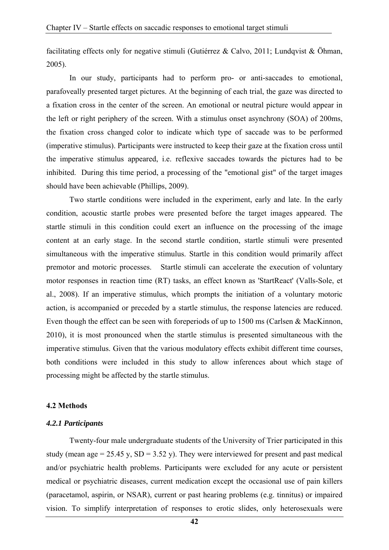facilitating effects only for negative stimuli (Gutiérrez & Calvo, 2011; Lundqvist & Öhman, 2005).

In our study, participants had to perform pro- or anti-saccades to emotional, parafoveally presented target pictures. At the beginning of each trial, the gaze was directed to a fixation cross in the center of the screen. An emotional or neutral picture would appear in the left or right periphery of the screen. With a stimulus onset asynchrony (SOA) of 200ms, the fixation cross changed color to indicate which type of saccade was to be performed (imperative stimulus). Participants were instructed to keep their gaze at the fixation cross until the imperative stimulus appeared, i.e. reflexive saccades towards the pictures had to be inhibited. During this time period, a processing of the "emotional gist" of the target images should have been achievable (Phillips, 2009).

Two startle conditions were included in the experiment, early and late. In the early condition, acoustic startle probes were presented before the target images appeared. The startle stimuli in this condition could exert an influence on the processing of the image content at an early stage. In the second startle condition, startle stimuli were presented simultaneous with the imperative stimulus. Startle in this condition would primarily affect premotor and motoric processes. Startle stimuli can accelerate the execution of voluntary motor responses in reaction time (RT) tasks, an effect known as 'StartReact' (Valls-Sole, et al., 2008). If an imperative stimulus, which prompts the initiation of a voluntary motoric action, is accompanied or preceded by a startle stimulus, the response latencies are reduced. Even though the effect can be seen with foreperiods of up to 1500 ms (Carlsen & MacKinnon, 2010), it is most pronounced when the startle stimulus is presented simultaneous with the imperative stimulus. Given that the various modulatory effects exhibit different time courses, both conditions were included in this study to allow inferences about which stage of processing might be affected by the startle stimulus.

#### **4.2 Methods**

#### *4.2.1 Participants*

Twenty-four male undergraduate students of the University of Trier participated in this study (mean age = 25.45 y,  $SD = 3.52$  y). They were interviewed for present and past medical and/or psychiatric health problems. Participants were excluded for any acute or persistent medical or psychiatric diseases, current medication except the occasional use of pain killers (paracetamol, aspirin, or NSAR), current or past hearing problems (e.g. tinnitus) or impaired vision. To simplify interpretation of responses to erotic slides, only heterosexuals were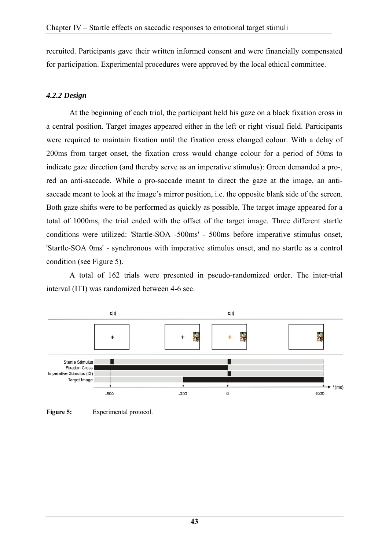recruited. Participants gave their written informed consent and were financially compensated for participation. Experimental procedures were approved by the local ethical committee.

# *4.2.2 Design*

At the beginning of each trial, the participant held his gaze on a black fixation cross in a central position. Target images appeared either in the left or right visual field. Participants were required to maintain fixation until the fixation cross changed colour. With a delay of 200ms from target onset, the fixation cross would change colour for a period of 50ms to indicate gaze direction (and thereby serve as an imperative stimulus): Green demanded a pro-, red an anti-saccade. While a pro-saccade meant to direct the gaze at the image, an antisaccade meant to look at the image's mirror position, i.e. the opposite blank side of the screen. Both gaze shifts were to be performed as quickly as possible. The target image appeared for a total of 1000ms, the trial ended with the offset of the target image. Three different startle conditions were utilized: 'Startle-SOA -500ms' - 500ms before imperative stimulus onset, 'Startle-SOA 0ms' - synchronous with imperative stimulus onset, and no startle as a control condition (see Figure 5).

A total of 162 trials were presented in pseudo-randomized order. The inter-trial interval (ITI) was randomized between 4-6 sec.



**Figure 5:** Experimental protocol.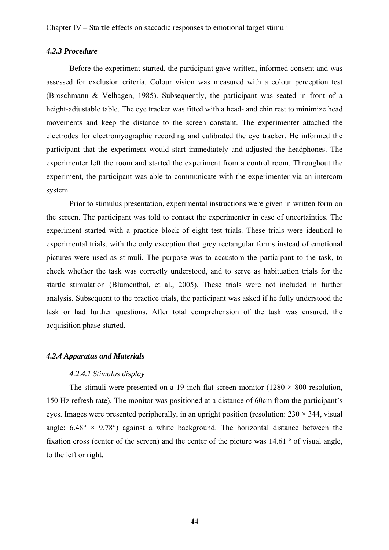### *4.2.3 Procedure*

Before the experiment started, the participant gave written, informed consent and was assessed for exclusion criteria. Colour vision was measured with a colour perception test (Broschmann & Velhagen, 1985). Subsequently, the participant was seated in front of a height-adjustable table. The eye tracker was fitted with a head- and chin rest to minimize head movements and keep the distance to the screen constant. The experimenter attached the electrodes for electromyographic recording and calibrated the eye tracker. He informed the participant that the experiment would start immediately and adjusted the headphones. The experimenter left the room and started the experiment from a control room. Throughout the experiment, the participant was able to communicate with the experimenter via an intercom system.

Prior to stimulus presentation, experimental instructions were given in written form on the screen. The participant was told to contact the experimenter in case of uncertainties. The experiment started with a practice block of eight test trials. These trials were identical to experimental trials, with the only exception that grey rectangular forms instead of emotional pictures were used as stimuli. The purpose was to accustom the participant to the task, to check whether the task was correctly understood, and to serve as habituation trials for the startle stimulation (Blumenthal, et al., 2005). These trials were not included in further analysis. Subsequent to the practice trials, the participant was asked if he fully understood the task or had further questions. After total comprehension of the task was ensured, the acquisition phase started.

### *4.2.4 Apparatus and Materials*

### *4.2.4.1 Stimulus display*

The stimuli were presented on a 19 inch flat screen monitor (1280  $\times$  800 resolution, 150 Hz refresh rate). The monitor was positioned at a distance of 60cm from the participant's eyes. Images were presented peripherally, in an upright position (resolution:  $230 \times 344$ , visual angle:  $6.48^{\circ} \times 9.78^{\circ}$  against a white background. The horizontal distance between the fixation cross (center of the screen) and the center of the picture was 14.61 º of visual angle, to the left or right.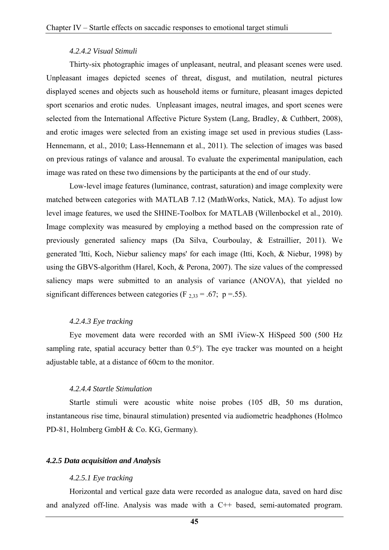### *4.2.4.2 Visual Stimuli*

Thirty-six photographic images of unpleasant, neutral, and pleasant scenes were used. Unpleasant images depicted scenes of threat, disgust, and mutilation, neutral pictures displayed scenes and objects such as household items or furniture, pleasant images depicted sport scenarios and erotic nudes. Unpleasant images, neutral images, and sport scenes were selected from the International Affective Picture System (Lang, Bradley, & Cuthbert, 2008), and erotic images were selected from an existing image set used in previous studies (Lass-Hennemann, et al., 2010; Lass-Hennemann et al., 2011). The selection of images was based on previous ratings of valance and arousal. To evaluate the experimental manipulation, each image was rated on these two dimensions by the participants at the end of our study.

Low-level image features (luminance, contrast, saturation) and image complexity were matched between categories with MATLAB 7.12 (MathWorks, Natick, MA). To adjust low level image features, we used the SHINE-Toolbox for MATLAB (Willenbockel et al., 2010). Image complexity was measured by employing a method based on the compression rate of previously generated saliency maps (Da Silva, Courboulay, & Estraillier, 2011). We generated 'Itti, Koch, Niebur saliency maps' for each image (Itti, Koch, & Niebur, 1998) by using the GBVS-algorithm (Harel, Koch, & Perona, 2007). The size values of the compressed saliency maps were submitted to an analysis of variance (ANOVA), that yielded no significant differences between categories (F  $_{2,33}$  = .67; p = .55).

### *4.2.4.3 Eye tracking*

Eye movement data were recorded with an SMI iView-X HiSpeed 500 (500 Hz sampling rate, spatial accuracy better than 0.5°). The eye tracker was mounted on a height adjustable table, at a distance of 60cm to the monitor.

### *4.2.4.4 Startle Stimulation*

Startle stimuli were acoustic white noise probes (105 dB, 50 ms duration, instantaneous rise time, binaural stimulation) presented via audiometric headphones (Holmco PD-81, Holmberg GmbH & Co. KG, Germany).

### *4.2.5 Data acquisition and Analysis*

### *4.2.5.1 Eye tracking*

Horizontal and vertical gaze data were recorded as analogue data, saved on hard disc and analyzed off-line. Analysis was made with a C++ based, semi-automated program.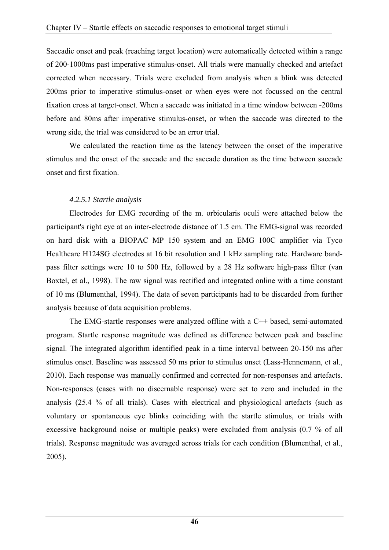Saccadic onset and peak (reaching target location) were automatically detected within a range of 200-1000ms past imperative stimulus-onset. All trials were manually checked and artefact corrected when necessary. Trials were excluded from analysis when a blink was detected 200ms prior to imperative stimulus-onset or when eyes were not focussed on the central fixation cross at target-onset. When a saccade was initiated in a time window between -200ms before and 80ms after imperative stimulus-onset, or when the saccade was directed to the wrong side, the trial was considered to be an error trial.

We calculated the reaction time as the latency between the onset of the imperative stimulus and the onset of the saccade and the saccade duration as the time between saccade onset and first fixation.

# *4.2.5.1 Startle analysis*

Electrodes for EMG recording of the m. orbicularis oculi were attached below the participant's right eye at an inter-electrode distance of 1.5 cm. The EMG-signal was recorded on hard disk with a BIOPAC MP 150 system and an EMG 100C amplifier via Tyco Healthcare H124SG electrodes at 16 bit resolution and 1 kHz sampling rate. Hardware bandpass filter settings were 10 to 500 Hz, followed by a 28 Hz software high-pass filter (van Boxtel, et al., 1998). The raw signal was rectified and integrated online with a time constant of 10 ms (Blumenthal, 1994). The data of seven participants had to be discarded from further analysis because of data acquisition problems.

The EMG-startle responses were analyzed offline with a C++ based, semi-automated program. Startle response magnitude was defined as difference between peak and baseline signal. The integrated algorithm identified peak in a time interval between 20-150 ms after stimulus onset. Baseline was assessed 50 ms prior to stimulus onset (Lass-Hennemann, et al., 2010). Each response was manually confirmed and corrected for non-responses and artefacts. Non-responses (cases with no discernable response) were set to zero and included in the analysis (25.4 % of all trials). Cases with electrical and physiological artefacts (such as voluntary or spontaneous eye blinks coinciding with the startle stimulus, or trials with excessive background noise or multiple peaks) were excluded from analysis (0.7 % of all trials). Response magnitude was averaged across trials for each condition (Blumenthal, et al., 2005).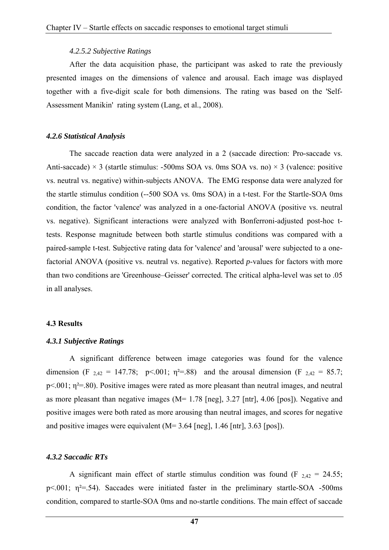#### *4.2.5.2 Subjective Ratings*

After the data acquisition phase, the participant was asked to rate the previously presented images on the dimensions of valence and arousal. Each image was displayed together with a five-digit scale for both dimensions. The rating was based on the 'Self-Assessment Manikin' rating system (Lang, et al., 2008).

#### *4.2.6 Statistical Analysis*

The saccade reaction data were analyzed in a 2 (saccade direction: Pro-saccade vs. Anti-saccade)  $\times$  3 (startle stimulus: -500ms SOA vs. 0ms SOA vs. no)  $\times$  3 (valence: positive vs. neutral vs. negative) within-subjects ANOVA. The EMG response data were analyzed for the startle stimulus condition (--500 SOA vs. 0ms SOA) in a t-test. For the Startle-SOA 0ms condition, the factor 'valence' was analyzed in a one-factorial ANOVA (positive vs. neutral vs. negative). Significant interactions were analyzed with Bonferroni-adjusted post-hoc ttests. Response magnitude between both startle stimulus conditions was compared with a paired-sample t-test. Subjective rating data for 'valence' and 'arousal' were subjected to a onefactorial ANOVA (positive vs. neutral vs. negative). Reported *p*-values for factors with more than two conditions are 'Greenhouse–Geisser' corrected. The critical alpha-level was set to .05 in all analyses.

#### **4.3 Results**

#### *4.3.1 Subjective Ratings*

A significant difference between image categories was found for the valence dimension (F  $_{2,42}$  = 147.78; p<.001;  $\eta^2$ =.88) and the arousal dimension (F  $_{2,42}$  = 85.7;  $p<.001$ ;  $\eta^2$ =.80). Positive images were rated as more pleasant than neutral images, and neutral as more pleasant than negative images (M= 1.78 [neg], 3.27 [ntr], 4.06 [pos]). Negative and positive images were both rated as more arousing than neutral images, and scores for negative and positive images were equivalent  $(M= 3.64$  [neg], 1.46 [ntr], 3.63 [pos]).

#### *4.3.2 Saccadic RTs*

A significant main effect of startle stimulus condition was found (F  $_{2,42}$  = 24.55; p $\leq$ .001;  $\eta^2$ =.54). Saccades were initiated faster in the preliminary startle-SOA -500ms condition, compared to startle-SOA 0ms and no-startle conditions. The main effect of saccade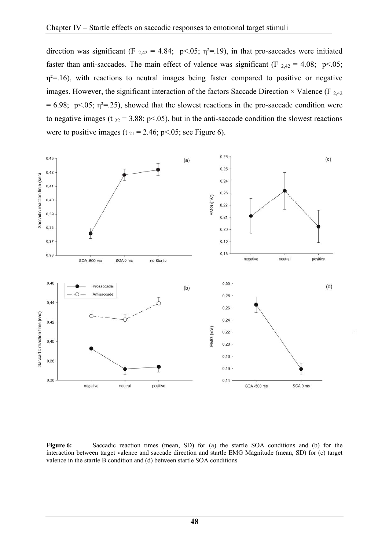direction was significant (F  $_{2,42}$  = 4.84; p<.05; q<sup>2</sup>=.19), in that pro-saccades were initiated faster than anti-saccades. The main effect of valence was significant (F  $_{2,42}$  = 4.08; p<.05;  $\eta^2$ =.16), with reactions to neutral images being faster compared to positive or negative images. However, the significant interaction of the factors Saccade Direction  $\times$  Valence (F <sub>2,42</sub>)  $= 6.98$ ; p<.05;  $\eta^2 = 25$ ), showed that the slowest reactions in the pro-saccade condition were to negative images (t  $_{22}$  = 3.88; p<.05), but in the anti-saccade condition the slowest reactions were to positive images (t  $_{21}$  = 2.46; p<.05; see Figure 6).



**Figure 6:** Saccadic reaction times (mean, SD) for (a) the startle SOA conditions and (b) for the interaction between target valence and saccade direction and startle EMG Magnitude (mean, SD) for (c) target valence in the startle B condition and (d) between startle SOA conditions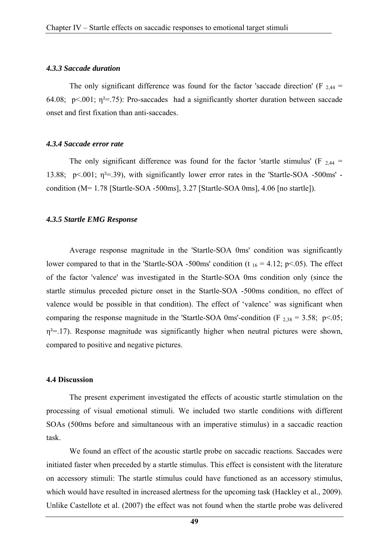#### *4.3.3 Saccade duration*

The only significant difference was found for the factor 'saccade direction' (F  $_{2,44}$  = 64.08; p<.001;  $\eta^2$ =.75): Pro-saccades had a significantly shorter duration between saccade onset and first fixation than anti-saccades.

#### *4.3.4 Saccade error rate*

The only significant difference was found for the factor 'startle stimulus' (F  $_{2,44}$  = 13.88;  $p<.001$ ;  $\eta^2$ =.39), with significantly lower error rates in the 'Startle-SOA -500ms' condition (M= 1.78 [Startle-SOA -500ms], 3.27 [Startle-SOA 0ms], 4.06 [no startle]).

#### *4.3.5 Startle EMG Response*

Average response magnitude in the 'Startle-SOA 0ms' condition was significantly lower compared to that in the 'Startle-SOA -500ms' condition (t  $_{16}$  = 4.12; p<.05). The effect of the factor 'valence' was investigated in the Startle-SOA 0ms condition only (since the startle stimulus preceded picture onset in the Startle-SOA -500ms condition, no effect of valence would be possible in that condition). The effect of 'valence' was significant when comparing the response magnitude in the 'Startle-SOA 0ms'-condition (F  $_{2,38}$  = 3.58; p<.05;  $\eta^2$ =.17). Response magnitude was significantly higher when neutral pictures were shown, compared to positive and negative pictures.

#### **4.4 Discussion**

The present experiment investigated the effects of acoustic startle stimulation on the processing of visual emotional stimuli. We included two startle conditions with different SOAs (500ms before and simultaneous with an imperative stimulus) in a saccadic reaction task.

We found an effect of the acoustic startle probe on saccadic reactions. Saccades were initiated faster when preceded by a startle stimulus. This effect is consistent with the literature on accessory stimuli: The startle stimulus could have functioned as an accessory stimulus, which would have resulted in increased alertness for the upcoming task (Hackley et al., 2009). Unlike Castellote et al. (2007) the effect was not found when the startle probe was delivered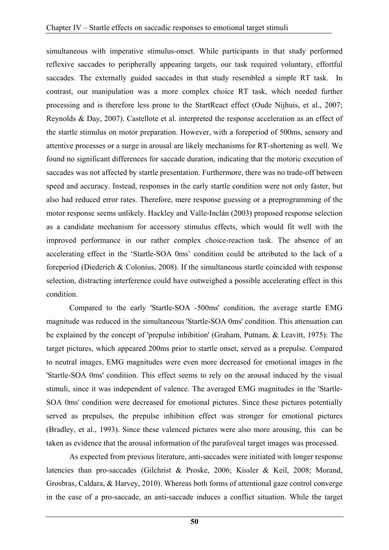simultaneous with imperative stimulus-onset. While participants in that study performed reflexive saccades to peripherally appearing targets, our task required voluntary, effortful saccades. The externally guided saccades in that study resembled a simple RT task. In contrast, our manipulation was a more complex choice RT task, which needed further processing and is therefore less prone to the StartReact effect (Oude Nijhuis, et al., 2007; Reynolds & Day, 2007). Castellote et al. interpreted the response acceleration as an effect of the startle stimulus on motor preparation. However, with a foreperiod of 500ms, sensory and attentive processes or a surge in arousal are likely mechanisms for RT-shortening as well. We found no significant differences for saccade duration, indicating that the motoric execution of saccades was not affected by startle presentation. Furthermore, there was no trade-off between speed and accuracy. Instead, responses in the early startle condition were not only faster, but also had reduced error rates. Therefore, mere response guessing or a preprogramming of the motor response seems unlikely. Hackley and Valle-Inclán (2003) proposed response selection as a candidate mechanism for accessory stimulus effects, which would fit well with the improved performance in our rather complex choice-reaction task. The absence of an accelerating effect in the 'Startle-SOA 0ms' condition could be attributed to the lack of a foreperiod (Diederich & Colonius, 2008). If the simultaneous startle coincided with response selection, distracting interference could have outweighed a possible accelerating effect in this condition.

Compared to the early 'Startle-SOA -500ms' condition, the average startle EMG magnitude was reduced in the simultaneous 'Startle-SOA 0ms' condition. This attenuation can be explained by the concept of 'prepulse inhibition' (Graham, Putnam, & Leavitt, 1975): The target pictures, which appeared 200ms prior to startle onset, served as a prepulse. Compared to neutral images, EMG magnitudes were even more decreased for emotional images in the 'Startle-SOA 0ms' condition. This effect seems to rely on the arousal induced by the visual stimuli, since it was independent of valence. The averaged EMG magnitudes in the 'Startle-SOA 0ms' condition were decreased for emotional pictures. Since these pictures potentially served as prepulses, the prepulse inhibition effect was stronger for emotional pictures (Bradley, et al., 1993). Since these valenced pictures were also more arousing, this can be taken as evidence that the arousal information of the parafoveal target images was processed.

As expected from previous literature, anti-saccades were initiated with longer response latencies than pro-saccades (Gilchrist & Proske, 2006; Kissler & Keil, 2008; Morand, Grosbras, Caldara, & Harvey, 2010). Whereas both forms of attentional gaze control converge in the case of a pro-saccade, an anti-saccade induces a conflict situation. While the target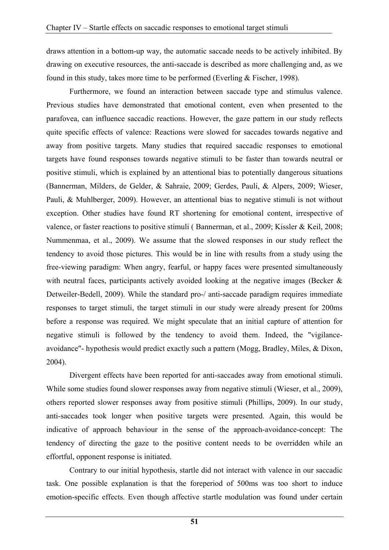draws attention in a bottom-up way, the automatic saccade needs to be actively inhibited. By drawing on executive resources, the anti-saccade is described as more challenging and, as we found in this study, takes more time to be performed (Everling & Fischer, 1998).

Furthermore, we found an interaction between saccade type and stimulus valence. Previous studies have demonstrated that emotional content, even when presented to the parafovea, can influence saccadic reactions. However, the gaze pattern in our study reflects quite specific effects of valence: Reactions were slowed for saccades towards negative and away from positive targets. Many studies that required saccadic responses to emotional targets have found responses towards negative stimuli to be faster than towards neutral or positive stimuli, which is explained by an attentional bias to potentially dangerous situations (Bannerman, Milders, de Gelder, & Sahraie, 2009; Gerdes, Pauli, & Alpers, 2009; Wieser, Pauli, & Muhlberger, 2009). However, an attentional bias to negative stimuli is not without exception. Other studies have found RT shortening for emotional content, irrespective of valence, or faster reactions to positive stimuli ( Bannerman, et al., 2009; Kissler & Keil, 2008; Nummenmaa, et al., 2009). We assume that the slowed responses in our study reflect the tendency to avoid those pictures. This would be in line with results from a study using the free-viewing paradigm: When angry, fearful, or happy faces were presented simultaneously with neutral faces, participants actively avoided looking at the negative images (Becker & Detweiler-Bedell, 2009). While the standard pro-/ anti-saccade paradigm requires immediate responses to target stimuli, the target stimuli in our study were already present for 200ms before a response was required. We might speculate that an initial capture of attention for negative stimuli is followed by the tendency to avoid them. Indeed, the "vigilanceavoidance"- hypothesis would predict exactly such a pattern (Mogg, Bradley, Miles, & Dixon, 2004).

Divergent effects have been reported for anti-saccades away from emotional stimuli. While some studies found slower responses away from negative stimuli (Wieser, et al., 2009), others reported slower responses away from positive stimuli (Phillips, 2009). In our study, anti-saccades took longer when positive targets were presented. Again, this would be indicative of approach behaviour in the sense of the approach-avoidance-concept: The tendency of directing the gaze to the positive content needs to be overridden while an effortful, opponent response is initiated.

Contrary to our initial hypothesis, startle did not interact with valence in our saccadic task. One possible explanation is that the foreperiod of 500ms was too short to induce emotion-specific effects. Even though affective startle modulation was found under certain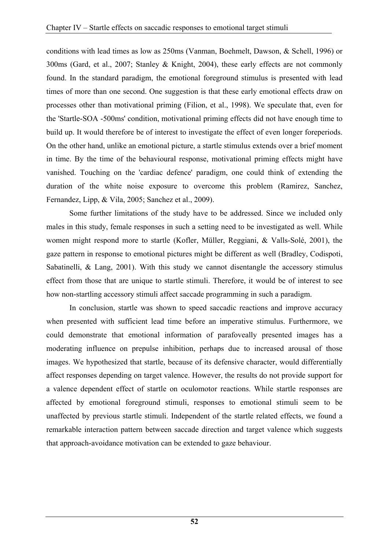conditions with lead times as low as 250ms (Vanman, Boehmelt, Dawson, & Schell, 1996) or 300ms (Gard, et al., 2007; Stanley & Knight, 2004), these early effects are not commonly found. In the standard paradigm, the emotional foreground stimulus is presented with lead times of more than one second. One suggestion is that these early emotional effects draw on processes other than motivational priming (Filion, et al., 1998). We speculate that, even for the 'Startle-SOA -500ms' condition, motivational priming effects did not have enough time to build up. It would therefore be of interest to investigate the effect of even longer foreperiods. On the other hand, unlike an emotional picture, a startle stimulus extends over a brief moment in time. By the time of the behavioural response, motivational priming effects might have vanished. Touching on the 'cardiac defence' paradigm, one could think of extending the duration of the white noise exposure to overcome this problem (Ramirez, Sanchez, Fernandez, Lipp, & Vila, 2005; Sanchez et al., 2009).

Some further limitations of the study have to be addressed. Since we included only males in this study, female responses in such a setting need to be investigated as well. While women might respond more to startle (Kofler, Müller, Reggiani, & Valls-Solé, 2001), the gaze pattern in response to emotional pictures might be different as well (Bradley, Codispoti, Sabatinelli, & Lang, 2001). With this study we cannot disentangle the accessory stimulus effect from those that are unique to startle stimuli. Therefore, it would be of interest to see how non-startling accessory stimuli affect saccade programming in such a paradigm.

In conclusion, startle was shown to speed saccadic reactions and improve accuracy when presented with sufficient lead time before an imperative stimulus. Furthermore, we could demonstrate that emotional information of parafoveally presented images has a moderating influence on prepulse inhibition, perhaps due to increased arousal of those images. We hypothesized that startle, because of its defensive character, would differentially affect responses depending on target valence. However, the results do not provide support for a valence dependent effect of startle on oculomotor reactions. While startle responses are affected by emotional foreground stimuli, responses to emotional stimuli seem to be unaffected by previous startle stimuli. Independent of the startle related effects, we found a remarkable interaction pattern between saccade direction and target valence which suggests that approach-avoidance motivation can be extended to gaze behaviour.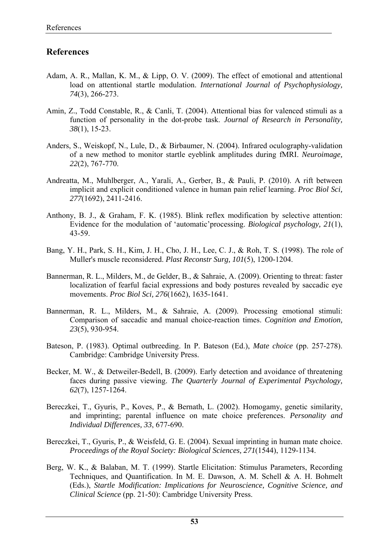# **References**

- Adam, A. R., Mallan, K. M., & Lipp, O. V. (2009). The effect of emotional and attentional load on attentional startle modulation. *International Journal of Psychophysiology, 74*(3), 266-273.
- Amin, Z., Todd Constable, R., & Canli, T. (2004). Attentional bias for valenced stimuli as a function of personality in the dot-probe task. *Journal of Research in Personality, 38*(1), 15-23.
- Anders, S., Weiskopf, N., Lule, D., & Birbaumer, N. (2004). Infrared oculography-validation of a new method to monitor startle eyeblink amplitudes during fMRI. *Neuroimage, 22*(2), 767-770.
- Andreatta, M., Muhlberger, A., Yarali, A., Gerber, B., & Pauli, P. (2010). A rift between implicit and explicit conditioned valence in human pain relief learning. *Proc Biol Sci, 277*(1692), 2411-2416.
- Anthony, B. J., & Graham, F. K. (1985). Blink reflex modification by selective attention: Evidence for the modulation of 'automatic'processing. *Biological psychology, 21*(1), 43-59.
- Bang, Y. H., Park, S. H., Kim, J. H., Cho, J. H., Lee, C. J., & Roh, T. S. (1998). The role of Muller's muscle reconsidered. *Plast Reconstr Surg, 101*(5), 1200-1204.
- Bannerman, R. L., Milders, M., de Gelder, B., & Sahraie, A. (2009). Orienting to threat: faster localization of fearful facial expressions and body postures revealed by saccadic eye movements. *Proc Biol Sci, 276*(1662), 1635-1641.
- Bannerman, R. L., Milders, M., & Sahraie, A. (2009). Processing emotional stimuli: Comparison of saccadic and manual choice-reaction times. *Cognition and Emotion, 23*(5), 930-954.
- Bateson, P. (1983). Optimal outbreeding. In P. Bateson (Ed.), *Mate choice* (pp. 257-278). Cambridge: Cambridge University Press.
- Becker, M. W., & Detweiler-Bedell, B. (2009). Early detection and avoidance of threatening faces during passive viewing. *The Quarterly Journal of Experimental Psychology, 62*(7), 1257-1264.
- Bereczkei, T., Gyuris, P., Koves, P., & Bernath, L. (2002). Homogamy, genetic similarity, and imprinting; parental influence on mate choice preferences. *Personality and Individual Differences, 33*, 677-690.
- Bereczkei, T., Gyuris, P., & Weisfeld, G. E. (2004). Sexual imprinting in human mate choice. *Proceedings of the Royal Society: Biological Sciences, 271*(1544), 1129-1134.
- Berg, W. K., & Balaban, M. T. (1999). Startle Elicitation: Stimulus Parameters, Recording Techniques, and Quantification. In M. E. Dawson, A. M. Schell & A. H. Bohmelt (Eds.), *Startle Modification: Implications for Neuroscience, Cognitive Science, and Clinical Science* (pp. 21-50): Cambridge University Press.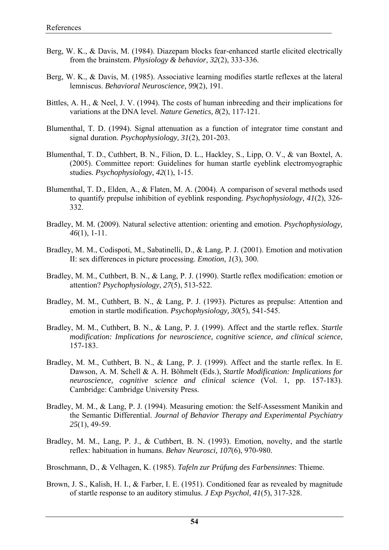- Berg, W. K., & Davis, M. (1984). Diazepam blocks fear-enhanced startle elicited electrically from the brainstem. *Physiology & behavior, 32*(2), 333-336.
- Berg, W. K., & Davis, M. (1985). Associative learning modifies startle reflexes at the lateral lemniscus. *Behavioral Neuroscience, 99*(2), 191.
- Bittles, A. H., & Neel, J. V. (1994). The costs of human inbreeding and their implications for variations at the DNA level. *Nature Genetics, 8*(2), 117-121.
- Blumenthal, T. D. (1994). Signal attenuation as a function of integrator time constant and signal duration. *Psychophysiology, 31*(2), 201-203.
- Blumenthal, T. D., Cuthbert, B. N., Filion, D. L., Hackley, S., Lipp, O. V., & van Boxtel, A. (2005). Committee report: Guidelines for human startle eyeblink electromyographic studies. *Psychophysiology, 42*(1), 1-15.
- Blumenthal, T. D., Elden, A., & Flaten, M. A. (2004). A comparison of several methods used to quantify prepulse inhibition of eyeblink responding. *Psychophysiology, 41*(2), 326- 332.
- Bradley, M. M. (2009). Natural selective attention: orienting and emotion. *Psychophysiology, 46*(1), 1-11.
- Bradley, M. M., Codispoti, M., Sabatinelli, D., & Lang, P. J. (2001). Emotion and motivation II: sex differences in picture processing. *Emotion, 1*(3), 300.
- Bradley, M. M., Cuthbert, B. N., & Lang, P. J. (1990). Startle reflex modification: emotion or attention? *Psychophysiology, 27*(5), 513-522.
- Bradley, M. M., Cuthbert, B. N., & Lang, P. J. (1993). Pictures as prepulse: Attention and emotion in startle modification. *Psychophysiology, 30*(5), 541-545.
- Bradley, M. M., Cuthbert, B. N., & Lang, P. J. (1999). Affect and the startle reflex. *Startle modification: Implications for neuroscience, cognitive science, and clinical science*, 157-183.
- Bradley, M. M., Cuthbert, B. N., & Lang, P. J. (1999). Affect and the startle reflex. In E. Dawson, A. M. Schell & A. H. Böhmelt (Eds.), *Startle Modification: Implications for neuroscience, cognitive science and clinical science* (Vol. 1, pp. 157-183). Cambridge: Cambridge University Press.
- Bradley, M. M., & Lang, P. J. (1994). Measuring emotion: the Self-Assessment Manikin and the Semantic Differential. *Journal of Behavior Therapy and Experimental Psychiatry 25*(1), 49-59.
- Bradley, M. M., Lang, P. J., & Cuthbert, B. N. (1993). Emotion, novelty, and the startle reflex: habituation in humans. *Behav Neurosci, 107*(6), 970-980.
- Broschmann, D., & Velhagen, K. (1985). *Tafeln zur Prüfung des Farbensinnes*: Thieme.
- Brown, J. S., Kalish, H. I., & Farber, I. E. (1951). Conditioned fear as revealed by magnitude of startle response to an auditory stimulus. *J Exp Psychol, 41*(5), 317-328.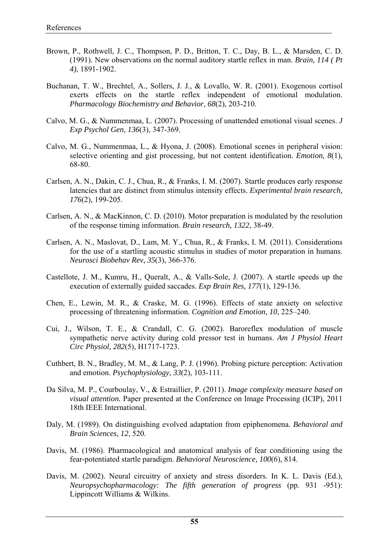- Brown, P., Rothwell, J. C., Thompson, P. D., Britton, T. C., Day, B. L., & Marsden, C. D. (1991). New observations on the normal auditory startle reflex in man. *Brain, 114 ( Pt 4)*, 1891-1902.
- Buchanan, T. W., Brechtel, A., Sollers, J. J., & Lovallo, W. R. (2001). Exogenous cortisol exerts effects on the startle reflex independent of emotional modulation. *Pharmacology Biochemistry and Behavior, 68*(2), 203-210.
- Calvo, M. G., & Nummenmaa, L. (2007). Processing of unattended emotional visual scenes. *J Exp Psychol Gen, 136*(3), 347-369.
- Calvo, M. G., Nummenmaa, L., & Hyona, J. (2008). Emotional scenes in peripheral vision: selective orienting and gist processing, but not content identification. *Emotion, 8*(1), 68-80.
- Carlsen, A. N., Dakin, C. J., Chua, R., & Franks, I. M. (2007). Startle produces early response latencies that are distinct from stimulus intensity effects. *Experimental brain research, 176*(2), 199-205.
- Carlsen, A. N., & MacKinnon, C. D. (2010). Motor preparation is modulated by the resolution of the response timing information. *Brain research, 1322*, 38-49.
- Carlsen, A. N., Maslovat, D., Lam, M. Y., Chua, R., & Franks, I. M. (2011). Considerations for the use of a startling acoustic stimulus in studies of motor preparation in humans. *Neurosci Biobehav Rev, 35*(3), 366-376.
- Castellote, J. M., Kumru, H., Queralt, A., & Valls-Sole, J. (2007). A startle speeds up the execution of externally guided saccades. *Exp Brain Res, 177*(1), 129-136.
- Chen, E., Lewin, M. R., & Craske, M. G. (1996). Effects of state anxiety on selective processing of threatening information. *Cognition and Emotion, 10*, 225–240.
- Cui, J., Wilson, T. E., & Crandall, C. G. (2002). Baroreflex modulation of muscle sympathetic nerve activity during cold pressor test in humans. *Am J Physiol Heart Circ Physiol, 282*(5), H1717-1723.
- Cuthbert, B. N., Bradley, M. M., & Lang, P. J. (1996). Probing picture perception: Activation and emotion. *Psychophysiology, 33*(2), 103-111.
- Da Silva, M. P., Courboulay, V., & Estraillier, P. (2011). *Image complexity measure based on visual attention.* Paper presented at the Conference on Image Processing (ICIP), 2011 18th IEEE International.
- Daly, M. (1989). On distinguishing evolved adaptation from epiphenomena. *Behavioral and Brain Sciences, 12*, 520.
- Davis, M. (1986). Pharmacological and anatomical analysis of fear conditioning using the fear-potentiated startle paradigm. *Behavioral Neuroscience, 100*(6), 814.
- Davis, M. (2002). Neural circuitry of anxiety and stress disorders. In K. L. Davis (Ed.), *Neuropsychopharmacology: The fifth generation of progress* (pp. 931 -951): Lippincott Williams & Wilkins.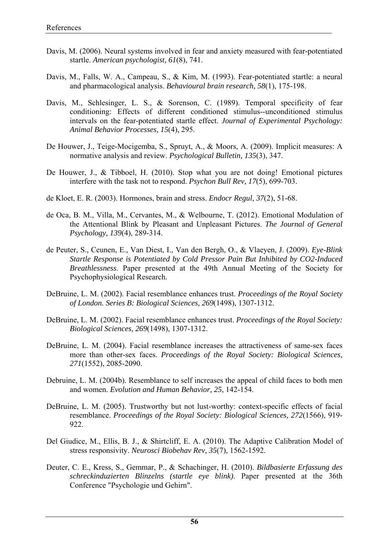- Davis, M. (2006). Neural systems involved in fear and anxiety measured with fear-potentiated startle. *American psychologist, 61*(8), 741.
- Davis, M., Falls, W. A., Campeau, S., & Kim, M. (1993). Fear-potentiated startle: a neural and pharmacological analysis. *Behavioural brain research, 58*(1), 175-198.
- Davis, M., Schlesinger, L. S., & Sorenson, C. (1989). Temporal specificity of fear conditioning: Effects of different conditioned stimulus--unconditioned stimulus intervals on the fear-potentiated startle effect. *Journal of Experimental Psychology: Animal Behavior Processes, 15*(4), 295.
- De Houwer, J., Teige-Mocigemba, S., Spruyt, A., & Moors, A. (2009). Implicit measures: A normative analysis and review. *Psychological Bulletin, 135*(3), 347.
- De Houwer, J., & Tibboel, H. (2010). Stop what you are not doing! Emotional pictures interfere with the task not to respond. *Psychon Bull Rev, 17*(5), 699-703.
- de Kloet, E. R. (2003). Hormones, brain and stress. *Endocr Regul, 37*(2), 51-68.
- de Oca, B. M., Villa, M., Cervantes, M., & Welbourne, T. (2012). Emotional Modulation of the Attentional Blink by Pleasant and Unpleasant Pictures. *The Journal of General Psychology, 139*(4), 289-314.
- de Peuter, S., Ceunen, E., Van Diest, I., Van den Bergh, O., & Vlaeyen, J. (2009). *Eye-Blink Startle Response is Potentiated by Cold Pressor Pain But Inhibited by CO2-Induced Breathlessness*. Paper presented at the 49th Annual Meeting of the Society for Psychophysiological Research.
- DeBruine, L. M. (2002). Facial resemblance enhances trust. *Proceedings of the Royal Society of London. Series B: Biological Sciences, 269*(1498), 1307-1312.
- DeBruine, L. M. (2002). Facial resemblance enhances trust. *Proceedings of the Royal Society: Biological Sciences, 269*(1498), 1307-1312.
- DeBruine, L. M. (2004). Facial resemblance increases the attractiveness of same-sex faces more than other-sex faces. *Proceedings of the Royal Society: Biological Sciences, 271*(1552), 2085-2090.
- Debruine, L. M. (2004b). Resemblance to self increases the appeal of child faces to both men and women. *Evolution and Human Behavior, 25*, 142-154.
- DeBruine, L. M. (2005). Trustworthy but not lust-worthy: context-specific effects of facial resemblance. *Proceedings of the Royal Society: Biological Sciences, 272*(1566), 919- 922.
- Del Giudice, M., Ellis, B. J., & Shirtcliff, E. A. (2010). The Adaptive Calibration Model of stress responsivity. *Neurosci Biobehav Rev, 35*(7), 1562-1592.
- Deuter, C. E., Kress, S., Gemmar, P., & Schachinger, H. (2010). *Bildbasierte Erfassung des schreckinduzierten Blinzelns (startle eye blink)*. Paper presented at the 36th Conference "Psychologie und Gehirn".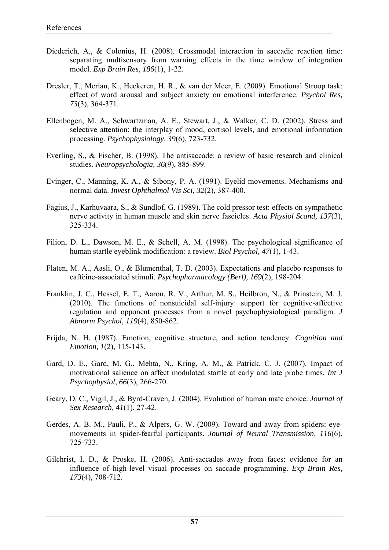- Diederich, A., & Colonius, H. (2008). Crossmodal interaction in saccadic reaction time: separating multisensory from warning effects in the time window of integration model. *Exp Brain Res, 186*(1), 1-22.
- Dresler, T., Meriau, K., Heekeren, H. R., & van der Meer, E. (2009). Emotional Stroop task: effect of word arousal and subject anxiety on emotional interference. *Psychol Res, 73*(3), 364-371.
- Ellenbogen, M. A., Schwartzman, A. E., Stewart, J., & Walker, C. D. (2002). Stress and selective attention: the interplay of mood, cortisol levels, and emotional information processing. *Psychophysiology, 39*(6), 723-732.
- Everling, S., & Fischer, B. (1998). The antisaccade: a review of basic research and clinical studies. *Neuropsychologia, 36*(9), 885-899.
- Evinger, C., Manning, K. A., & Sibony, P. A. (1991). Eyelid movements. Mechanisms and normal data. *Invest Ophthalmol Vis Sci, 32*(2), 387-400.
- Fagius, J., Karhuvaara, S., & Sundlof, G. (1989). The cold pressor test: effects on sympathetic nerve activity in human muscle and skin nerve fascicles. *Acta Physiol Scand, 137*(3), 325-334.
- Filion, D. L., Dawson, M. E., & Schell, A. M. (1998). The psychological significance of human startle eyeblink modification: a review. *Biol Psychol, 47*(1), 1-43.
- Flaten, M. A., Aasli, O., & Blumenthal, T. D. (2003). Expectations and placebo responses to caffeine-associated stimuli. *Psychopharmacology (Berl), 169*(2), 198-204.
- Franklin, J. C., Hessel, E. T., Aaron, R. V., Arthur, M. S., Heilbron, N., & Prinstein, M. J. (2010). The functions of nonsuicidal self-injury: support for cognitive-affective regulation and opponent processes from a novel psychophysiological paradigm. *J Abnorm Psychol, 119*(4), 850-862.
- Frijda, N. H. (1987). Emotion, cognitive structure, and action tendency. *Cognition and Emotion, 1*(2), 115-143.
- Gard, D. E., Gard, M. G., Mehta, N., Kring, A. M., & Patrick, C. J. (2007). Impact of motivational salience on affect modulated startle at early and late probe times. *Int J Psychophysiol, 66*(3), 266-270.
- Geary, D. C., Vigil, J., & Byrd-Craven, J. (2004). Evolution of human mate choice. *Journal of Sex Research, 41*(1), 27-42.
- Gerdes, A. B. M., Pauli, P., & Alpers, G. W. (2009). Toward and away from spiders: eyemovements in spider-fearful participants. *Journal of Neural Transmission, 116*(6), 725-733.
- Gilchrist, I. D., & Proske, H. (2006). Anti-saccades away from faces: evidence for an influence of high-level visual processes on saccade programming. *Exp Brain Res, 173*(4), 708-712.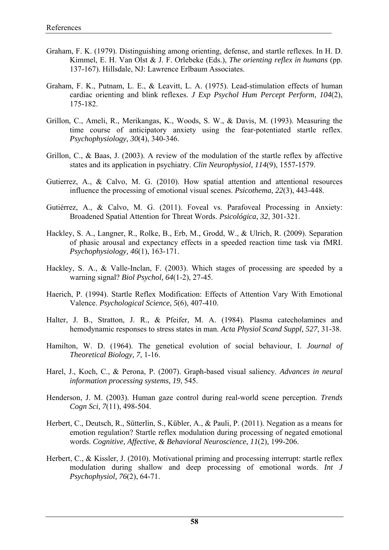- Graham, F. K. (1979). Distinguishing among orienting, defense, and startle reflexes. In H. D. Kimmel, E. H. Van Olst & J. F. Orlebeke (Eds.), *The orienting reflex in humans* (pp. 137-167). Hillsdale, NJ: Lawrence Erlbaum Associates.
- Graham, F. K., Putnam, L. E., & Leavitt, L. A. (1975). Lead-stimulation effects of human cardiac orienting and blink reflexes. *J Exp Psychol Hum Percept Perform, 104*(2), 175-182.
- Grillon, C., Ameli, R., Merikangas, K., Woods, S. W., & Davis, M. (1993). Measuring the time course of anticipatory anxiety using the fear-potentiated startle reflex. *Psychophysiology, 30*(4), 340-346.
- Grillon, C., & Baas, J. (2003). A review of the modulation of the startle reflex by affective states and its application in psychiatry. *Clin Neurophysiol, 114*(9), 1557-1579.
- Gutierrez, A., & Calvo, M. G. (2010). How spatial attention and attentional resources influence the processing of emotional visual scenes. *Psicothema, 22*(3), 443-448.
- Gutiérrez, A., & Calvo, M. G. (2011). Foveal vs. Parafoveal Processing in Anxiety: Broadened Spatial Attention for Threat Words. *Psicológica, 32*, 301-321.
- Hackley, S. A., Langner, R., Rolke, B., Erb, M., Grodd, W., & Ulrich, R. (2009). Separation of phasic arousal and expectancy effects in a speeded reaction time task via fMRI. *Psychophysiology, 46*(1), 163-171.
- Hackley, S. A., & Valle-Inclan, F. (2003). Which stages of processing are speeded by a warning signal? *Biol Psychol, 64*(1-2), 27-45.
- Haerich, P. (1994). Startle Reflex Modification: Effects of Attention Vary With Emotional Valence. *Psychological Science, 5*(6), 407-410.
- Halter, J. B., Stratton, J. R., & Pfeifer, M. A. (1984). Plasma catecholamines and hemodynamic responses to stress states in man. *Acta Physiol Scand Suppl, 527*, 31-38.
- Hamilton, W. D. (1964). The genetical evolution of social behaviour, I. *Journal of Theoretical Biology, 7*, 1-16.
- Harel, J., Koch, C., & Perona, P. (2007). Graph-based visual saliency. *Advances in neural information processing systems, 19*, 545.
- Henderson, J. M. (2003). Human gaze control during real-world scene perception. *Trends Cogn Sci, 7*(11), 498-504.
- Herbert, C., Deutsch, R., Sütterlin, S., Kübler, A., & Pauli, P. (2011). Negation as a means for emotion regulation? Startle reflex modulation during processing of negated emotional words. *Cognitive, Affective, & Behavioral Neuroscience, 11*(2), 199-206.
- Herbert, C., & Kissler, J. (2010). Motivational priming and processing interrupt: startle reflex modulation during shallow and deep processing of emotional words. *Int J Psychophysiol, 76*(2), 64-71.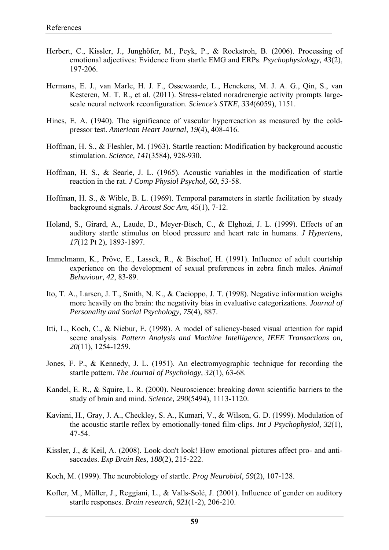- Herbert, C., Kissler, J., Junghöfer, M., Peyk, P., & Rockstroh, B. (2006). Processing of emotional adjectives: Evidence from startle EMG and ERPs. *Psychophysiology, 43*(2), 197-206.
- Hermans, E. J., van Marle, H. J. F., Ossewaarde, L., Henckens, M. J. A. G., Qin, S., van Kesteren, M. T. R., et al. (2011). Stress-related noradrenergic activity prompts largescale neural network reconfiguration. *Science's STKE, 334*(6059), 1151.
- Hines, E. A. (1940). The significance of vascular hyperreaction as measured by the coldpressor test. *American Heart Journal, 19*(4), 408-416.
- Hoffman, H. S., & Fleshler, M. (1963). Startle reaction: Modification by background acoustic stimulation. *Science, 141*(3584), 928-930.
- Hoffman, H. S., & Searle, J. L. (1965). Acoustic variables in the modification of startle reaction in the rat. *J Comp Physiol Psychol, 60*, 53-58.
- Hoffman, H. S., & Wible, B. L. (1969). Temporal parameters in startle facilitation by steady background signals. *J Acoust Soc Am, 45*(1), 7-12.
- Holand, S., Girard, A., Laude, D., Meyer-Bisch, C., & Elghozi, J. L. (1999). Effects of an auditory startle stimulus on blood pressure and heart rate in humans. *J Hypertens, 17*(12 Pt 2), 1893-1897.
- Immelmann, K., Pröve, E., Lassek, R., & Bischof, H. (1991). Influence of adult courtship experience on the development of sexual preferences in zebra finch males. *Animal Behaviour, 42*, 83-89.
- Ito, T. A., Larsen, J. T., Smith, N. K., & Cacioppo, J. T. (1998). Negative information weighs more heavily on the brain: the negativity bias in evaluative categorizations. *Journal of Personality and Social Psychology, 75*(4), 887.
- Itti, L., Koch, C., & Niebur, E. (1998). A model of saliency-based visual attention for rapid scene analysis. *Pattern Analysis and Machine Intelligence, IEEE Transactions on, 20*(11), 1254-1259.
- Jones, F. P., & Kennedy, J. L. (1951). An electromyographic technique for recording the startle pattern. *The Journal of Psychology, 32*(1), 63-68.
- Kandel, E. R., & Squire, L. R. (2000). Neuroscience: breaking down scientific barriers to the study of brain and mind. *Science, 290*(5494), 1113-1120.
- Kaviani, H., Gray, J. A., Checkley, S. A., Kumari, V., & Wilson, G. D. (1999). Modulation of the acoustic startle reflex by emotionally-toned film-clips. *Int J Psychophysiol, 32*(1), 47-54.
- Kissler, J., & Keil, A. (2008). Look-don't look! How emotional pictures affect pro- and antisaccades. *Exp Brain Res, 188*(2), 215-222.
- Koch, M. (1999). The neurobiology of startle. *Prog Neurobiol, 59*(2), 107-128.
- Kofler, M., Müller, J., Reggiani, L., & Valls-Solé, J. (2001). Influence of gender on auditory startle responses. *Brain research, 921*(1-2), 206-210.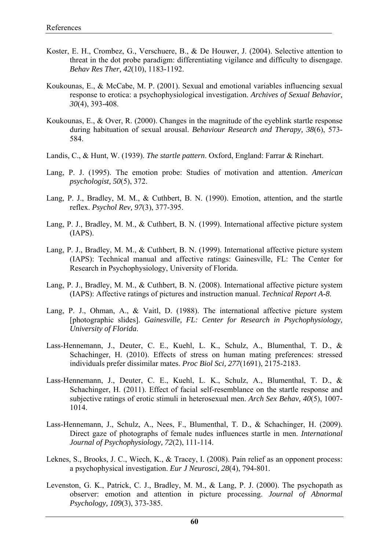- Koster, E. H., Crombez, G., Verschuere, B., & De Houwer, J. (2004). Selective attention to threat in the dot probe paradigm: differentiating vigilance and difficulty to disengage. *Behav Res Ther, 42*(10), 1183-1192.
- Koukounas, E., & McCabe, M. P. (2001). Sexual and emotional variables influencing sexual response to erotica: a psychophysiological investigation. *Archives of Sexual Behavior, 30*(4), 393-408.
- Koukounas, E., & Over, R. (2000). Changes in the magnitude of the eyeblink startle response during habituation of sexual arousal. *Behaviour Research and Therapy, 38*(6), 573- 584.
- Landis, C., & Hunt, W. (1939). *The startle pattern*. Oxford, England: Farrar & Rinehart.
- Lang, P. J. (1995). The emotion probe: Studies of motivation and attention. *American psychologist, 50*(5), 372.
- Lang, P. J., Bradley, M. M., & Cuthbert, B. N. (1990). Emotion, attention, and the startle reflex. *Psychol Rev, 97*(3), 377-395.
- Lang, P. J., Bradley, M. M., & Cuthbert, B. N. (1999). International affective picture system (IAPS).
- Lang, P. J., Bradley, M. M., & Cuthbert, B. N. (1999). International affective picture system (IAPS): Technical manual and affective ratings: Gainesville, FL: The Center for Research in Psychophysiology, University of Florida.
- Lang, P. J., Bradley, M. M., & Cuthbert, B. N. (2008). International affective picture system (IAPS): Affective ratings of pictures and instruction manual. *Technical Report A-8*.
- Lang, P. J., Ohman, A., & Vaitl, D. (1988). The international affective picture system [photographic slides]. *Gainesville, FL: Center for Research in Psychophysiology, University of Florida*.
- Lass-Hennemann, J., Deuter, C. E., Kuehl, L. K., Schulz, A., Blumenthal, T. D., & Schachinger, H. (2010). Effects of stress on human mating preferences: stressed individuals prefer dissimilar mates. *Proc Biol Sci, 277*(1691), 2175-2183.
- Lass-Hennemann, J., Deuter, C. E., Kuehl, L. K., Schulz, A., Blumenthal, T. D., & Schachinger, H. (2011). Effect of facial self-resemblance on the startle response and subjective ratings of erotic stimuli in heterosexual men. *Arch Sex Behav, 40*(5), 1007- 1014.
- Lass-Hennemann, J., Schulz, A., Nees, F., Blumenthal, T. D., & Schachinger, H. (2009). Direct gaze of photographs of female nudes influences startle in men. *International Journal of Psychophysiology, 72*(2), 111-114.
- Leknes, S., Brooks, J. C., Wiech, K., & Tracey, I. (2008). Pain relief as an opponent process: a psychophysical investigation. *Eur J Neurosci, 28*(4), 794-801.
- Levenston, G. K., Patrick, C. J., Bradley, M. M., & Lang, P. J. (2000). The psychopath as observer: emotion and attention in picture processing. *Journal of Abnormal Psychology, 109*(3), 373-385.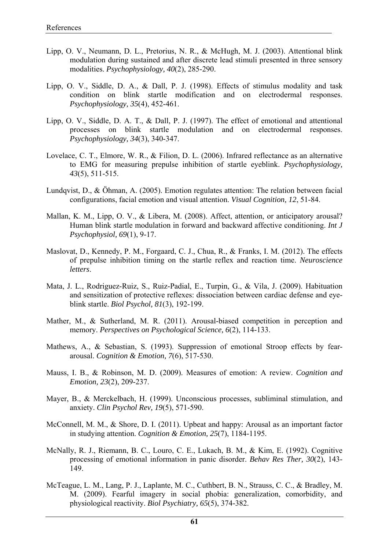- Lipp, O. V., Neumann, D. L., Pretorius, N. R., & McHugh, M. J. (2003). Attentional blink modulation during sustained and after discrete lead stimuli presented in three sensory modalities. *Psychophysiology, 40*(2), 285-290.
- Lipp, O. V., Siddle, D. A., & Dall, P. J. (1998). Effects of stimulus modality and task condition on blink startle modification and on electrodermal responses. *Psychophysiology, 35*(4), 452-461.
- Lipp, O. V., Siddle, D. A. T., & Dall, P. J. (1997). The effect of emotional and attentional processes on blink startle modulation and on electrodermal responses. *Psychophysiology, 34*(3), 340-347.
- Lovelace, C. T., Elmore, W. R., & Filion, D. L. (2006). Infrared reflectance as an alternative to EMG for measuring prepulse inhibition of startle eyeblink. *Psychophysiology, 43*(5), 511-515.
- Lundqvist, D., & Öhman, A. (2005). Emotion regulates attention: The relation between facial configurations, facial emotion and visual attention. *Visual Cognition, 12*, 51-84.
- Mallan, K. M., Lipp, O. V., & Libera, M. (2008). Affect, attention, or anticipatory arousal? Human blink startle modulation in forward and backward affective conditioning. *Int J Psychophysiol, 69*(1), 9-17.
- Maslovat, D., Kennedy, P. M., Forgaard, C. J., Chua, R., & Franks, I. M. (2012). The effects of prepulse inhibition timing on the startle reflex and reaction time. *Neuroscience letters*.
- Mata, J. L., Rodriguez-Ruiz, S., Ruiz-Padial, E., Turpin, G., & Vila, J. (2009). Habituation and sensitization of protective reflexes: dissociation between cardiac defense and eyeblink startle. *Biol Psychol, 81*(3), 192-199.
- Mather, M., & Sutherland, M. R. (2011). Arousal-biased competition in perception and memory. *Perspectives on Psychological Science, 6*(2), 114-133.
- Mathews, A., & Sebastian, S. (1993). Suppression of emotional Stroop effects by feararousal. *Cognition & Emotion, 7*(6), 517-530.
- Mauss, I. B., & Robinson, M. D. (2009). Measures of emotion: A review. *Cognition and Emotion, 23*(2), 209-237.
- Mayer, B., & Merckelbach, H. (1999). Unconscious processes, subliminal stimulation, and anxiety. *Clin Psychol Rev, 19*(5), 571-590.
- McConnell, M. M., & Shore, D. I. (2011). Upbeat and happy: Arousal as an important factor in studying attention. *Cognition & Emotion, 25*(7), 1184-1195.
- McNally, R. J., Riemann, B. C., Louro, C. E., Lukach, B. M., & Kim, E. (1992). Cognitive processing of emotional information in panic disorder. *Behav Res Ther, 30*(2), 143- 149.
- McTeague, L. M., Lang, P. J., Laplante, M. C., Cuthbert, B. N., Strauss, C. C., & Bradley, M. M. (2009). Fearful imagery in social phobia: generalization, comorbidity, and physiological reactivity. *Biol Psychiatry, 65*(5), 374-382.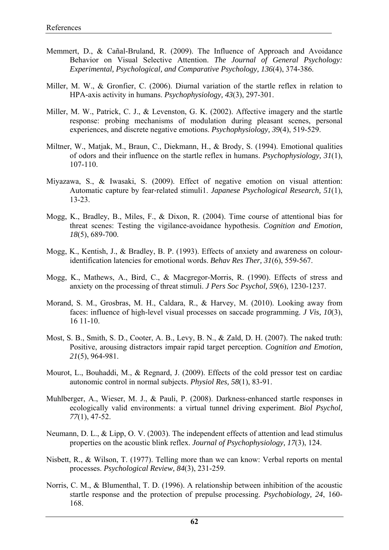- Memmert, D., & Cañal-Bruland, R. (2009). The Influence of Approach and Avoidance Behavior on Visual Selective Attention. *The Journal of General Psychology: Experimental, Psychological, and Comparative Psychology, 136*(4), 374-386.
- Miller, M. W., & Gronfier, C. (2006). Diurnal variation of the startle reflex in relation to HPA-axis activity in humans. *Psychophysiology, 43*(3), 297-301.
- Miller, M. W., Patrick, C. J., & Levenston, G. K. (2002). Affective imagery and the startle response: probing mechanisms of modulation during pleasant scenes, personal experiences, and discrete negative emotions. *Psychophysiology, 39*(4), 519-529.
- Miltner, W., Matjak, M., Braun, C., Diekmann, H., & Brody, S. (1994). Emotional qualities of odors and their influence on the startle reflex in humans. *Psychophysiology, 31*(1), 107-110.
- Miyazawa, S., & Iwasaki, S. (2009). Effect of negative emotion on visual attention: Automatic capture by fear‐related stimuli1. *Japanese Psychological Research, 51*(1), 13-23.
- Mogg, K., Bradley, B., Miles, F., & Dixon, R. (2004). Time course of attentional bias for threat scenes: Testing the vigilance-avoidance hypothesis. *Cognition and Emotion, 18*(5), 689-700.
- Mogg, K., Kentish, J., & Bradley, B. P. (1993). Effects of anxiety and awareness on colouridentification latencies for emotional words. *Behav Res Ther, 31*(6), 559-567.
- Mogg, K., Mathews, A., Bird, C., & Macgregor-Morris, R. (1990). Effects of stress and anxiety on the processing of threat stimuli. *J Pers Soc Psychol, 59*(6), 1230-1237.
- Morand, S. M., Grosbras, M. H., Caldara, R., & Harvey, M. (2010). Looking away from faces: influence of high-level visual processes on saccade programming. *J Vis, 10*(3), 16 11-10.
- Most, S. B., Smith, S. D., Cooter, A. B., Levy, B. N., & Zald, D. H. (2007). The naked truth: Positive, arousing distractors impair rapid target perception. *Cognition and Emotion, 21*(5), 964-981.
- Mourot, L., Bouhaddi, M., & Regnard, J. (2009). Effects of the cold pressor test on cardiac autonomic control in normal subjects. *Physiol Res, 58*(1), 83-91.
- Muhlberger, A., Wieser, M. J., & Pauli, P. (2008). Darkness-enhanced startle responses in ecologically valid environments: a virtual tunnel driving experiment. *Biol Psychol, 77*(1), 47-52.
- Neumann, D. L., & Lipp, O. V. (2003). The independent effects of attention and lead stimulus properties on the acoustic blink reflex. *Journal of Psychophysiology, 17*(3), 124.
- Nisbett, R., & Wilson, T. (1977). Telling more than we can know: Verbal reports on mental processes. *Psychological Review, 84*(3), 231-259.
- Norris, C. M., & Blumenthal, T. D. (1996). A relationship between inhibition of the acoustic startle response and the protection of prepulse processing. *Psychobiology, 24*, 160- 168.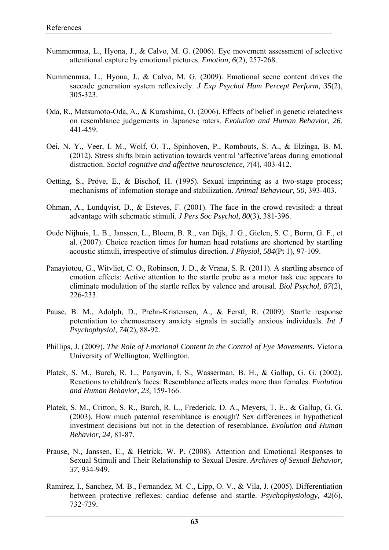- Nummenmaa, L., Hyona, J., & Calvo, M. G. (2006). Eye movement assessment of selective attentional capture by emotional pictures. *Emotion, 6*(2), 257-268.
- Nummenmaa, L., Hyona, J., & Calvo, M. G. (2009). Emotional scene content drives the saccade generation system reflexively. *J Exp Psychol Hum Percept Perform, 35*(2), 305-323.
- Oda, R., Matsumoto-Oda, A., & Kurashima, O. (2006). Effects of belief in genetic relatedness on resemblance judgements in Japanese raters. *Evolution and Human Behavior, 26*, 441-459.
- Oei, N. Y., Veer, I. M., Wolf, O. T., Spinhoven, P., Rombouts, S. A., & Elzinga, B. M. (2012). Stress shifts brain activation towards ventral 'affective'areas during emotional distraction. *Social cognitive and affective neuroscience, 7*(4), 403-412.
- Oetting, S., Pröve, E., & Bischof, H. (1995). Sexual imprinting as a two-stage process; mechanisms of infomation storage and stabilization. *Animal Behaviour, 50*, 393-403.
- Ohman, A., Lundqvist, D., & Esteves, F. (2001). The face in the crowd revisited: a threat advantage with schematic stimuli. *J Pers Soc Psychol, 80*(3), 381-396.
- Oude Nijhuis, L. B., Janssen, L., Bloem, B. R., van Dijk, J. G., Gielen, S. C., Borm, G. F., et al. (2007). Choice reaction times for human head rotations are shortened by startling acoustic stimuli, irrespective of stimulus direction. *J Physiol, 584*(Pt 1), 97-109.
- Panayiotou, G., Witvliet, C. O., Robinson, J. D., & Vrana, S. R. (2011). A startling absence of emotion effects: Active attention to the startle probe as a motor task cue appears to eliminate modulation of the startle reflex by valence and arousal. *Biol Psychol, 87*(2), 226-233.
- Pause, B. M., Adolph, D., Prehn-Kristensen, A., & Ferstl, R. (2009). Startle response potentiation to chemosensory anxiety signals in socially anxious individuals. *Int J Psychophysiol, 74*(2), 88-92.
- Phillips, J. (2009). *The Role of Emotional Content in the Control of Eye Movements.* Victoria University of Wellington, Wellington.
- Platek, S. M., Burch, R. L., Panyavin, I. S., Wasserman, B. H., & Gallup, G. G. (2002). Reactions to children's faces: Resemblance affects males more than females. *Evolution and Human Behavior, 23*, 159-166.
- Platek, S. M., Critton, S. R., Burch, R. L., Frederick, D. A., Meyers, T. E., & Gallup, G. G. (2003). How much paternal resemblance is enough? Sex differences in hypothetical investment decisions but not in the detection of resemblance. *Evolution and Human Behavior, 24*, 81-87.
- Prause, N., Janssen, E., & Hetrick, W. P. (2008). Attention and Emotional Responses to Sexual Stimuli and Their Relationship to Sexual Desire. *Archives of Sexual Behavior, 37*, 934-949.
- Ramirez, I., Sanchez, M. B., Fernandez, M. C., Lipp, O. V., & Vila, J. (2005). Differentiation between protective reflexes: cardiac defense and startle. *Psychophysiology, 42*(6), 732-739.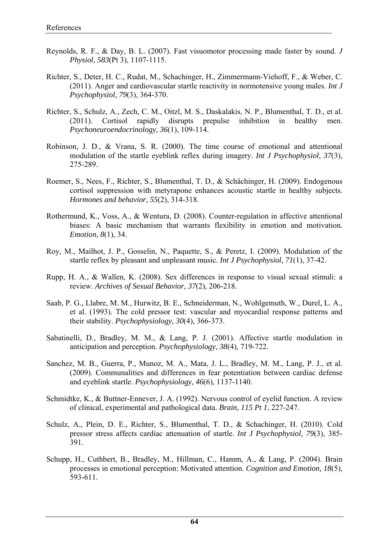- Reynolds, R. F., & Day, B. L. (2007). Fast visuomotor processing made faster by sound. *J Physiol, 583*(Pt 3), 1107-1115.
- Richter, S., Deter, H. C., Rudat, M., Schachinger, H., Zimmermann-Viehoff, F., & Weber, C. (2011). Anger and cardiovascular startle reactivity in normotensive young males. *Int J Psychophysiol, 79*(3), 364-370.
- Richter, S., Schulz, A., Zech, C. M., Oitzl, M. S., Daskalakis, N. P., Blumenthal, T. D., et al. (2011). Cortisol rapidly disrupts prepulse inhibition in healthy men. *Psychoneuroendocrinology, 36*(1), 109-114.
- Robinson, J. D., & Vrana, S. R. (2000). The time course of emotional and attentional modulation of the startle eyeblink reflex during imagery. *Int J Psychophysiol, 37*(3), 275-289.
- Roemer, S., Nees, F., Richter, S., Blumenthal, T. D., & Schächinger, H. (2009). Endogenous cortisol suppression with metyrapone enhances acoustic startle in healthy subjects. *Hormones and behavior, 55*(2), 314-318.
- Rothermund, K., Voss, A., & Wentura, D. (2008). Counter-regulation in affective attentional biases: A basic mechanism that warrants flexibility in emotion and motivation. *Emotion, 8*(1), 34.
- Roy, M., Mailhot, J. P., Gosselin, N., Paquette, S., & Peretz, I. (2009). Modulation of the startle reflex by pleasant and unpleasant music. *Int J Psychophysiol, 71*(1), 37-42.
- Rupp, H. A., & Wallen, K. (2008). Sex differences in response to visual sexual stimuli: a review. *Archives of Sexual Behavior, 37*(2), 206-218.
- Saab, P. G., Llabre, M. M., Hurwitz, B. E., Schneiderman, N., Wohlgemuth, W., Durel, L. A., et al. (1993). The cold pressor test: vascular and myocardial response patterns and their stability. *Psychophysiology, 30*(4), 366-373.
- Sabatinelli, D., Bradley, M. M., & Lang, P. J. (2001). Affective startle modulation in anticipation and perception. *Psychophysiology, 38*(4), 719-722.
- Sanchez, M. B., Guerra, P., Munoz, M. A., Mata, J. L., Bradley, M. M., Lang, P. J., et al. (2009). Communalities and differences in fear potentiation between cardiac defense and eyeblink startle. *Psychophysiology, 46*(6), 1137-1140.
- Schmidtke, K., & Buttner-Ennever, J. A. (1992). Nervous control of eyelid function. A review of clinical, experimental and pathological data. *Brain, 115 Pt 1*, 227-247.
- Schulz, A., Plein, D. E., Richter, S., Blumenthal, T. D., & Schachinger, H. (2010). Cold pressor stress affects cardiac attenuation of startle. *Int J Psychophysiol, 79*(3), 385- 391.
- Schupp, H., Cuthbert, B., Bradley, M., Hillman, C., Hamm, A., & Lang, P. (2004). Brain processes in emotional perception: Motivated attention. *Cognition and Emotion, 18*(5), 593-611.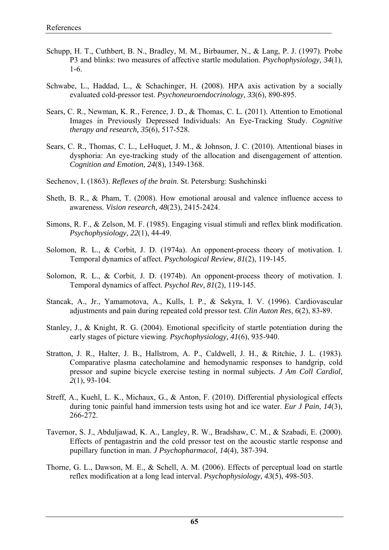- Schupp, H. T., Cuthbert, B. N., Bradley, M. M., Birbaumer, N., & Lang, P. J. (1997). Probe P3 and blinks: two measures of affective startle modulation. *Psychophysiology, 34*(1), 1-6.
- Schwabe, L., Haddad, L., & Schachinger, H. (2008). HPA axis activation by a socially evaluated cold-pressor test. *Psychoneuroendocrinology, 33*(6), 890-895.
- Sears, C. R., Newman, K. R., Ference, J. D., & Thomas, C. L. (2011). Attention to Emotional Images in Previously Depressed Individuals: An Eye-Tracking Study. *Cognitive therapy and research, 35*(6), 517-528.
- Sears, C. R., Thomas, C. L., LeHuquet, J. M., & Johnson, J. C. (2010). Attentional biases in dysphoria: An eye-tracking study of the allocation and disengagement of attention. *Cognition and Emotion, 24*(8), 1349-1368.
- Sechenov, I. (1863). *Reflexes of the brain*. St. Petersburg: Sushchinski
- Sheth, B. R., & Pham, T. (2008). How emotional arousal and valence influence access to awareness. *Vision research, 48*(23), 2415-2424.
- Simons, R. F., & Zelson, M. F. (1985). Engaging visual stimuli and reflex blink modification. *Psychophysiology, 22*(1), 44-49.
- Solomon, R. L., & Corbit, J. D. (1974a). An opponent-process theory of motivation. I. Temporal dynamics of affect. *Psychological Review, 81*(2), 119-145.
- Solomon, R. L., & Corbit, J. D. (1974b). An opponent-process theory of motivation. I. Temporal dynamics of affect. *Psychol Rev, 81*(2), 119-145.
- Stancak, A., Jr., Yamamotova, A., Kulls, I. P., & Sekyra, I. V. (1996). Cardiovascular adjustments and pain during repeated cold pressor test. *Clin Auton Res, 6*(2), 83-89.
- Stanley, J., & Knight, R. G. (2004). Emotional specificity of startle potentiation during the early stages of picture viewing. *Psychophysiology, 41*(6), 935-940.
- Stratton, J. R., Halter, J. B., Hallstrom, A. P., Caldwell, J. H., & Ritchie, J. L. (1983). Comparative plasma catecholamine and hemodynamic responses to handgrip, cold pressor and supine bicycle exercise testing in normal subjects. *J Am Coll Cardiol, 2*(1), 93-104.
- Streff, A., Kuehl, L. K., Michaux, G., & Anton, F. (2010). Differential physiological effects during tonic painful hand immersion tests using hot and ice water. *Eur J Pain, 14*(3), 266-272.
- Tavernor, S. J., Abduljawad, K. A., Langley, R. W., Bradshaw, C. M., & Szabadi, E. (2000). Effects of pentagastrin and the cold pressor test on the acoustic startle response and pupillary function in man. *J Psychopharmacol, 14*(4), 387-394.
- Thorne, G. L., Dawson, M. E., & Schell, A. M. (2006). Effects of perceptual load on startle reflex modification at a long lead interval. *Psychophysiology, 43*(5), 498-503.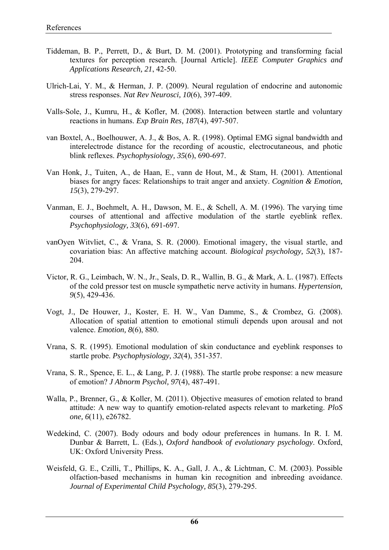- Tiddeman, B. P., Perrett, D., & Burt, D. M. (2001). Prototyping and transforming facial textures for perception research. [Journal Article]. *IEEE Computer Graphics and Applications Research, 21*, 42-50.
- Ulrich-Lai, Y. M., & Herman, J. P. (2009). Neural regulation of endocrine and autonomic stress responses. *Nat Rev Neurosci, 10*(6), 397-409.
- Valls-Sole, J., Kumru, H., & Kofler, M. (2008). Interaction between startle and voluntary reactions in humans. *Exp Brain Res, 187*(4), 497-507.
- van Boxtel, A., Boelhouwer, A. J., & Bos, A. R. (1998). Optimal EMG signal bandwidth and interelectrode distance for the recording of acoustic, electrocutaneous, and photic blink reflexes. *Psychophysiology, 35*(6), 690-697.
- Van Honk, J., Tuiten, A., de Haan, E., vann de Hout, M., & Stam, H. (2001). Attentional biases for angry faces: Relationships to trait anger and anxiety. *Cognition & Emotion, 15*(3), 279-297.
- Vanman, E. J., Boehmelt, A. H., Dawson, M. E., & Schell, A. M. (1996). The varying time courses of attentional and affective modulation of the startle eyeblink reflex. *Psychophysiology, 33*(6), 691-697.
- vanOyen Witvliet, C., & Vrana, S. R. (2000). Emotional imagery, the visual startle, and covariation bias: An affective matching account. *Biological psychology, 52*(3), 187- 204.
- Victor, R. G., Leimbach, W. N., Jr., Seals, D. R., Wallin, B. G., & Mark, A. L. (1987). Effects of the cold pressor test on muscle sympathetic nerve activity in humans. *Hypertension, 9*(5), 429-436.
- Vogt, J., De Houwer, J., Koster, E. H. W., Van Damme, S., & Crombez, G. (2008). Allocation of spatial attention to emotional stimuli depends upon arousal and not valence. *Emotion, 8*(6), 880.
- Vrana, S. R. (1995). Emotional modulation of skin conductance and eyeblink responses to startle probe. *Psychophysiology, 32*(4), 351-357.
- Vrana, S. R., Spence, E. L., & Lang, P. J. (1988). The startle probe response: a new measure of emotion? *J Abnorm Psychol, 97*(4), 487-491.
- Walla, P., Brenner, G., & Koller, M. (2011). Objective measures of emotion related to brand attitude: A new way to quantify emotion-related aspects relevant to marketing. *PloS one, 6*(11), e26782.
- Wedekind, C. (2007). Body odours and body odour preferences in humans. In R. I. M. Dunbar & Barrett, L. (Eds.), *Oxford handbook of evolutionary psychology*. Oxford, UK: Oxford University Press.
- Weisfeld, G. E., Czilli, T., Phillips, K. A., Gall, J. A., & Lichtman, C. M. (2003). Possible olfaction-based mechanisms in human kin recognition and inbreeding avoidance. *Journal of Experimental Child Psychology, 85*(3), 279-295.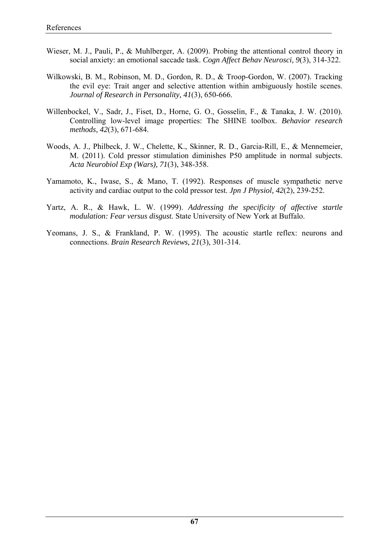- Wieser, M. J., Pauli, P., & Muhlberger, A. (2009). Probing the attentional control theory in social anxiety: an emotional saccade task. *Cogn Affect Behav Neurosci, 9*(3), 314-322.
- Wilkowski, B. M., Robinson, M. D., Gordon, R. D., & Troop-Gordon, W. (2007). Tracking the evil eye: Trait anger and selective attention within ambiguously hostile scenes. *Journal of Research in Personality, 41*(3), 650-666.
- Willenbockel, V., Sadr, J., Fiset, D., Horne, G. O., Gosselin, F., & Tanaka, J. W. (2010). Controlling low-level image properties: The SHINE toolbox. *Behavior research methods, 42*(3), 671-684.
- Woods, A. J., Philbeck, J. W., Chelette, K., Skinner, R. D., Garcia-Rill, E., & Mennemeier, M. (2011). Cold pressor stimulation diminishes P50 amplitude in normal subjects. *Acta Neurobiol Exp (Wars), 71*(3), 348-358.
- Yamamoto, K., Iwase, S., & Mano, T. (1992). Responses of muscle sympathetic nerve activity and cardiac output to the cold pressor test. *Jpn J Physiol, 42*(2), 239-252.
- Yartz, A. R., & Hawk, L. W. (1999). *Addressing the specificity of affective startle modulation: Fear versus disgust.* State University of New York at Buffalo.
- Yeomans, J. S., & Frankland, P. W. (1995). The acoustic startle reflex: neurons and connections. *Brain Research Reviews, 21*(3), 301-314.